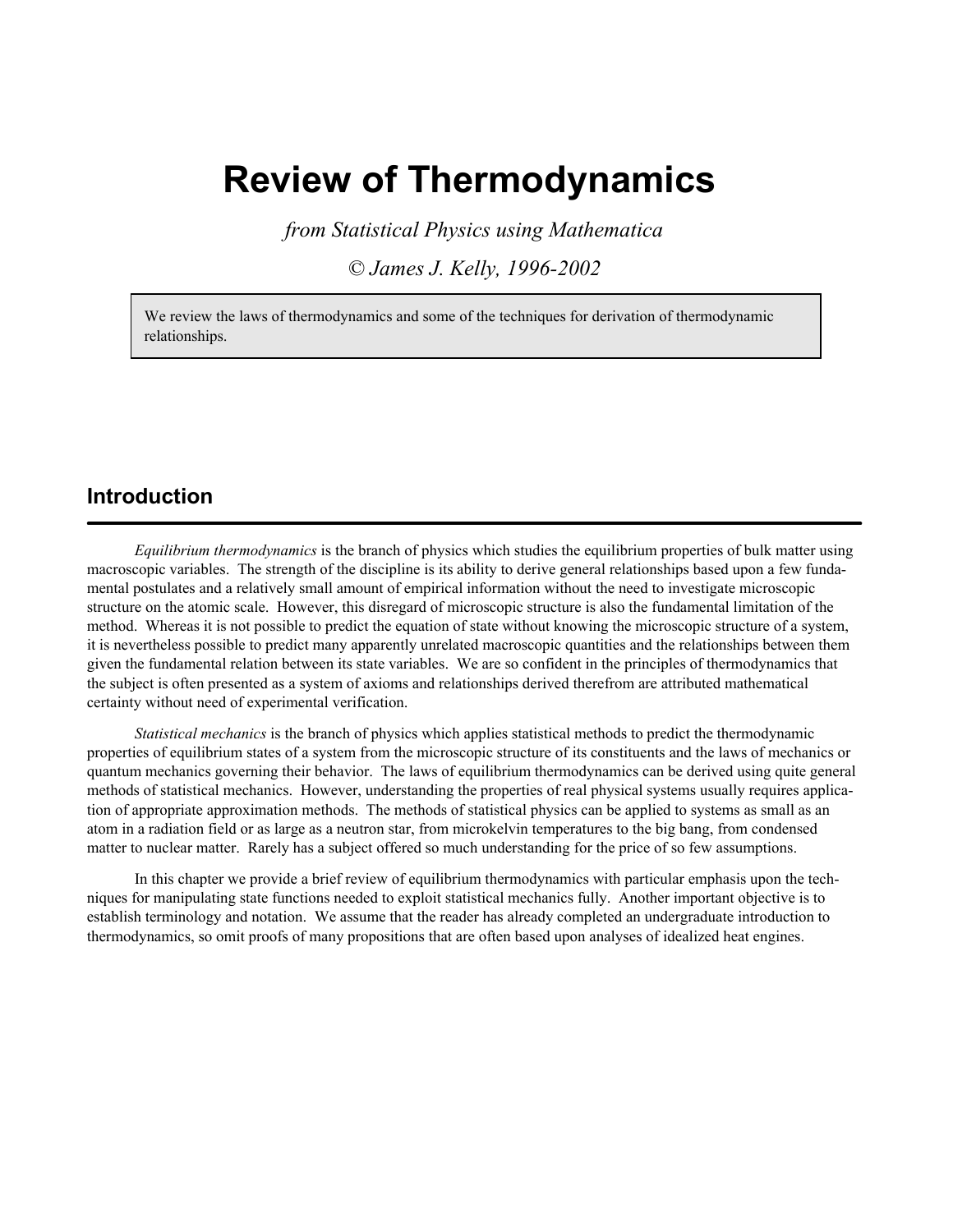# **Review of Thermodynamics**

*from Statistical Physics using Mathematica*

*© James J. Kelly, 1996-2002*

We review the laws of thermodynamics and some of the techniques for derivation of thermodynamic relationships.

### **Introduction**

*Equilibrium thermodynamics* is the branch of physics which studies the equilibrium properties of bulk matter using macroscopic variables. The strength of the discipline is its ability to derive general relationships based upon a few fundamental postulates and a relatively small amount of empirical information without the need to investigate microscopic structure on the atomic scale. However, this disregard of microscopic structure is also the fundamental limitation of the method. Whereas it is not possible to predict the equation of state without knowing the microscopic structure of a system, it is nevertheless possible to predict many apparently unrelated macroscopic quantities and the relationships between them given the fundamental relation between its state variables. We are so confident in the principles of thermodynamics that the subject is often presented as a system of axioms and relationships derived therefrom are attributed mathematical certainty without need of experimental verification.

*Statistical mechanics* is the branch of physics which applies statistical methods to predict the thermodynamic properties of equilibrium states of a system from the microscopic structure of its constituents and the laws of mechanics or quantum mechanics governing their behavior. The laws of equilibrium thermodynamics can be derived using quite general methods of statistical mechanics. However, understanding the properties of real physical systems usually requires application of appropriate approximation methods. The methods of statistical physics can be applied to systems as small as an atom in a radiation field or as large as a neutron star, from microkelvin temperatures to the big bang, from condensed matter to nuclear matter. Rarely has a subject offered so much understanding for the price of so few assumptions.

In this chapter we provide a brief review of equilibrium thermodynamics with particular emphasis upon the techniques for manipulating state functions needed to exploit statistical mechanics fully. Another important objective is to establish terminology and notation. We assume that the reader has already completed an undergraduate introduction to thermodynamics, so omit proofs of many propositions that are often based upon analyses of idealized heat engines.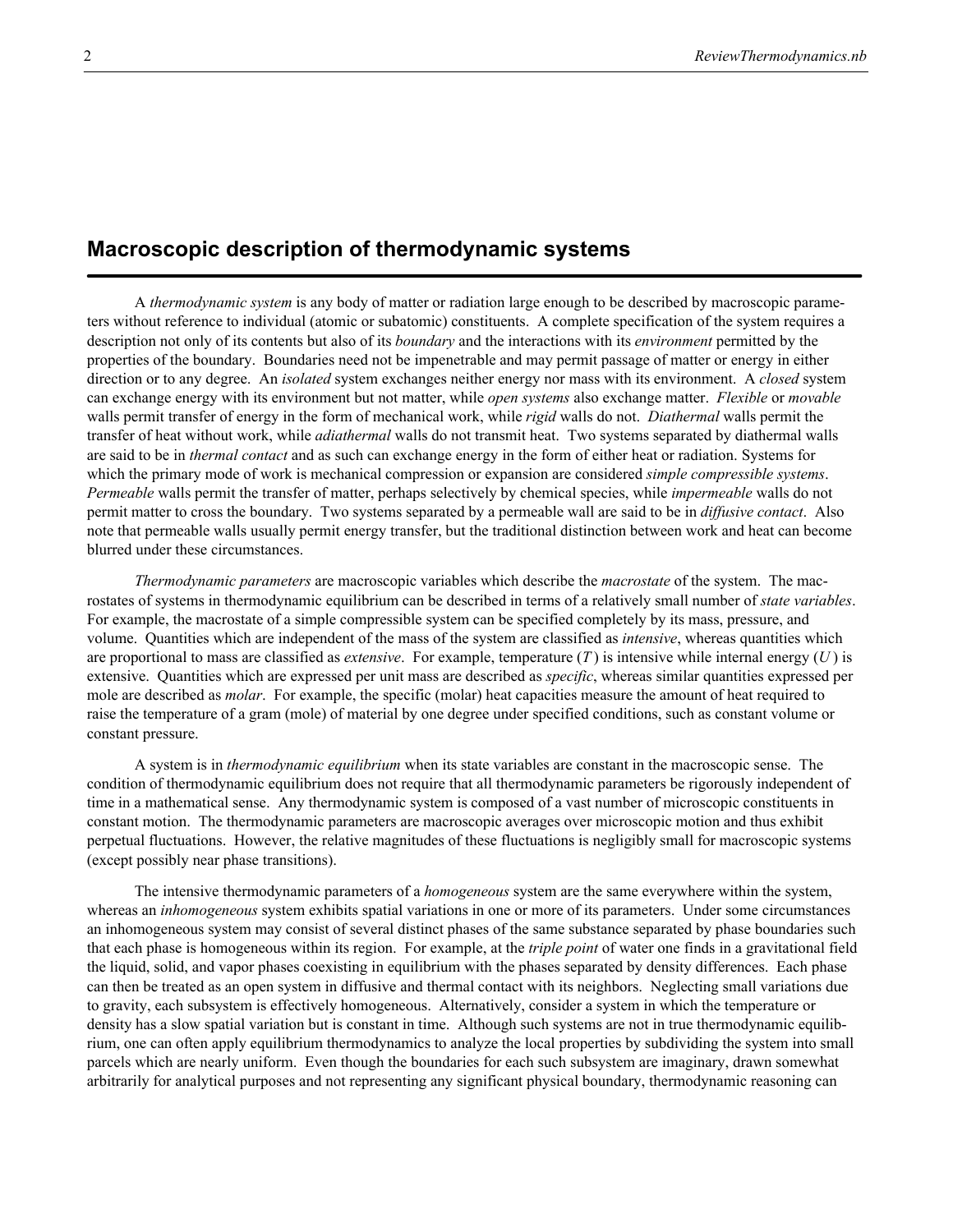# **Macroscopic description of thermodynamic systems**

A *thermodynamic system* is any body of matter or radiation large enough to be described by macroscopic parameters without reference to individual (atomic or subatomic) constituents. A complete specification of the system requires a description not only of its contents but also of its *boundary* and the interactions with its *environment* permitted by the properties of the boundary. Boundaries need not be impenetrable and may permit passage of matter or energy in either direction or to any degree. An *isolated* system exchanges neither energy nor mass with its environment. A *closed* system can exchange energy with its environment but not matter, while *open systems* also exchange matter. *Flexible* or *movable* walls permit transfer of energy in the form of mechanical work, while *rigid* walls do not. *Diathermal* walls permit the transfer of heat without work, while *adiathermal* walls do not transmit heat. Two systems separated by diathermal walls are said to be in *thermal contact* and as such can exchange energy in the form of either heat or radiation. Systems for which the primary mode of work is mechanical compression or expansion are considered *simple compressible systems*. *Permeable* walls permit the transfer of matter, perhaps selectively by chemical species, while *impermeable* walls do not permit matter to cross the boundary. Two systems separated by a permeable wall are said to be in *diffusive contact*. Also note that permeable walls usually permit energy transfer, but the traditional distinction between work and heat can become blurred under these circumstances.

*Thermodynamic parameters* are macroscopic variables which describe the *macrostate* of the system. The macrostates of systems in thermodynamic equilibrium can be described in terms of a relatively small number of *state variables*. For example, the macrostate of a simple compressible system can be specified completely by its mass, pressure, and volume. Quantities which are independent of the mass of the system are classified as *intensive*, whereas quantities which are proportional to mass are classified as *extensive*. For example, temperature  $(T)$  is intensive while internal energy  $(U)$  is extensive. Quantities which are expressed per unit mass are described as *specific*, whereas similar quantities expressed per mole are described as *molar*. For example, the specific (molar) heat capacities measure the amount of heat required to raise the temperature of a gram (mole) of material by one degree under specified conditions, such as constant volume or constant pressure.

A system is in *thermodynamic equilibrium* when its state variables are constant in the macroscopic sense. The condition of thermodynamic equilibrium does not require that all thermodynamic parameters be rigorously independent of time in a mathematical sense. Any thermodynamic system is composed of a vast number of microscopic constituents in constant motion. The thermodynamic parameters are macroscopic averages over microscopic motion and thus exhibit perpetual fluctuations. However, the relative magnitudes of these fluctuations is negligibly small for macroscopic systems (except possibly near phase transitions).

The intensive thermodynamic parameters of a *homogeneous* system are the same everywhere within the system, whereas an *inhomogeneous* system exhibits spatial variations in one or more of its parameters. Under some circumstances an inhomogeneous system may consist of several distinct phases of the same substance separated by phase boundaries such that each phase is homogeneous within its region. For example, at the *triple point* of water one finds in a gravitational field the liquid, solid, and vapor phases coexisting in equilibrium with the phases separated by density differences. Each phase can then be treated as an open system in diffusive and thermal contact with its neighbors. Neglecting small variations due to gravity, each subsystem is effectively homogeneous. Alternatively, consider a system in which the temperature or density has a slow spatial variation but is constant in time. Although such systems are not in true thermodynamic equilibrium, one can often apply equilibrium thermodynamics to analyze the local properties by subdividing the system into small parcels which are nearly uniform. Even though the boundaries for each such subsystem are imaginary, drawn somewhat arbitrarily for analytical purposes and not representing any significant physical boundary, thermodynamic reasoning can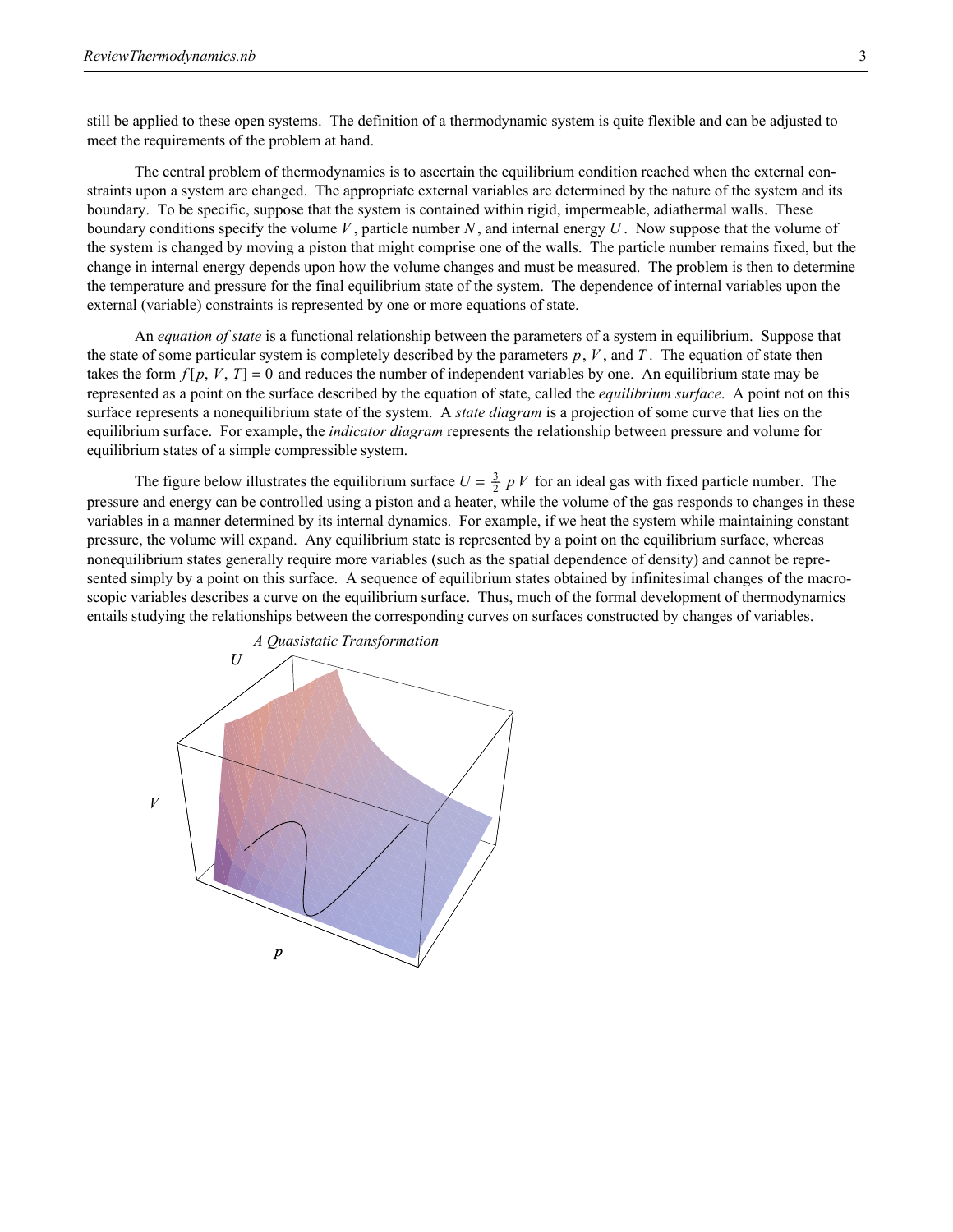still be applied to these open systems. The definition of a thermodynamic system is quite flexible and can be adjusted to meet the requirements of the problem at hand.

The central problem of thermodynamics is to ascertain the equilibrium condition reached when the external constraints upon a system are changed. The appropriate external variables are determined by the nature of the system and its boundary. To be specific, suppose that the system is contained within rigid, impermeable, adiathermal walls. These boundary conditions specify the volume *V* , particle number *N* , and internal energy *U* . Now suppose that the volume of the system is changed by moving a piston that might comprise one of the walls. The particle number remains fixed, but the change in internal energy depends upon how the volume changes and must be measured. The problem is then to determine the temperature and pressure for the final equilibrium state of the system. The dependence of internal variables upon the external (variable) constraints is represented by one or more equations of state.

An *equation of state* is a functional relationship between the parameters of a system in equilibrium. Suppose that the state of some particular system is completely described by the parameters *p*, *V* , and *T* . The equation of state then takes the form  $f[p, V, T] = 0$  and reduces the number of independent variables by one. An equilibrium state may be represented as a point on the surface described by the equation of state, called the *equilibrium surface*. A point not on this surface represents a nonequilibrium state of the system. A *state diagram* is a projection of some curve that lies on the equilibrium surface. For example, the *indicator diagram* represents the relationship between pressure and volume for equilibrium states of a simple compressible system.

The figure below illustrates the equilibrium surface  $U = \frac{3}{2} p V$  for an ideal gas with fixed particle number. The pressure and energy can be controlled using a piston and a heater, while the volume of the gas responds to changes in these variables in a manner determined by its internal dynamics. For example, if we heat the system while maintaining constant pressure, the volume will expand. Any equilibrium state is represented by a point on the equilibrium surface, whereas nonequilibrium states generally require more variables (such as the spatial dependence of density) and cannot be represented simply by a point on this surface. A sequence of equilibrium states obtained by infinitesimal changes of the macroscopic variables describes a curve on the equilibrium surface. Thus, much of the formal development of thermodynamics entails studying the relationships between the corresponding curves on surfaces constructed by changes of variables.

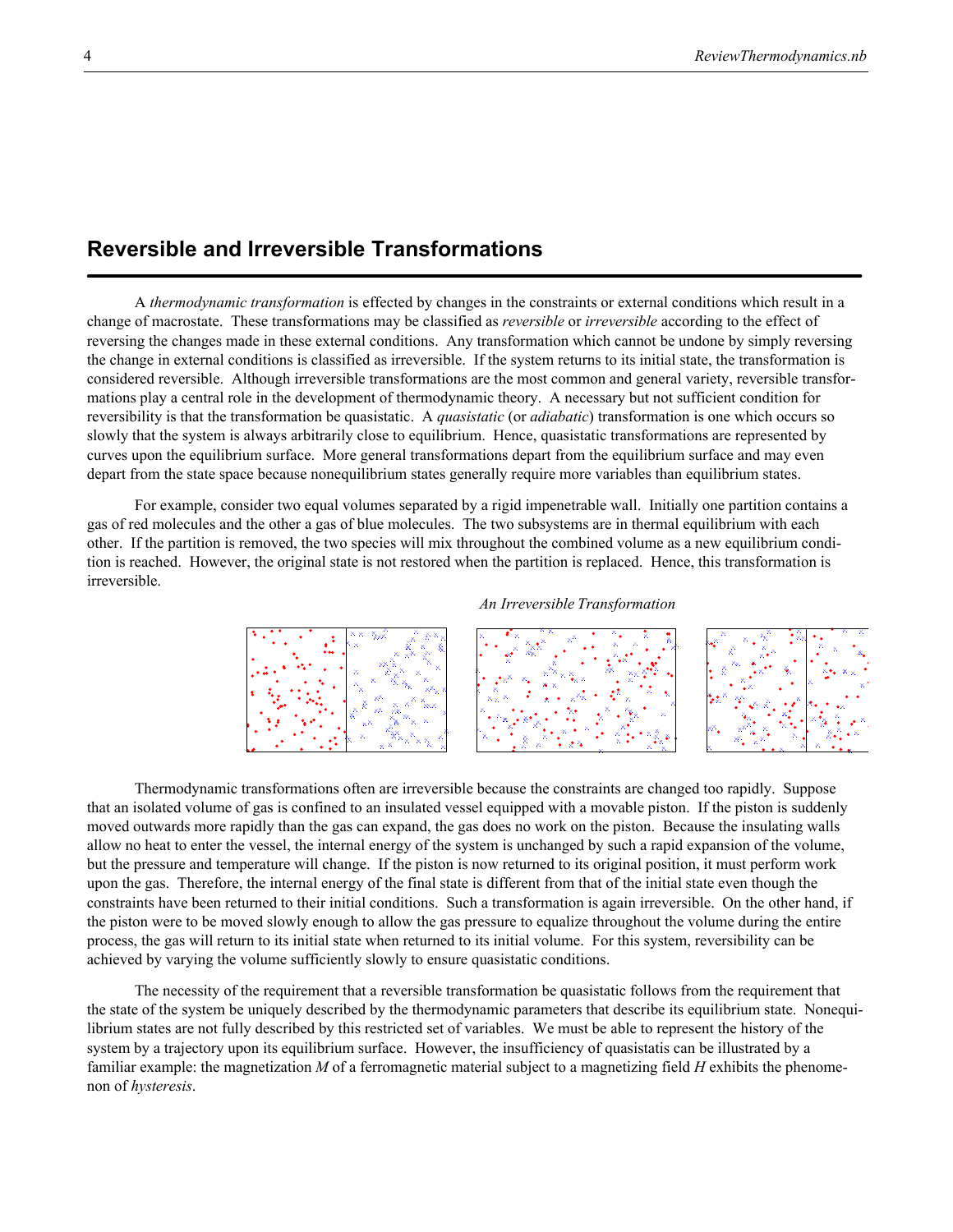# **Reversible and Irreversible Transformations**

A *thermodynamic transformation* is effected by changes in the constraints or external conditions which result in a change of macrostate. These transformations may be classified as *reversible* or *irreversible* according to the effect of reversing the changes made in these external conditions. Any transformation which cannot be undone by simply reversing the change in external conditions is classified as irreversible. If the system returns to its initial state, the transformation is considered reversible. Although irreversible transformations are the most common and general variety, reversible transformations play a central role in the development of thermodynamic theory. A necessary but not sufficient condition for reversibility is that the transformation be quasistatic. A *quasistatic* (or *adiabatic*) transformation is one which occurs so slowly that the system is always arbitrarily close to equilibrium. Hence, quasistatic transformations are represented by curves upon the equilibrium surface. More general transformations depart from the equilibrium surface and may even depart from the state space because nonequilibrium states generally require more variables than equilibrium states.

For example, consider two equal volumes separated by a rigid impenetrable wall. Initially one partition contains a gas of red molecules and the other a gas of blue molecules. The two subsystems are in thermal equilibrium with each other. If the partition is removed, the two species will mix throughout the combined volume as a new equilibrium condition is reached. However, the original state is not restored when the partition is replaced. Hence, this transformation is irreversible.

#### *An Irreversible Transformation*



Thermodynamic transformations often are irreversible because the constraints are changed too rapidly. Suppose that an isolated volume of gas is confined to an insulated vessel equipped with a movable piston. If the piston is suddenly moved outwards more rapidly than the gas can expand, the gas does no work on the piston. Because the insulating walls allow no heat to enter the vessel, the internal energy of the system is unchanged by such a rapid expansion of the volume, but the pressure and temperature will change. If the piston is now returned to its original position, it must perform work upon the gas. Therefore, the internal energy of the final state is different from that of the initial state even though the constraints have been returned to their initial conditions. Such a transformation is again irreversible. On the other hand, if the piston were to be moved slowly enough to allow the gas pressure to equalize throughout the volume during the entire process, the gas will return to its initial state when returned to its initial volume. For this system, reversibility can be achieved by varying the volume sufficiently slowly to ensure quasistatic conditions.

The necessity of the requirement that a reversible transformation be quasistatic follows from the requirement that the state of the system be uniquely described by the thermodynamic parameters that describe its equilibrium state. Nonequilibrium states are not fully described by this restricted set of variables. We must be able to represent the history of the system by a trajectory upon its equilibrium surface. However, the insufficiency of quasistatis can be illustrated by a familiar example: the magnetization *M* of a ferromagnetic material subject to a magnetizing field *H* exhibits the phenomenon of *hysteresis*.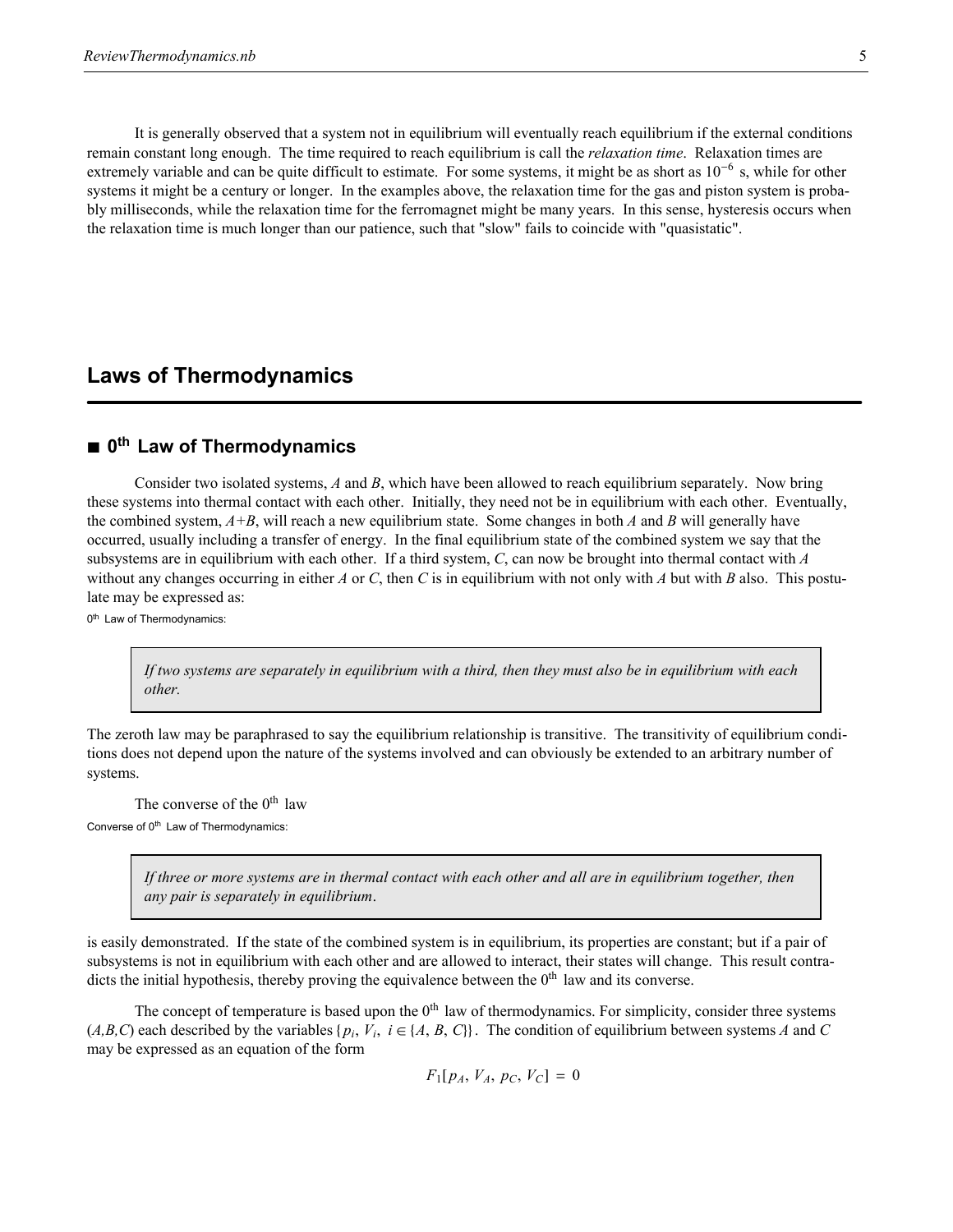It is generally observed that a system not in equilibrium will eventually reach equilibrium if the external conditions remain constant long enough. The time required to reach equilibrium is call the *relaxation time*. Relaxation times are extremely variable and can be quite difficult to estimate. For some systems, it might be as short as  $10^{-6}$  s, while for other systems it might be a century or longer. In the examples above, the relaxation time for the gas and piston system is probably milliseconds, while the relaxation time for the ferromagnet might be many years. In this sense, hysteresis occurs when the relaxation time is much longer than our patience, such that "slow" fails to coincide with "quasistatic".

### **Laws of Thermodynamics**

### ■ 0<sup>th</sup> Law of Thermodynamics

Consider two isolated systems, *A* and *B*, which have been allowed to reach equilibrium separately. Now bring these systems into thermal contact with each other. Initially, they need not be in equilibrium with each other. Eventually, the combined system, *A+B*, will reach a new equilibrium state. Some changes in both *A* and *B* will generally have occurred, usually including a transfer of energy. In the final equilibrium state of the combined system we say that the subsystems are in equilibrium with each other. If a third system, *C*, can now be brought into thermal contact with *A* without any changes occurring in either *A* or *C*, then *C* is in equilibrium with not only with *A* but with *B* also. This postulate may be expressed as:

0<sup>th</sup> Law of Thermodynamics:

*If two systems are separately in equilibrium with a third, then they must also be in equilibrium with each other.*

The zeroth law may be paraphrased to say the equilibrium relationship is transitive. The transitivity of equilibrium conditions does not depend upon the nature of the systems involved and can obviously be extended to an arbitrary number of systems.

The converse of the  $0<sup>th</sup>$  law Converse of 0<sup>th</sup> Law of Thermodynamics:

> *If three or more systems are in thermal contact with each other and all are in equilibrium together, then any pair is separately in equilibrium*.

is easily demonstrated. If the state of the combined system is in equilibrium, its properties are constant; but if a pair of subsystems is not in equilibrium with each other and are allowed to interact, their states will change. This result contradicts the initial hypothesis, thereby proving the equivalence between the  $0<sup>th</sup>$  law and its converse.

The concept of temperature is based upon the  $0<sup>th</sup>$  law of thermodynamics. For simplicity, consider three systems  $(A, B, C)$  each described by the variables  $\{p_i, V_i, i \in \{A, B, C\}\}\.$  The condition of equilibrium between systems *A* and *C* may be expressed as an equation of the form

 $F_1[p_4, V_4, p_C, V_C] = 0$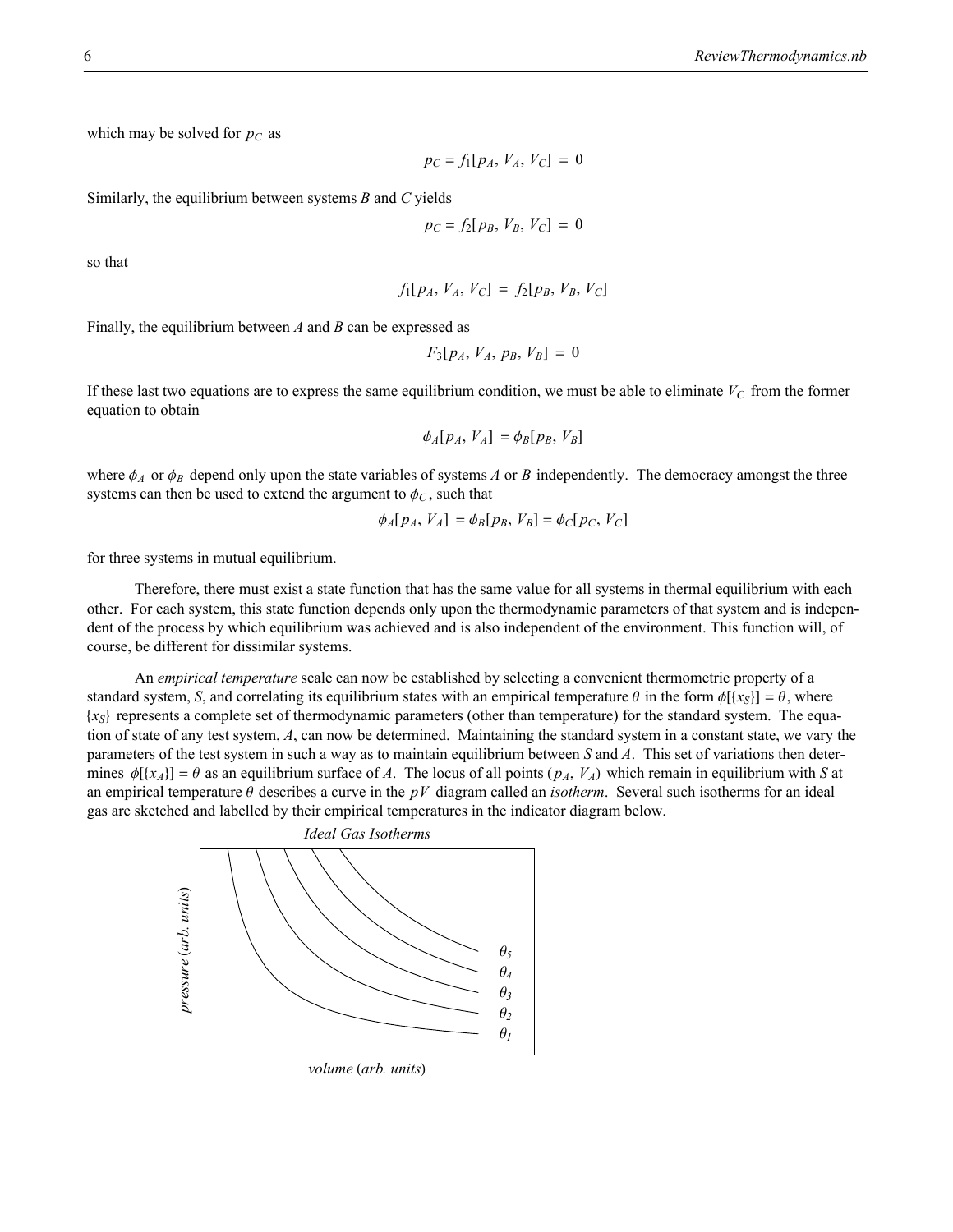which may be solved for  $p<sub>C</sub>$  as

$$
p_C = f_1[p_A, V_A, V_C] = 0
$$

Similarly, the equilibrium between systems *B* and *C* yields

$$
p_C = f_2[p_B, V_B, V_C] = 0
$$

so that

$$
f_1[p_A, V_A, V_C] = f_2[p_B, V_B, V_C]
$$

Finally, the equilibrium between *A* and *B* can be expressed as

$$
F_3[p_A, V_A, p_B, V_B] = 0
$$

If these last two equations are to express the same equilibrium condition, we must be able to eliminate  $V_C$  from the former equation to obtain

$$
\phi_A[p_A, V_A] = \phi_B[p_B, V_B]
$$

where  $\phi_A$  or  $\phi_B$  depend only upon the state variables of systems *A* or *B* independently. The democracy amongst the three systems can then be used to extend the argument to  $\phi_C$ , such that

$$
\phi_A[p_A, V_A] = \phi_B[p_B, V_B] = \phi_C[p_C, V_C]
$$

for three systems in mutual equilibrium.

Therefore, there must exist a state function that has the same value for all systems in thermal equilibrium with each other. For each system, this state function depends only upon the thermodynamic parameters of that system and is independent of the process by which equilibrium was achieved and is also independent of the environment. This function will, of course, be different for dissimilar systems.

An *empirical temperature* scale can now be established by selecting a convenient thermometric property of a standard system, *S*, and correlating its equilibrium states with an empirical temperature  $\theta$  in the form  $\phi[\{x_S\}] = \theta$ , where  $\{x_{S}\}\$  represents a complete set of thermodynamic parameters (other than temperature) for the standard system. The equation of state of any test system, *A*, can now be determined. Maintaining the standard system in a constant state, we vary the parameters of the test system in such a way as to maintain equilibrium between *S* and *A*. This set of variations then determines  $\phi[\{x_A\}] = \theta$  as an equilibrium surface of *A*. The locus of all points  $(p_A, V_A)$  which remain in equilibrium with *S* at an empirical temperature  $\theta$  describes a curve in the  $pV$  diagram called an *isotherm*. Several such isotherms for an ideal gas are sketched and labelled by their empirical temperatures in the indicator diagram below.



*volume* (arb. units)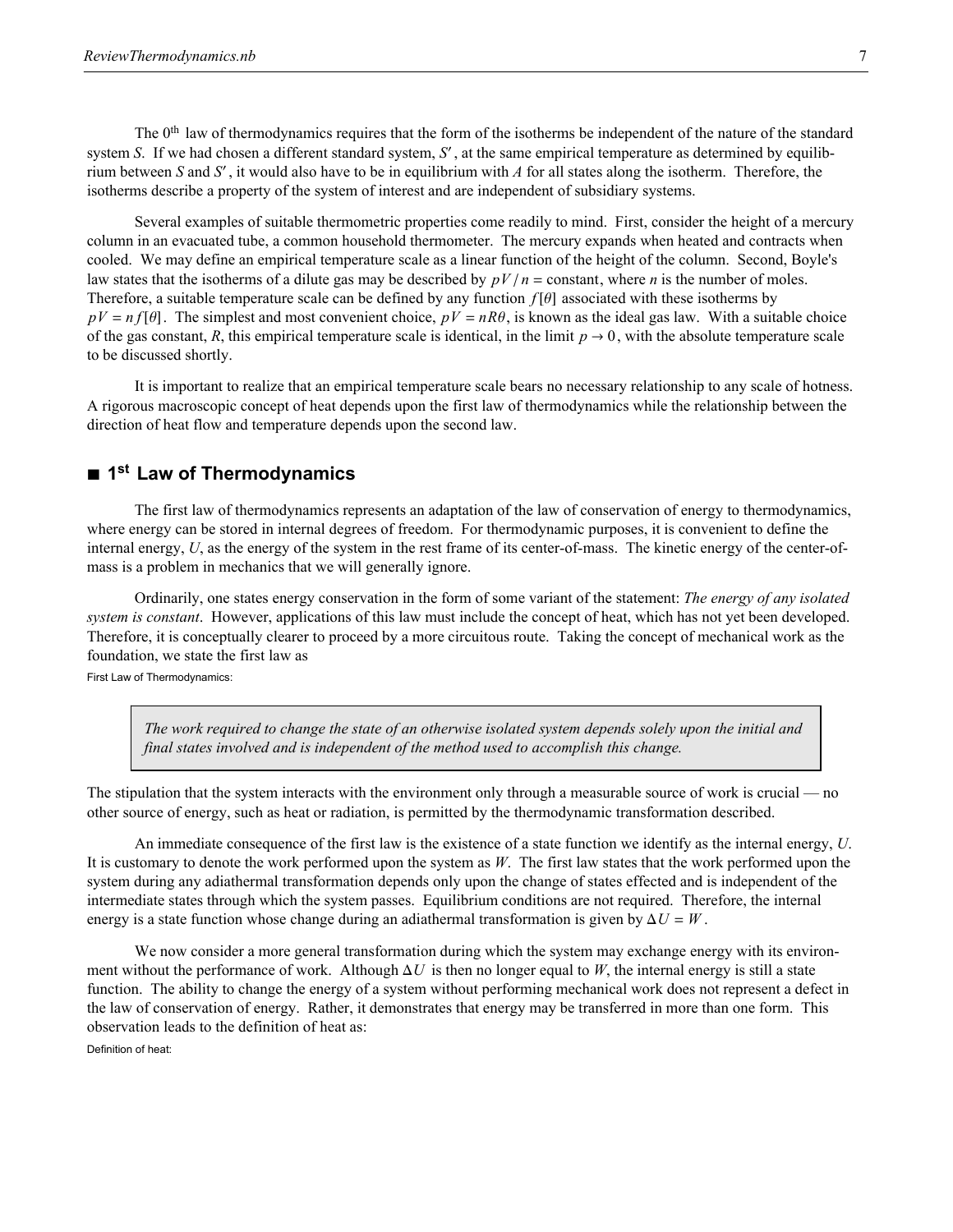The 0<sup>th</sup> law of thermodynamics requires that the form of the isotherms be independent of the nature of the standard system *S*. If we had chosen a different standard system, *S'*, at the same empirical temperature as determined by equilibrium between *S* and *S'*, it would also have to be in equilibrium with *A* for all states along the isotherm. Therefore, the isotherms describe a property of the system of interest and are independent of subsidiary systems.

Several examples of suitable thermometric properties come readily to mind. First, consider the height of a mercury column in an evacuated tube, a common household thermometer. The mercury expands when heated and contracts when cooled. We may define an empirical temperature scale as a linear function of the height of the column. Second, Boyle's law states that the isotherms of a dilute gas may be described by  $pV/n = \text{constant}$ , where *n* is the number of moles. Therefore, a suitable temperature scale can be defined by any function  $f[\theta]$  associated with these isotherms by  $pV = nf[\theta]$ . The simplest and most convenient choice,  $pV = nR\theta$ , is known as the ideal gas law. With a suitable choice of the gas constant, *R*, this empirical temperature scale is identical, in the limit  $p \to 0$ , with the absolute temperature scale to be discussed shortly.

It is important to realize that an empirical temperature scale bears no necessary relationship to any scale of hotness. A rigorous macroscopic concept of heat depends upon the first law of thermodynamics while the relationship between the direction of heat flow and temperature depends upon the second law.

### ■ 1<sup>st</sup> Law of Thermodynamics

The first law of thermodynamics represents an adaptation of the law of conservation of energy to thermodynamics, where energy can be stored in internal degrees of freedom. For thermodynamic purposes, it is convenient to define the internal energy, *U*, as the energy of the system in the rest frame of its center-of-mass. The kinetic energy of the center-ofmass is a problem in mechanics that we will generally ignore.

Ordinarily, one states energy conservation in the form of some variant of the statement: *The energy of any isolated system is constant*. However, applications of this law must include the concept of heat, which has not yet been developed. Therefore, it is conceptually clearer to proceed by a more circuitous route. Taking the concept of mechanical work as the foundation, we state the first law as

First Law of Thermodynamics:

*The work required to change the state of an otherwise isolated system depends solely upon the initial and final states involved and is independent of the method used to accomplish this change.*

The stipulation that the system interacts with the environment only through a measurable source of work is crucial — no other source of energy, such as heat or radiation, is permitted by the thermodynamic transformation described.

An immediate consequence of the first law is the existence of a state function we identify as the internal energy, *U*. It is customary to denote the work performed upon the system as *W*. The first law states that the work performed upon the system during any adiathermal transformation depends only upon the change of states effected and is independent of the intermediate states through which the system passes. Equilibrium conditions are not required. Therefore, the internal energy is a state function whose change during an adiathermal transformation is given by  $\Delta U = W$ .

We now consider a more general transformation during which the system may exchange energy with its environment without the performance of work. Although  $\Delta U$  is then no longer equal to *W*, the internal energy is still a state function. The ability to change the energy of a system without performing mechanical work does not represent a defect in the law of conservation of energy. Rather, it demonstrates that energy may be transferred in more than one form. This observation leads to the definition of heat as:

Definition of heat: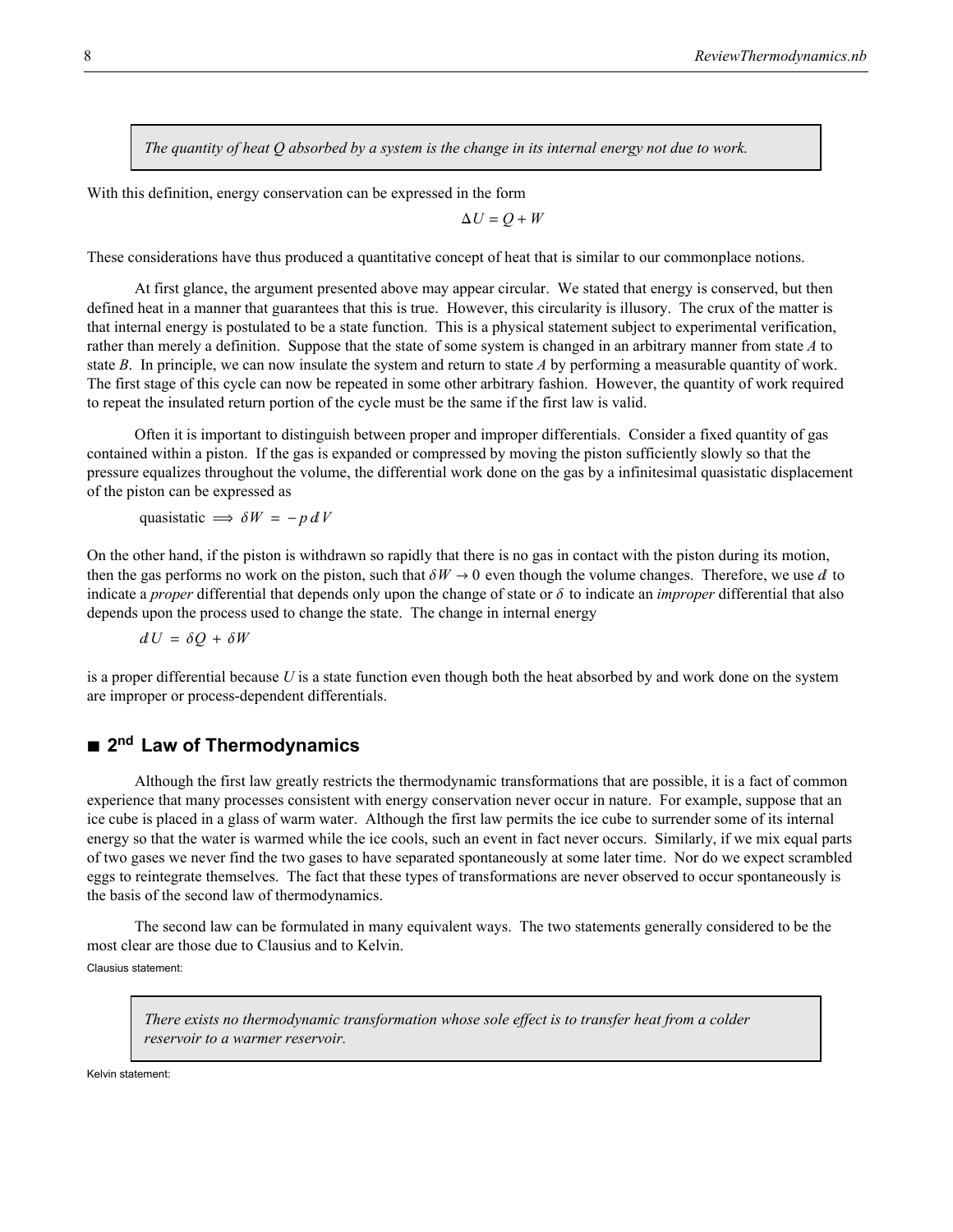*The quantity of heat Q absorbed by a system is the change in its internal energy not due to work.*

With this definition, energy conservation can be expressed in the form

$$
\Delta U = Q + W
$$

These considerations have thus produced a quantitative concept of heat that is similar to our commonplace notions.

At first glance, the argument presented above may appear circular. We stated that energy is conserved, but then defined heat in a manner that guarantees that this is true. However, this circularity is illusory. The crux of the matter is that internal energy is postulated to be a state function. This is a physical statement subject to experimental verification, rather than merely a definition. Suppose that the state of some system is changed in an arbitrary manner from state *A* to state *B*. In principle, we can now insulate the system and return to state *A* by performing a measurable quantity of work. The first stage of this cycle can now be repeated in some other arbitrary fashion. However, the quantity of work required to repeat the insulated return portion of the cycle must be the same if the first law is valid.

Often it is important to distinguish between proper and improper differentials. Consider a fixed quantity of gas contained within a piston. If the gas is expanded or compressed by moving the piston sufficiently slowly so that the pressure equalizes throughout the volume, the differential work done on the gas by a infinitesimal quasistatic displacement of the piston can be expressed as

quasistatic  $\implies \delta W = -p dV$ 

On the other hand, if the piston is withdrawn so rapidly that there is no gas in contact with the piston during its motion, then the gas performs no work on the piston, such that  $\delta W \to 0$  even though the volume changes. Therefore, we use d to indicate a *proper* differential that depends only upon the change of state or  $\delta$  to indicate an *improper* differential that also depends upon the process used to change the state. The change in internal energy

$$
dU = \delta Q + \delta W
$$

is a proper differential because *U* is a state function even though both the heat absorbed by and work done on the system are improper or process-dependent differentials.

### ■ 2<sup>nd</sup> Law of Thermodynamics

Although the first law greatly restricts the thermodynamic transformations that are possible, it is a fact of common experience that many processes consistent with energy conservation never occur in nature. For example, suppose that an ice cube is placed in a glass of warm water. Although the first law permits the ice cube to surrender some of its internal energy so that the water is warmed while the ice cools, such an event in fact never occurs. Similarly, if we mix equal parts of two gases we never find the two gases to have separated spontaneously at some later time. Nor do we expect scrambled eggs to reintegrate themselves. The fact that these types of transformations are never observed to occur spontaneously is the basis of the second law of thermodynamics.

The second law can be formulated in many equivalent ways. The two statements generally considered to be the most clear are those due to Clausius and to Kelvin. Clausius statement:

*There exists no thermodynamic transformation whose sole effect is to transfer heat from a colder reservoir to a warmer reservoir.*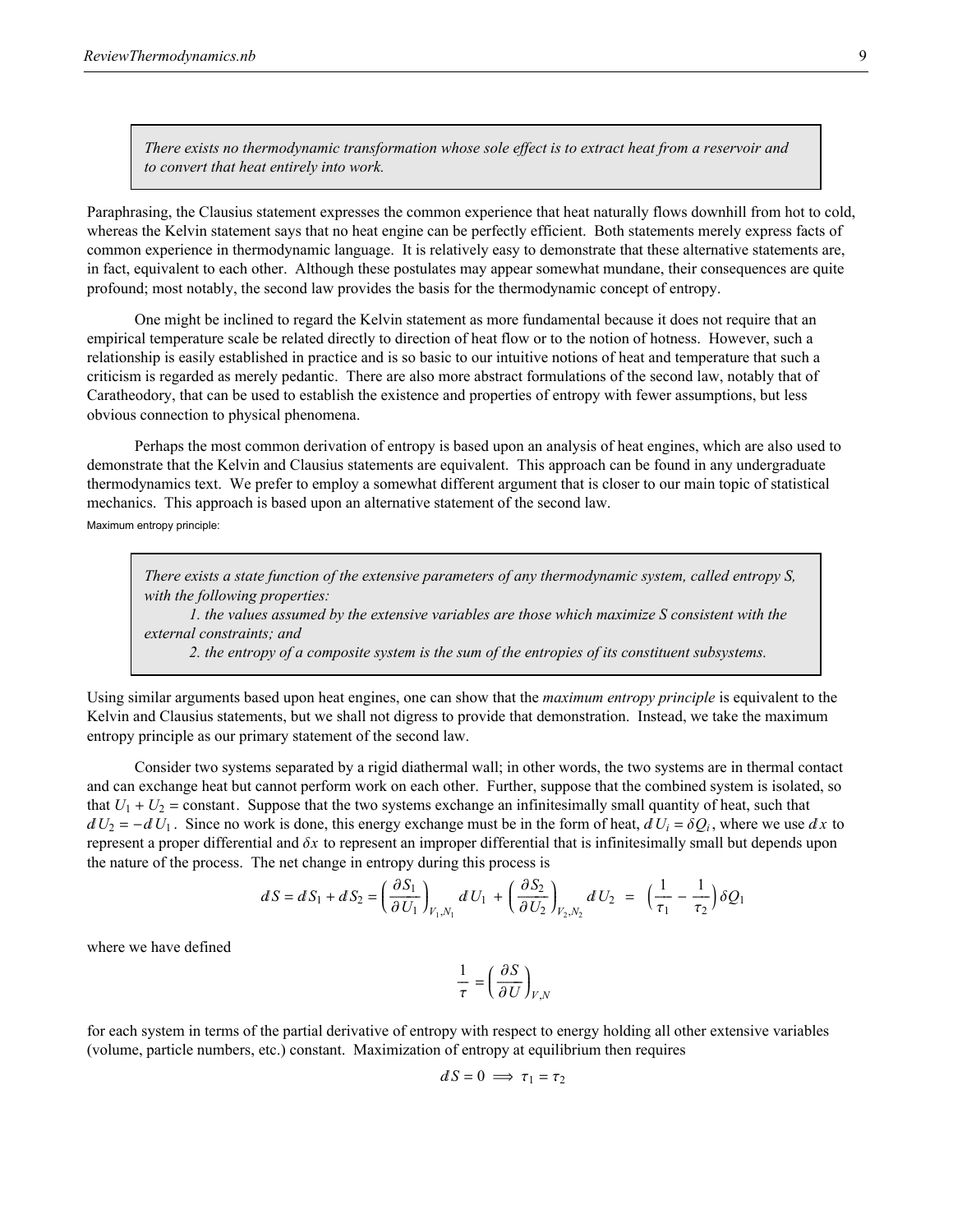*There exists no thermodynamic transformation whose sole effect is to extract heat from a reservoir and to convert that heat entirely into work.*

Paraphrasing, the Clausius statement expresses the common experience that heat naturally flows downhill from hot to cold, whereas the Kelvin statement says that no heat engine can be perfectly efficient. Both statements merely express facts of common experience in thermodynamic language. It is relatively easy to demonstrate that these alternative statements are, in fact, equivalent to each other. Although these postulates may appear somewhat mundane, their consequences are quite profound; most notably, the second law provides the basis for the thermodynamic concept of entropy.

One might be inclined to regard the Kelvin statement as more fundamental because it does not require that an empirical temperature scale be related directly to direction of heat flow or to the notion of hotness. However, such a relationship is easily established in practice and is so basic to our intuitive notions of heat and temperature that such a criticism is regarded as merely pedantic. There are also more abstract formulations of the second law, notably that of Caratheodory, that can be used to establish the existence and properties of entropy with fewer assumptions, but less obvious connection to physical phenomena.

Perhaps the most common derivation of entropy is based upon an analysis of heat engines, which are also used to demonstrate that the Kelvin and Clausius statements are equivalent. This approach can be found in any undergraduate thermodynamics text. We prefer to employ a somewhat different argument that is closer to our main topic of statistical mechanics. This approach is based upon an alternative statement of the second law.

Maximum entropy principle:

*There exists a state function of the extensive parameters of any thermodynamic system, called entropy S, with the following properties:*

*1. the values assumed by the extensive variables are those which maximize S consistent with the external constraints; and*

*2. the entropy of a composite system is the sum of the entropies of its constituent subsystems.*

Using similar arguments based upon heat engines, one can show that the *maximum entropy principle* is equivalent to the Kelvin and Clausius statements, but we shall not digress to provide that demonstration. Instead, we take the maximum entropy principle as our primary statement of the second law.

Consider two systems separated by a rigid diathermal wall; in other words, the two systems are in thermal contact and can exchange heat but cannot perform work on each other. Further, suppose that the combined system is isolated, so that  $U_1 + U_2$  = constant. Suppose that the two systems exchange an infinitesimally small quantity of heat, such that  $dU_2 = -dU_1$ . Since no work is done, this energy exchange must be in the form of heat,  $dU_i = \delta Q_i$ , where we use  $dx$  to represent a proper differential and d*x* to represent an improper differential that is infinitesimally small but depends upon the nature of the process. The net change in entropy during this process is

$$
dS = dS_1 + dS_2 = \left(\frac{\partial S_1}{\partial U_1}\right)_{V_1, V_1} dU_1 + \left(\frac{\partial S_2}{\partial U_2}\right)_{V_2, V_2} dU_2 = \left(\frac{1}{\tau_1} - \frac{1}{\tau_2}\right) \delta Q_1
$$

where we have defined

$$
\frac{1}{\tau} = \left(\frac{\partial S}{\partial U}\right)_{V,N}
$$

for each system in terms of the partial derivative of entropy with respect to energy holding all other extensive variables (volume, particle numbers, etc.) constant. Maximization of entropy at equilibrium then requires

$$
dS = 0 \implies \tau_1 = \tau_2
$$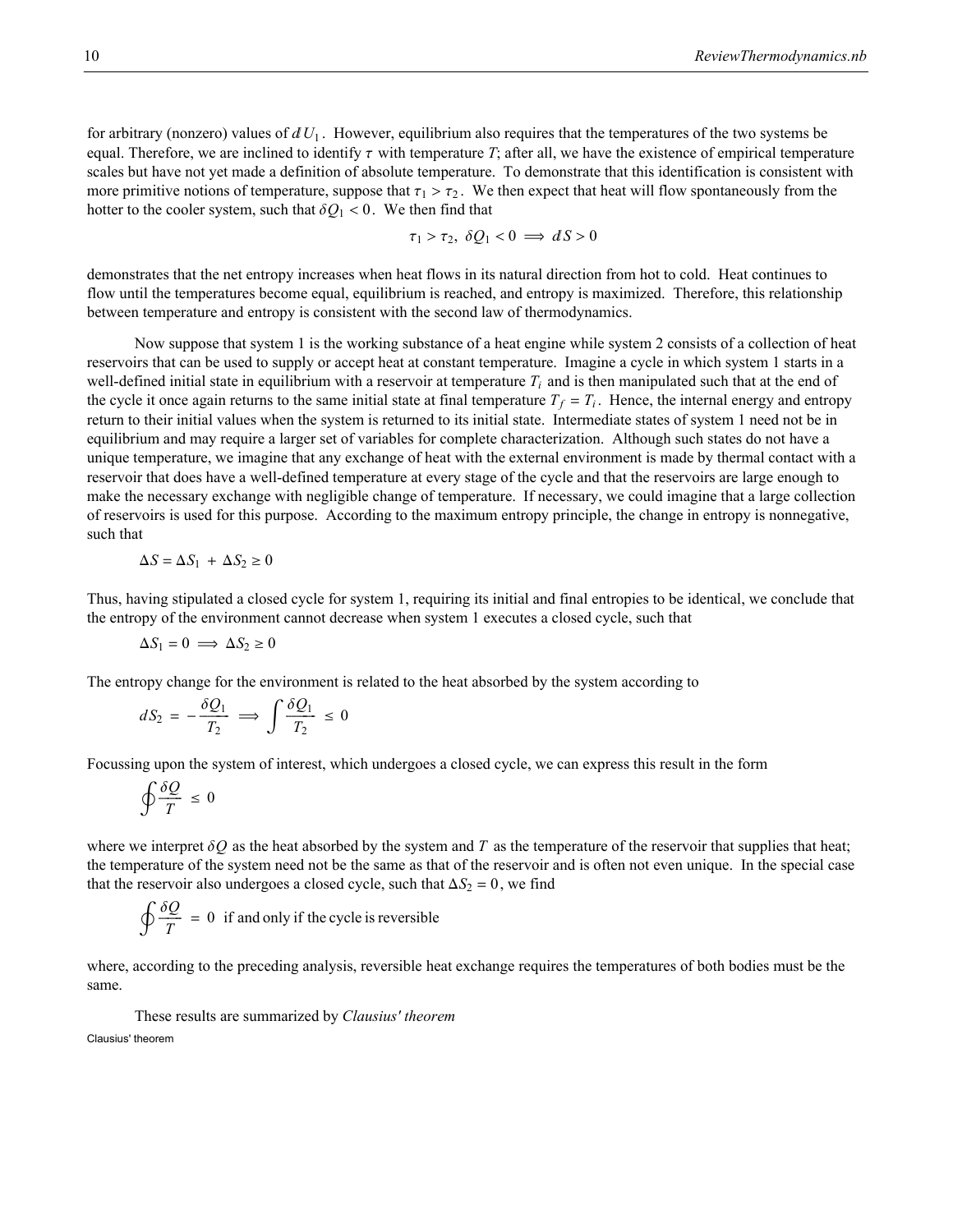for arbitrary (nonzero) values of  $dU_1$ . However, equilibrium also requires that the temperatures of the two systems be equal. Therefore, we are inclined to identify  $\tau$  with temperature *T*; after all, we have the existence of empirical temperature scales but have not yet made a definition of absolute temperature. To demonstrate that this identification is consistent with more primitive notions of temperature, suppose that  $\tau_1 > \tau_2$ . We then expect that heat will flow spontaneously from the hotter to the cooler system, such that  $\delta Q_1 < 0$ . We then find that

$$
\tau_1 > \tau_2, \ \delta Q_1 < 0 \implies dS > 0
$$

demonstrates that the net entropy increases when heat flows in its natural direction from hot to cold. Heat continues to flow until the temperatures become equal, equilibrium is reached, and entropy is maximized. Therefore, this relationship between temperature and entropy is consistent with the second law of thermodynamics.

Now suppose that system 1 is the working substance of a heat engine while system 2 consists of a collection of heat reservoirs that can be used to supply or accept heat at constant temperature. Imagine a cycle in which system 1 starts in a well-defined initial state in equilibrium with a reservoir at temperature  $T_i$  and is then manipulated such that at the end of the cycle it once again returns to the same initial state at final temperature  $T_f = T_i$ . Hence, the internal energy and entropy return to their initial values when the system is returned to its initial state. Intermediate states of system 1 need not be in equilibrium and may require a larger set of variables for complete characterization. Although such states do not have a unique temperature, we imagine that any exchange of heat with the external environment is made by thermal contact with a reservoir that does have a well-defined temperature at every stage of the cycle and that the reservoirs are large enough to make the necessary exchange with negligible change of temperature. If necessary, we could imagine that a large collection of reservoirs is used for this purpose. According to the maximum entropy principle, the change in entropy is nonnegative, such that

$$
\Delta S = \Delta S_1 + \Delta S_2 \ge 0
$$

Thus, having stipulated a closed cycle for system 1, requiring its initial and final entropies to be identical, we conclude that the entropy of the environment cannot decrease when system 1 executes a closed cycle, such that

$$
\Delta S_1 = 0 \implies \Delta S_2 \ge 0
$$

The entropy change for the environment is related to the heat absorbed by the system according to

$$
dS_2 = -\frac{\delta Q_1}{T_2} \implies \int \frac{\delta Q_1}{T_2} \leq 0
$$

Focussing upon the system of interest, which undergoes a closed cycle, we can express this result in the form

$$
\oint \frac{\delta Q}{T} \leq 0
$$

where we interpret  $\delta Q$  as the heat absorbed by the system and  $T$  as the temperature of the reservoir that supplies that heat; the temperature of the system need not be the same as that of the reservoir and is often not even unique. In the special case that the reservoir also undergoes a closed cycle, such that  $\Delta S_2 = 0$ , we find

$$
\oint \frac{\delta Q}{T} = 0
$$
 if and only if the cycle is reversible

where, according to the preceding analysis, reversible heat exchange requires the temperatures of both bodies must be the same.

These results are summarized by *Clausius' theorem*

Clausius' theorem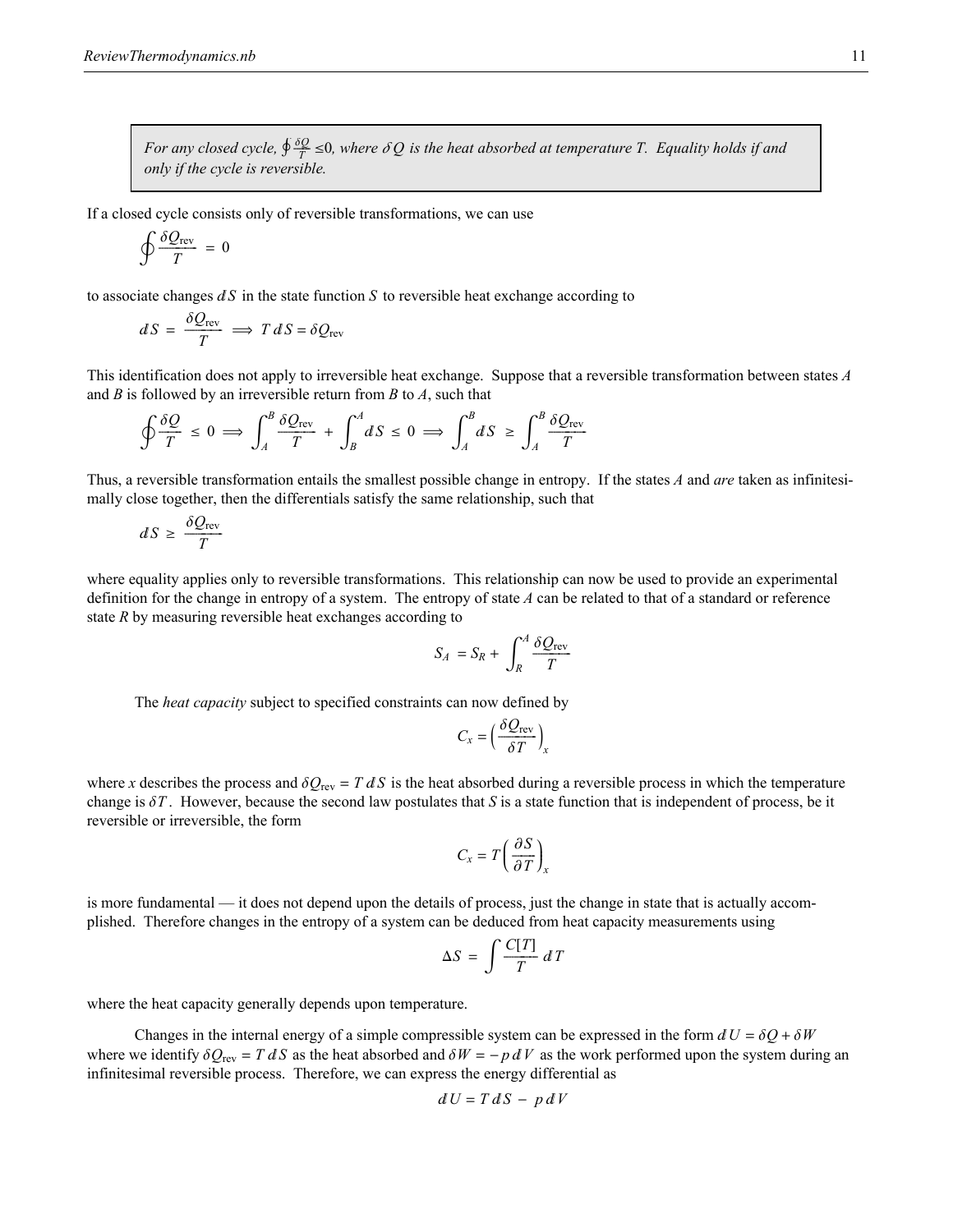*For any closed cycle,*  $\oint \frac{\delta Q}{T} \leq 0$ , where  $\delta Q$  is the heat absorbed at temperature T. Equality holds if and *only if the cycle is reversible.*

If a closed cycle consists only of reversible transformations, we can use

$$
\oint \frac{\delta Q_{\text{rev}}}{T} = 0
$$

to associate changes  $dS$  in the state function *S* to reversible heat exchange according to

$$
dS = \frac{\delta Q_{\text{rev}}}{T} \implies T dS = \delta Q_{\text{rev}}
$$

This identification does not apply to irreversible heat exchange. Suppose that a reversible transformation between states *A* and *B* is followed by an irreversible return from *B* to *A*, such that

$$
\oint \frac{\delta Q}{T} \le 0 \implies \int_A^B \frac{\delta Q_{\text{rev}}}{T} + \int_B^A dS \le 0 \implies \int_A^B dS \ge \int_A^B \frac{\delta Q_{\text{rev}}}{T}
$$

Thus, a reversible transformation entails the smallest possible change in entropy. If the states *A* and *are* taken as infinitesimally close together, then the differentials satisfy the same relationship, such that

$$
dS \geq \frac{\delta Q_{\text{rev}}}{T}
$$

where equality applies only to reversible transformations. This relationship can now be used to provide an experimental definition for the change in entropy of a system. The entropy of state *A* can be related to that of a standard or reference state *R* by measuring reversible heat exchanges according to

$$
S_A = S_R + \int_R^A \frac{\delta Q_{\text{rev}}}{T}
$$

The *heat capacity* subject to specified constraints can now defined by

$$
C_x = \left(\frac{\delta Q_{\text{rev}}}{\delta T}\right)_x
$$

where *x* describes the process and  $\delta Q_{\text{rev}} = T dS$  is the heat absorbed during a reversible process in which the temperature change is  $\delta T$ . However, because the second law postulates that *S* is a state function that is independent of process, be it reversible or irreversible, the form

$$
C_x = T \left(\frac{\partial S}{\partial T}\right)_x
$$

is more fundamental — it does not depend upon the details of process, just the change in state that is actually accomplished. Therefore changes in the entropy of a system can be deduced from heat capacity measurements using

$$
\Delta S = \int \frac{C[T]}{T} \, dT
$$

where the heat capacity generally depends upon temperature.

Changes in the internal energy of a simple compressible system can be expressed in the form  $dU = \delta Q + \delta W$ where we identify  $\delta Q_{\text{rev}} = T dS$  as the heat absorbed and  $\delta W = -p dV$  as the work performed upon the system during an infinitesimal reversible process. Therefore, we can express the energy differential as

$$
dU = T dS - p dV
$$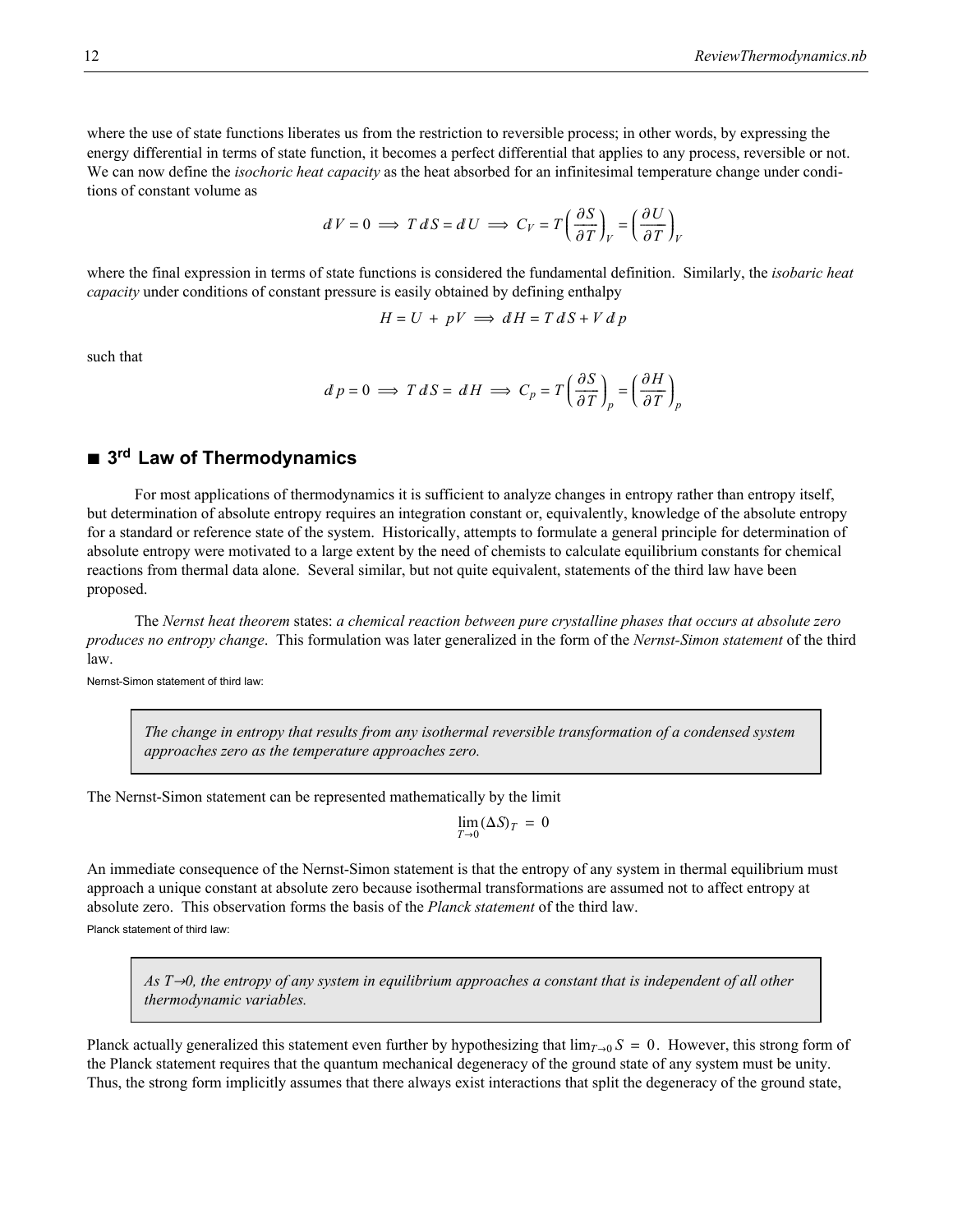where the use of state functions liberates us from the restriction to reversible process; in other words, by expressing the energy differential in terms of state function, it becomes a perfect differential that applies to any process, reversible or not. We can now define the *isochoric heat capacity* as the heat absorbed for an infinitesimal temperature change under conditions of constant volume as

$$
dV = 0 \implies T dS = dU \implies C_V = T \left(\frac{\partial S}{\partial T}\right)_V = \left(\frac{\partial U}{\partial T}\right)_V
$$

where the final expression in terms of state functions is considered the fundamental definition. Similarly, the *isobaric heat capacity* under conditions of constant pressure is easily obtained by defining enthalpy

$$
H = U + pV \implies dH = T dS + V d p
$$

such that

$$
d p = 0 \implies T dS = dH \implies C_p = T \left(\frac{\partial S}{\partial T}\right)_p = \left(\frac{\partial H}{\partial T}\right)_p
$$

### ■ 3<sup>rd</sup> Law of Thermodynamics

For most applications of thermodynamics it is sufficient to analyze changes in entropy rather than entropy itself, but determination of absolute entropy requires an integration constant or, equivalently, knowledge of the absolute entropy for a standard or reference state of the system. Historically, attempts to formulate a general principle for determination of absolute entropy were motivated to a large extent by the need of chemists to calculate equilibrium constants for chemical reactions from thermal data alone. Several similar, but not quite equivalent, statements of the third law have been proposed.

The *Nernst heat theorem* states: *a chemical reaction between pure crystalline phases that occurs at absolute zero produces no entropy change*. This formulation was later generalized in the form of the *Nernst-Simon statement* of the third law.

Nernst-Simon statement of third law:

*The change in entropy that results from any isothermal reversible transformation of a condensed system approaches zero as the temperature approaches zero.*

The Nernst-Simon statement can be represented mathematically by the limit

$$
\lim_{T\to 0} (\Delta S)_T\,=\,0
$$

An immediate consequence of the Nernst-Simon statement is that the entropy of any system in thermal equilibrium must approach a unique constant at absolute zero because isothermal transformations are assumed not to affect entropy at absolute zero. This observation forms the basis of the *Planck statement* of the third law. Planck statement of third law:

*As T*→0, the entropy of any system in equilibrium approaches a constant that is independent of all other *thermodynamic variables.*

Planck actually generalized this statement even further by hypothesizing that  $\lim_{T\to 0} S = 0$ . However, this strong form of the Planck statement requires that the quantum mechanical degeneracy of the ground state of any system must be unity. Thus, the strong form implicitly assumes that there always exist interactions that split the degeneracy of the ground state,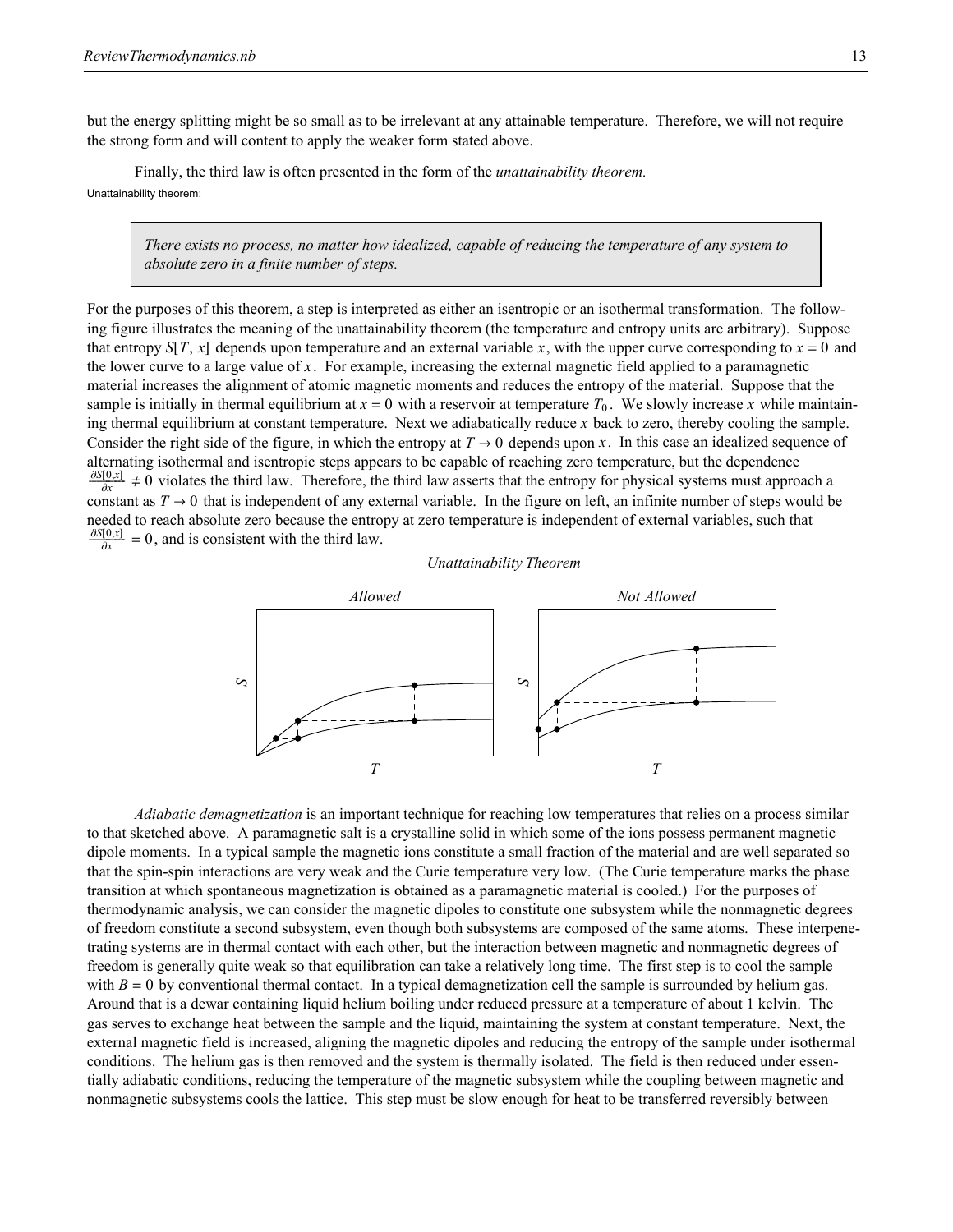but the energy splitting might be so small as to be irrelevant at any attainable temperature. Therefore, we will not require the strong form and will content to apply the weaker form stated above.

Finally, the third law is often presented in the form of the *unattainability theorem.* Unattainability theorem:

> *There exists no process, no matter how idealized, capable of reducing the temperature of any system to absolute zero in a finite number of steps.*

For the purposes of this theorem, a step is interpreted as either an isentropic or an isothermal transformation. The following figure illustrates the meaning of the unattainability theorem (the temperature and entropy units are arbitrary). Suppose that entropy  $S[T, x]$  depends upon temperature and an external variable x, with the upper curve corresponding to  $x = 0$  and the lower curve to a large value of *x*. For example, increasing the external magnetic field applied to a paramagnetic material increases the alignment of atomic magnetic moments and reduces the entropy of the material. Suppose that the sample is initially in thermal equilibrium at  $x = 0$  with a reservoir at temperature  $T_0$ . We slowly increase x while maintaining thermal equilibrium at constant temperature. Next we adiabatically reduce *x* back to zero, thereby cooling the sample. Consider the right side of the figure, in which the entropy at  $T \to 0$  depends upon x. In this case an idealized sequence of alternating isothermal and isentropic steps appears to be capable of reaching zero temperature, but the dependence  $\frac{\partial S[0,x]}{\partial x^2} \neq 0$  violates the third law. Therefore, the third law asserts that the entropy for physical systems must approach a constant as  $T \to 0$  that is independent of any external variable. In the figure on left, an infinite number of steps would be needed to reach absolute zero because the entropy at zero temperature is independent of external variables, such that  $rac{\partial S[0,x]}{\partial x} = 0$ , and is consistent with the third law.





*Adiabatic demagnetization* is an important technique for reaching low temperatures that relies on a process similar to that sketched above. A paramagnetic salt is a crystalline solid in which some of the ions possess permanent magnetic dipole moments. In a typical sample the magnetic ions constitute a small fraction of the material and are well separated so that the spin-spin interactions are very weak and the Curie temperature very low. (The Curie temperature marks the phase transition at which spontaneous magnetization is obtained as a paramagnetic material is cooled.) For the purposes of thermodynamic analysis, we can consider the magnetic dipoles to constitute one subsystem while the nonmagnetic degrees of freedom constitute a second subsystem, even though both subsystems are composed of the same atoms. These interpenetrating systems are in thermal contact with each other, but the interaction between magnetic and nonmagnetic degrees of freedom is generally quite weak so that equilibration can take a relatively long time. The first step is to cool the sample with  $B = 0$  by conventional thermal contact. In a typical demagnetization cell the sample is surrounded by helium gas. Around that is a dewar containing liquid helium boiling under reduced pressure at a temperature of about 1 kelvin. The gas serves to exchange heat between the sample and the liquid, maintaining the system at constant temperature. Next, the external magnetic field is increased, aligning the magnetic dipoles and reducing the entropy of the sample under isothermal conditions. The helium gas is then removed and the system is thermally isolated. The field is then reduced under essentially adiabatic conditions, reducing the temperature of the magnetic subsystem while the coupling between magnetic and nonmagnetic subsystems cools the lattice. This step must be slow enough for heat to be transferred reversibly between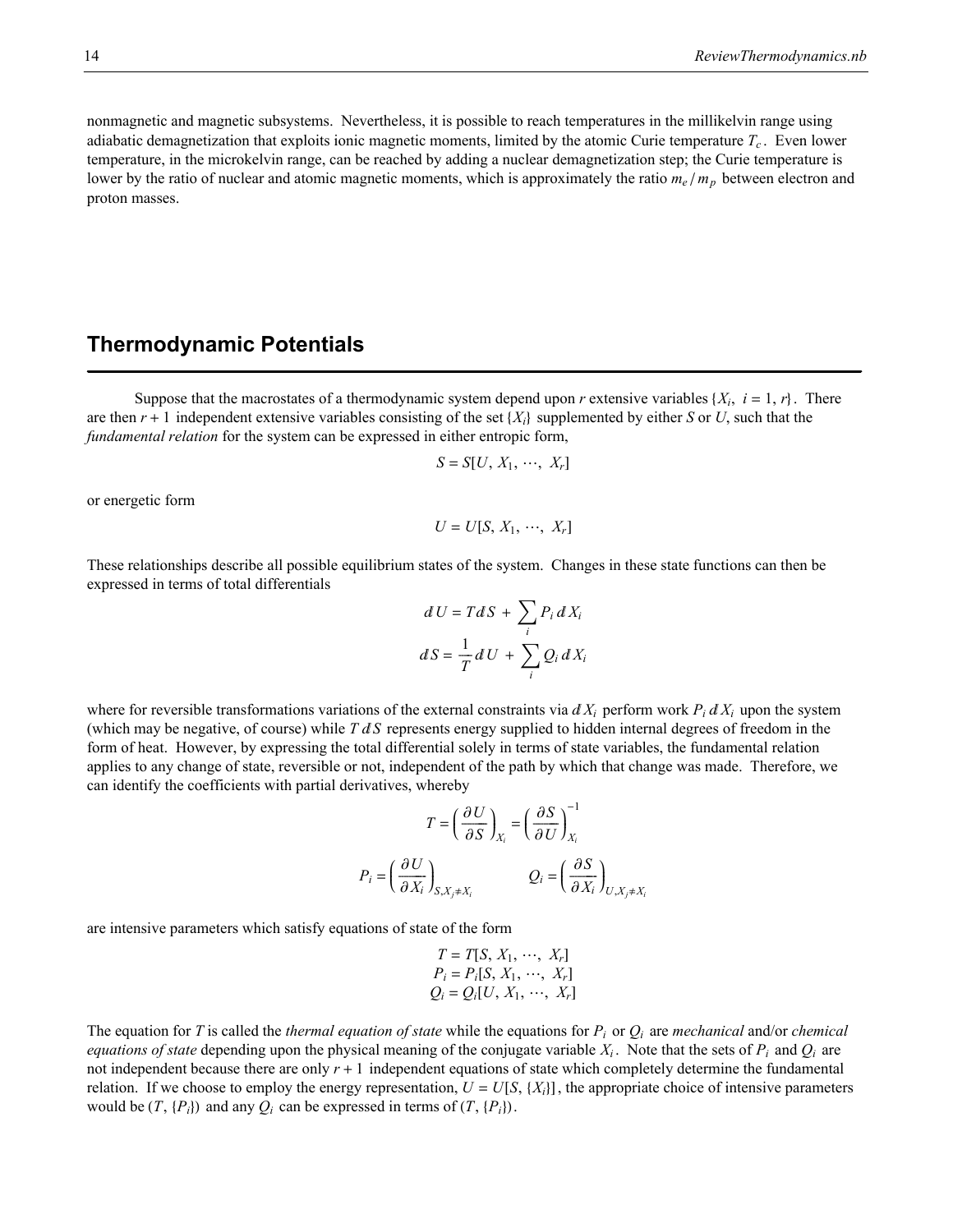nonmagnetic and magnetic subsystems. Nevertheless, it is possible to reach temperatures in the millikelvin range using adiabatic demagnetization that exploits ionic magnetic moments, limited by the atomic Curie temperature  $T_c$ . Even lower temperature, in the microkelvin range, can be reached by adding a nuclear demagnetization step; the Curie temperature is lower by the ratio of nuclear and atomic magnetic moments, which is approximately the ratio  $m_e / m_p$  between electron and proton masses.

### **Thermodynamic Potentials**

Suppose that the macrostates of a thermodynamic system depend upon *r* extensive variables  $\{X_i, i = 1, r\}$ . There are then  $r + 1$  independent extensive variables consisting of the set  $\{X_i\}$  supplemented by either *S* or *U*, such that the *fundamental relation* for the system can be expressed in either entropic form,

$$
S = S[U, X_1, \cdots, X_r]
$$

or energetic form

$$
U = U[S, X_1, \cdots, X_r]
$$

These relationships describe all possible equilibrium states of the system. Changes in these state functions can then be expressed in terms of total differentials

$$
dU = T dS + \sum_{i} P_i dX_i
$$

$$
dS = \frac{1}{T} dU + \sum_{i} Q_i dX_i
$$

where for reversible transformations variations of the external constraints via  $dX_i$  perform work  $P_i dX_i$  upon the system (which may be negative, of course) while  $T dS$  represents energy supplied to hidden internal degrees of freedom in the form of heat. However, by expressing the total differential solely in terms of state variables, the fundamental relation applies to any change of state, reversible or not, independent of the path by which that change was made. Therefore, we can identify the coefficients with partial derivatives, whereby

$$
T = \left(\frac{\partial U}{\partial S}\right)_{X_i} = \left(\frac{\partial S}{\partial U}\right)_{X_i}^{-1}
$$

$$
P_i = \left(\frac{\partial U}{\partial X_i}\right)_{S, X_j \neq X_i} Q_i = \left(\frac{\partial S}{\partial X_i}\right)_{U, X_j \neq X_i}
$$

are intensive parameters which satisfy equations of state of the form

$$
T = T[S, X_1, \cdots, X_r]
$$
  
\n
$$
P_i = P_i[S, X_1, \cdots, X_r]
$$
  
\n
$$
Q_i = Q_i[U, X_1, \cdots, X_r]
$$

The equation for *T* is called the *thermal equation of state* while the equations for  $P_i$  or  $Q_i$  are *mechanical* and/or *chemical equations of state* depending upon the physical meaning of the conjugate variable  $X_i$ . Note that the sets of  $P_i$  and  $Q_i$  are not independent because there are only *r* + 1 independent equations of state which completely determine the fundamental relation. If we choose to employ the energy representation,  $U = U[S, \{X_i\}]$ , the appropriate choice of intensive parameters would be  $(T, {P_i})$  and any  $Q_i$  can be expressed in terms of  $(T, {P_i})$ .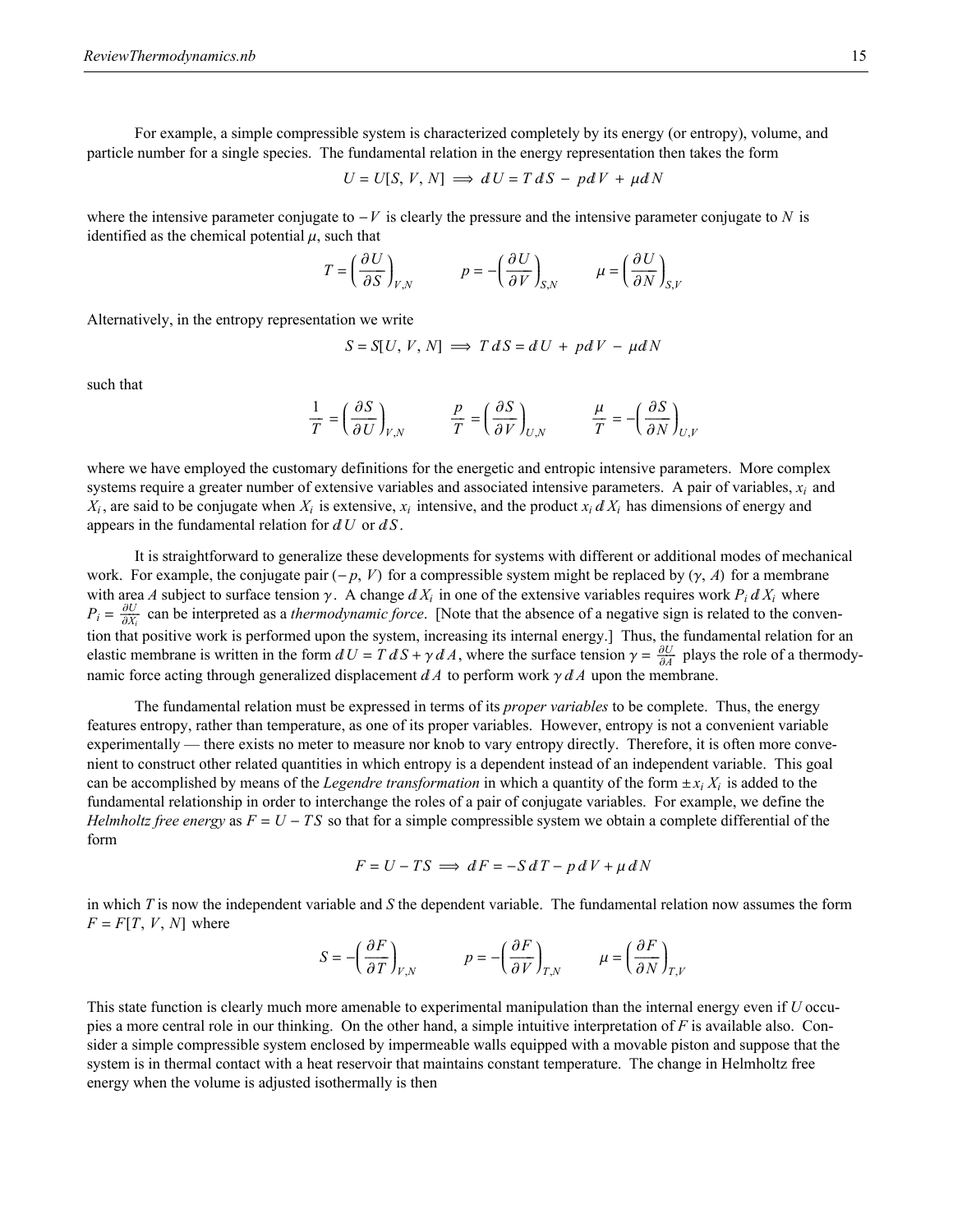For example, a simple compressible system is characterized completely by its energy (or entropy), volume, and particle number for a single species. The fundamental relation in the energy representation then takes the form

$$
U = U[S, V, N] \implies dU = T dS - pdV + \mu dN
$$

where the intensive parameter conjugate to  $-V$  is clearly the pressure and the intensive parameter conjugate to *N* is identified as the chemical potential  $\mu$ , such that

$$
T = \left(\frac{\partial U}{\partial S}\right)_{V,N} \qquad p = -\left(\frac{\partial U}{\partial V}\right)_{S,N} \qquad \mu = \left(\frac{\partial U}{\partial N}\right)_{S,V}
$$

Alternatively, in the entropy representation we write

$$
S = S[U, V, N] \implies T dS = dU + pdV - \mu dN
$$

such that

$$
\frac{1}{T} = \left(\frac{\partial S}{\partial U}\right)_{V,N} \qquad \frac{p}{T} = \left(\frac{\partial S}{\partial V}\right)_{U,N} \qquad \frac{\mu}{T} = -\left(\frac{\partial S}{\partial N}\right)_{U,V}
$$

where we have employed the customary definitions for the energetic and entropic intensive parameters. More complex systems require a greater number of extensive variables and associated intensive parameters. A pair of variables, *xi* and  $X_i$ , are said to be conjugate when  $X_i$  is extensive,  $x_i$  intensive, and the product  $x_i dX_i$  has dimensions of energy and appears in the fundamental relation for  $dU$  or  $dS$ .

It is straightforward to generalize these developments for systems with different or additional modes of mechanical work. For example, the conjugate pair  $(-p, V)$  for a compressible system might be replaced by  $(\gamma, A)$  for a membrane with area *A* subject to surface tension  $\gamma$ . A change  $dX_i$  in one of the extensive variables requires work  $P_i dX_i$  where  $P_i = \frac{\partial U}{\partial X_i}$  can be interpreted as a *thermodynamic force*. [Note that the absence of a negative sign is related to the convention that positive work is performed upon the system, increasing its internal energy.] Thus, the fundamental relation for an elastic membrane is written in the form  $dU = T dS + \gamma dA$ , where the surface tension  $\gamma = \frac{\partial U}{\partial A}$  plays the role of a thermodynamic force acting through generalized displacement  $dA$  to perform work  $\gamma dA$  upon the membrane.

The fundamental relation must be expressed in terms of its *proper variables* to be complete. Thus, the energy features entropy, rather than temperature, as one of its proper variables. However, entropy is not a convenient variable experimentally — there exists no meter to measure nor knob to vary entropy directly. Therefore, it is often more convenient to construct other related quantities in which entropy is a dependent instead of an independent variable. This goal can be accomplished by means of the *Legendre transformation* in which a quantity of the form  $\pm x_i X_i$  is added to the fundamental relationship in order to interchange the roles of a pair of conjugate variables. For example, we define the *Helmholtz free energy* as  $F = U - TS$  so that for a simple compressible system we obtain a complete differential of the form

$$
F = U - TS \implies dF = -S dT - p dV + \mu dN
$$

in which *T* is now the independent variable and *S* the dependent variable. The fundamental relation now assumes the form  $F = F[T, V, N]$  where

$$
S = -\left(\frac{\partial F}{\partial T}\right)_{V,N} \qquad p = -\left(\frac{\partial F}{\partial V}\right)_{T,N} \qquad \mu = \left(\frac{\partial F}{\partial N}\right)_{T,V}
$$

This state function is clearly much more amenable to experimental manipulation than the internal energy even if *U* occupies a more central role in our thinking. On the other hand, a simple intuitive interpretation of *F* is available also. Consider a simple compressible system enclosed by impermeable walls equipped with a movable piston and suppose that the system is in thermal contact with a heat reservoir that maintains constant temperature. The change in Helmholtz free energy when the volume is adjusted isothermally is then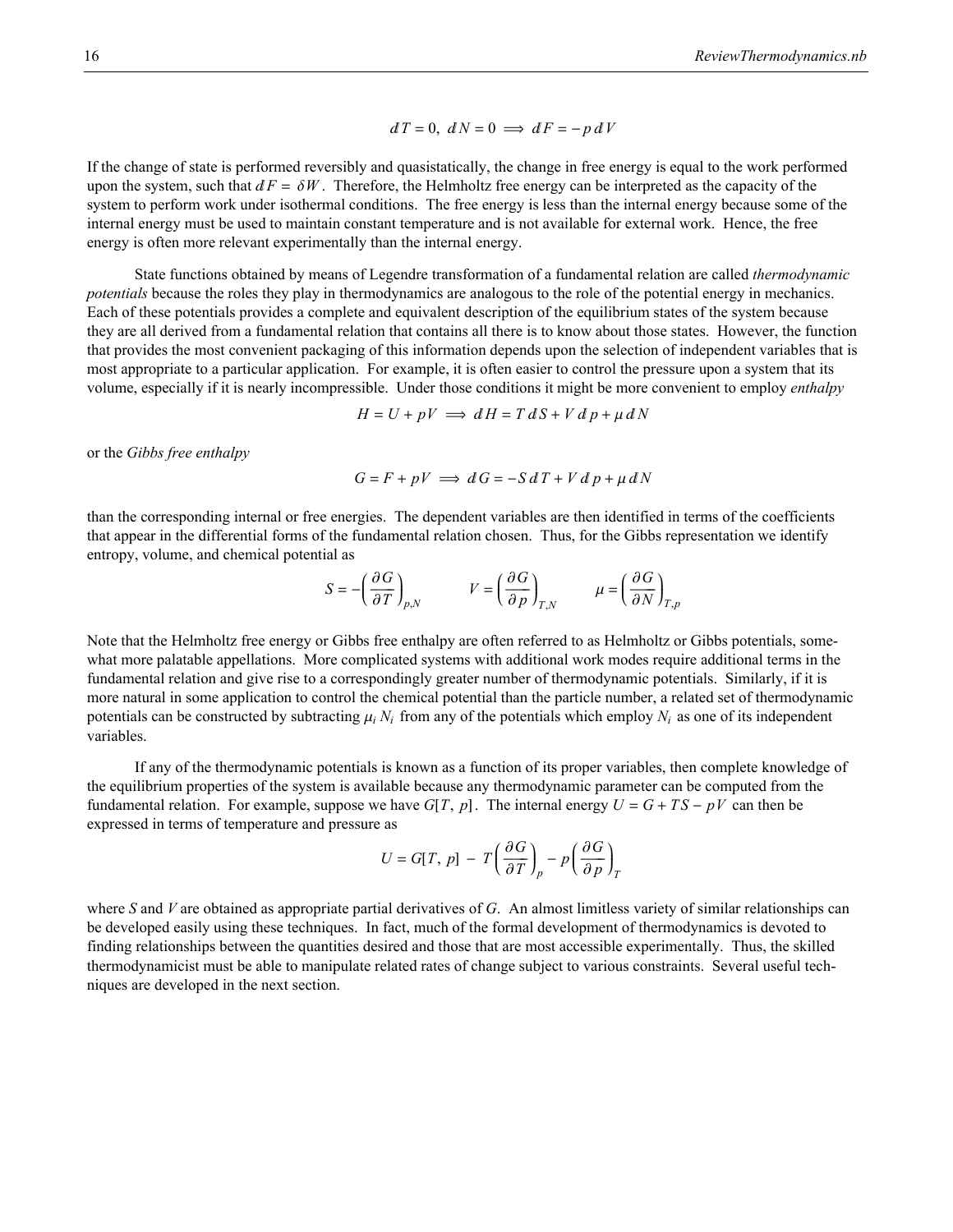$$
dT = 0, dN = 0 \implies dF = -p dV
$$

If the change of state is performed reversibly and quasistatically, the change in free energy is equal to the work performed upon the system, such that  $dF = \delta W$ . Therefore, the Helmholtz free energy can be interpreted as the capacity of the system to perform work under isothermal conditions. The free energy is less than the internal energy because some of the internal energy must be used to maintain constant temperature and is not available for external work. Hence, the free energy is often more relevant experimentally than the internal energy.

State functions obtained by means of Legendre transformation of a fundamental relation are called *thermodynamic potentials* because the roles they play in thermodynamics are analogous to the role of the potential energy in mechanics. Each of these potentials provides a complete and equivalent description of the equilibrium states of the system because they are all derived from a fundamental relation that contains all there is to know about those states. However, the function that provides the most convenient packaging of this information depends upon the selection of independent variables that is most appropriate to a particular application. For example, it is often easier to control the pressure upon a system that its volume, especially if it is nearly incompressible. Under those conditions it might be more convenient to employ *enthalpy*

$$
H = U + pV \implies dH = T dS + V dP + \mu dN
$$

or the *Gibbs free enthalpy*

$$
G = F + pV \implies dG = -S dT + V d p + \mu dN
$$

than the corresponding internal or free energies. The dependent variables are then identified in terms of the coefficients that appear in the differential forms of the fundamental relation chosen. Thus, for the Gibbs representation we identify entropy, volume, and chemical potential as

$$
S = -\left(\frac{\partial G}{\partial T}\right)_{p,N} \qquad V = \left(\frac{\partial G}{\partial p}\right)_{T,N} \qquad \mu = \left(\frac{\partial G}{\partial N}\right)_{T,p}
$$

Note that the Helmholtz free energy or Gibbs free enthalpy are often referred to as Helmholtz or Gibbs potentials, somewhat more palatable appellations. More complicated systems with additional work modes require additional terms in the fundamental relation and give rise to a correspondingly greater number of thermodynamic potentials. Similarly, if it is more natural in some application to control the chemical potential than the particle number, a related set of thermodynamic potentials can be constructed by subtracting  $\mu_i N_i$  from any of the potentials which employ  $N_i$  as one of its independent variables.

If any of the thermodynamic potentials is known as a function of its proper variables, then complete knowledge of the equilibrium properties of the system is available because any thermodynamic parameter can be computed from the fundamental relation. For example, suppose we have  $G[T, p]$ . The internal energy  $U = G + TS - pV$  can then be expressed in terms of temperature and pressure as

$$
U = G[T, p] - T \left(\frac{\partial G}{\partial T}\right)_p - p \left(\frac{\partial G}{\partial p}\right)_T
$$

where *S* and *V* are obtained as appropriate partial derivatives of *G*. An almost limitless variety of similar relationships can be developed easily using these techniques. In fact, much of the formal development of thermodynamics is devoted to finding relationships between the quantities desired and those that are most accessible experimentally. Thus, the skilled thermodynamicist must be able to manipulate related rates of change subject to various constraints. Several useful techniques are developed in the next section.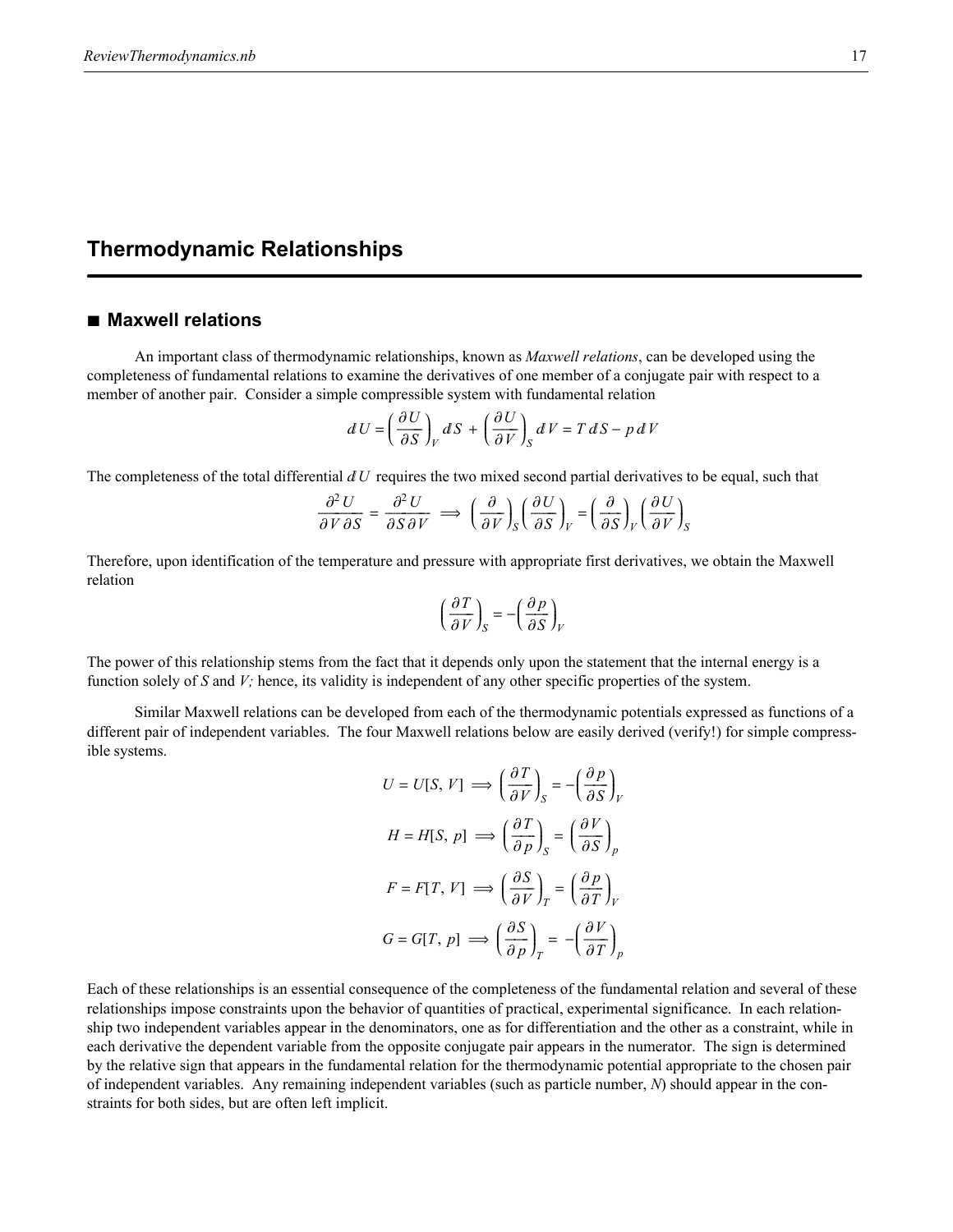# **Thermodynamic Relationships**

### **à Maxwell relations**

An important class of thermodynamic relationships, known as *Maxwell relations*, can be developed using the completeness of fundamental relations to examine the derivatives of one member of a conjugate pair with respect to a member of another pair. Consider a simple compressible system with fundamental relation

$$
dU = \left(\frac{\partial U}{\partial S}\right)_V dS + \left(\frac{\partial U}{\partial V}\right)_S dV = T dS - p dV
$$

The completeness of the total differential  $dU$  requires the two mixed second partial derivatives to be equal, such that

$$
\frac{\partial^2 U}{\partial V \partial S} = \frac{\partial^2 U}{\partial S \partial V} \implies \left(\frac{\partial}{\partial V}\right)_S \left(\frac{\partial U}{\partial S}\right)_V = \left(\frac{\partial}{\partial S}\right)_V \left(\frac{\partial U}{\partial V}\right)_S
$$

Therefore, upon identification of the temperature and pressure with appropriate first derivatives, we obtain the Maxwell relation

$$
\left(\frac{\partial T}{\partial V}\right)_S = -\left(\frac{\partial p}{\partial S}\right)_V
$$

The power of this relationship stems from the fact that it depends only upon the statement that the internal energy is a function solely of *S* and *V*; hence, its validity is independent of any other specific properties of the system.

Similar Maxwell relations can be developed from each of the thermodynamic potentials expressed as functions of a different pair of independent variables. The four Maxwell relations below are easily derived (verify!) for simple compressible systems.

$$
U = U[S, V] \implies \left(\frac{\partial T}{\partial V}\right)_S = -\left(\frac{\partial p}{\partial S}\right)_V
$$

$$
H = H[S, p] \implies \left(\frac{\partial T}{\partial p}\right)_S = \left(\frac{\partial V}{\partial S}\right)_p
$$

$$
F = F[T, V] \implies \left(\frac{\partial S}{\partial V}\right)_T = \left(\frac{\partial p}{\partial T}\right)_V
$$

$$
G = G[T, p] \implies \left(\frac{\partial S}{\partial p}\right)_T = -\left(\frac{\partial V}{\partial T}\right)_p
$$

Each of these relationships is an essential consequence of the completeness of the fundamental relation and several of these relationships impose constraints upon the behavior of quantities of practical, experimental significance. In each relationship two independent variables appear in the denominators, one as for differentiation and the other as a constraint, while in each derivative the dependent variable from the opposite conjugate pair appears in the numerator. The sign is determined by the relative sign that appears in the fundamental relation for the thermodynamic potential appropriate to the chosen pair of independent variables. Any remaining independent variables (such as particle number, *N*) should appear in the constraints for both sides, but are often left implicit.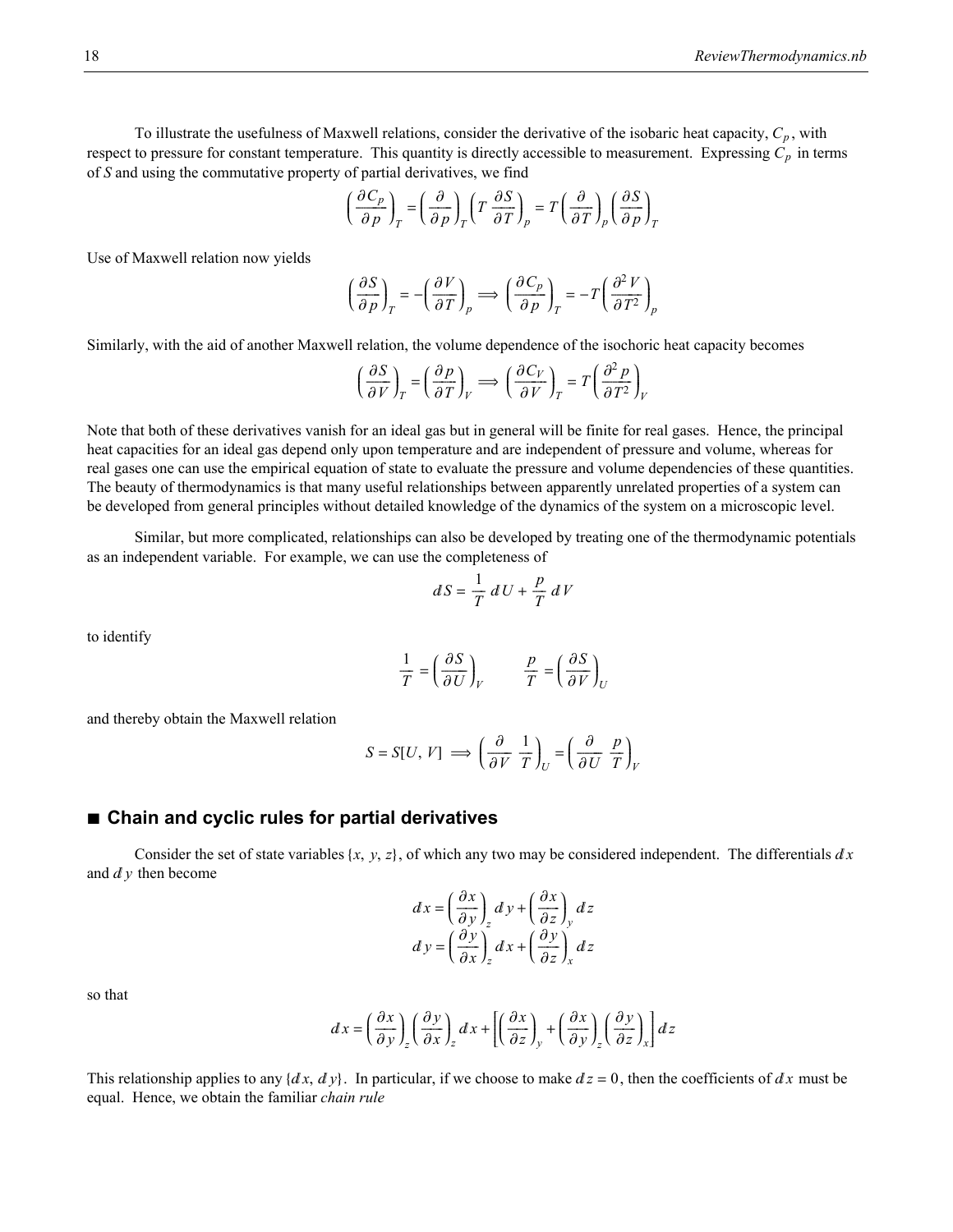To illustrate the usefulness of Maxwell relations, consider the derivative of the isobaric heat capacity,  $C_p$ , with respect to pressure for constant temperature. This quantity is directly accessible to measurement. Expressing  $C_p$  in terms of *S* and using the commutative property of partial derivatives, we find

$$
\left(\frac{\partial C_p}{\partial p}\right)_T = \left(\frac{\partial}{\partial p}\right)_T \left(T \frac{\partial S}{\partial T}\right)_p = T \left(\frac{\partial}{\partial T}\right)_p \left(\frac{\partial S}{\partial p}\right)_T
$$

Use of Maxwell relation now yields

$$
\left(\frac{\partial S}{\partial p}\right)_T = -\left(\frac{\partial V}{\partial T}\right)_p \Longrightarrow \left(\frac{\partial C_p}{\partial p}\right)_T = -T\left(\frac{\partial^2 V}{\partial T^2}\right)_p
$$

Similarly, with the aid of another Maxwell relation, the volume dependence of the isochoric heat capacity becomes

$$
\left(\frac{\partial S}{\partial V}\right)_T = \left(\frac{\partial p}{\partial T}\right)_V \Longrightarrow \left(\frac{\partial C_V}{\partial V}\right)_T = T\left(\frac{\partial^2 p}{\partial T^2}\right)_V
$$

Note that both of these derivatives vanish for an ideal gas but in general will be finite for real gases. Hence, the principal heat capacities for an ideal gas depend only upon temperature and are independent of pressure and volume, whereas for real gases one can use the empirical equation of state to evaluate the pressure and volume dependencies of these quantities. The beauty of thermodynamics is that many useful relationships between apparently unrelated properties of a system can be developed from general principles without detailed knowledge of the dynamics of the system on a microscopic level.

Similar, but more complicated, relationships can also be developed by treating one of the thermodynamic potentials as an independent variable. For example, we can use the completeness of

$$
dS = \frac{1}{T} dU + \frac{p}{T} dV
$$

to identify

$$
\frac{1}{T} = \left(\frac{\partial S}{\partial U}\right)_V \qquad \frac{p}{T} = \left(\frac{\partial S}{\partial V}\right)_U
$$

and thereby obtain the Maxwell relation

$$
S = S[U, V] \implies \left(\frac{\partial}{\partial V} \frac{1}{T}\right)_U = \left(\frac{\partial}{\partial U} \frac{p}{T}\right)_V
$$

#### **à Chain and cyclic rules for partial derivatives**

Consider the set of state variables  $\{x, y, z\}$ , of which any two may be considered independent. The differentials  $dx$ and  $dy$  then become

$$
dx = \left(\frac{\partial x}{\partial y}\right)_z dy + \left(\frac{\partial x}{\partial z}\right)_y dz
$$

$$
dy = \left(\frac{\partial y}{\partial x}\right)_z dx + \left(\frac{\partial y}{\partial z}\right)_x dz
$$

so that

$$
dx = \left(\frac{\partial x}{\partial y}\right)_{z} \left(\frac{\partial y}{\partial x}\right)_{z} dx + \left[\left(\frac{\partial x}{\partial z}\right)_{y} + \left(\frac{\partial x}{\partial y}\right)_{z} \left(\frac{\partial y}{\partial z}\right)_{x}\right] dz
$$

This relationship applies to any  $\{dx, dy\}$ . In particular, if we choose to make  $dz = 0$ , then the coefficients of  $dx$  must be equal. Hence, we obtain the familiar *chain rule*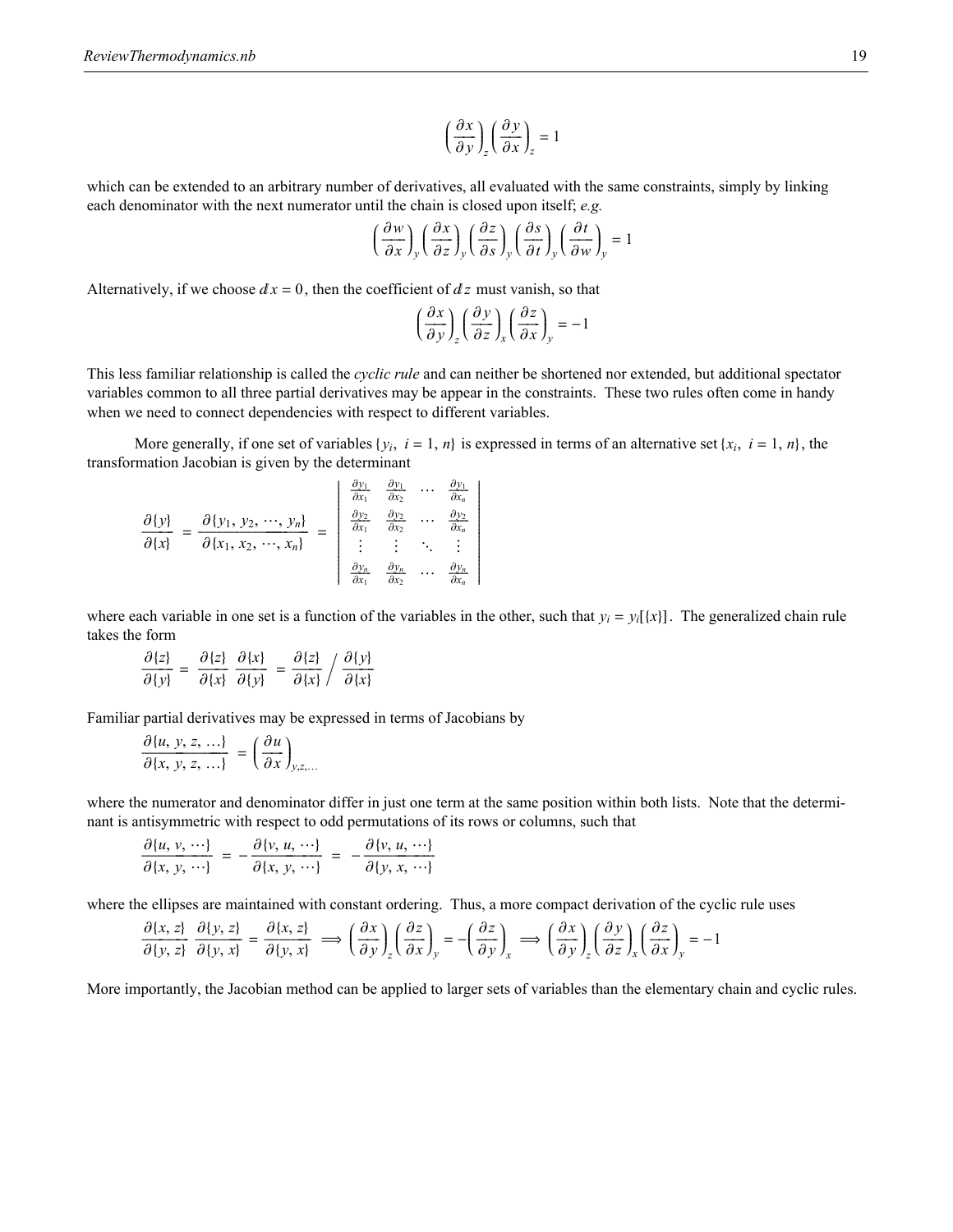$$
\left(\frac{\partial x}{\partial y}\right)_z \left(\frac{\partial y}{\partial x}\right)_z = 1
$$

which can be extended to an arbitrary number of derivatives, all evaluated with the same constraints, simply by linking each denominator with the next numerator until the chain is closed upon itself; *e.g.*

$$
\left(\frac{\partial w}{\partial x}\right)_y \left(\frac{\partial x}{\partial z}\right)_y \left(\frac{\partial z}{\partial s}\right)_y \left(\frac{\partial s}{\partial t}\right)_y \left(\frac{\partial t}{\partial w}\right)_y = 1
$$

Alternatively, if we choose  $dx = 0$ , then the coefficient of  $dz$  must vanish, so that

$$
\left(\frac{\partial x}{\partial y}\right)_z \left(\frac{\partial y}{\partial z}\right)_x \left(\frac{\partial z}{\partial x}\right)_y = -1
$$

This less familiar relationship is called the *cyclic rule* and can neither be shortened nor extended, but additional spectator variables common to all three partial derivatives may be appear in the constraints. These two rules often come in handy when we need to connect dependencies with respect to different variables.

More generally, if one set of variables  $\{y_i, i = 1, n\}$  is expressed in terms of an alternative set  $\{x_i, i = 1, n\}$ , the transformation Jacobian is given by the determinant

|                  |                                                | $\frac{\partial y_1}{\partial x_1}$                       | $\frac{\partial y_1}{\partial x_2}$         | $\frac{\partial y_1}{\partial x_n}$         |
|------------------|------------------------------------------------|-----------------------------------------------------------|---------------------------------------------|---------------------------------------------|
| $\partial \{y\}$ | $\partial \{y_1, y_2, \cdots, y_n\}$           | $\frac{\partial y_2}{\partial x_1}$                       | $\partial y_2$<br>$\overline{\partial x_2}$ | $\partial y_2$<br>$\overline{\partial x_n}$ |
| $\partial\{x\}$  | $\overline{\partial\{x_1, x_2, \cdots, x_n\}}$ | $\left  \begin{array}{ccc} 1 & 1 & 1 \end{array} \right $ |                                             | $\frac{1}{2}$                               |
|                  |                                                | $\overline{\partial x_1}$                                 | $\partial y_n$<br>$\overline{\partial x}$   | $\frac{\partial y_n}{\partial x_n}$         |

where each variable in one set is a function of the variables in the other, such that  $y_i = y_i[\{x\}]$ . The generalized chain rule takes the form

$$
\frac{\partial \{z\}}{\partial \{y\}} = \frac{\partial \{z\}}{\partial \{x\}} \frac{\partial \{x\}}{\partial \{y\}} = \frac{\partial \{z\}}{\partial \{x\}} / \frac{\partial \{y\}}{\partial \{x\}}
$$

Familiar partial derivatives may be expressed in terms of Jacobians by

$$
\frac{\partial \{u, y, z, \ldots\}}{\partial \{x, y, z, \ldots\}} = \left(\frac{\partial u}{\partial x}\right)_{y, z, \ldots}
$$

where the numerator and denominator differ in just one term at the same position within both lists. Note that the determinant is antisymmetric with respect to odd permutations of its rows or columns, such that

$$
\frac{\partial \{u, v, \cdots\}}{\partial \{x, y, \cdots\}} = -\frac{\partial \{v, u, \cdots\}}{\partial \{x, y, \cdots\}} = -\frac{\partial \{v, u, \cdots\}}{\partial \{y, x, \cdots\}}
$$

where the ellipses are maintained with constant ordering. Thus, a more compact derivation of the cyclic rule uses

$$
\frac{\partial \{x, z\}}{\partial \{y, z\}} \frac{\partial \{y, z\}}{\partial \{y, x\}} = \frac{\partial \{x, z\}}{\partial \{y, x\}} \implies \left(\frac{\partial x}{\partial y}\right)_{z} \left(\frac{\partial z}{\partial x}\right)_{y} = -\left(\frac{\partial z}{\partial y}\right)_{x} \implies \left(\frac{\partial x}{\partial y}\right)_{z} \left(\frac{\partial y}{\partial z}\right)_{x} \left(\frac{\partial z}{\partial x}\right)_{y} = -1
$$

More importantly, the Jacobian method can be applied to larger sets of variables than the elementary chain and cyclic rules.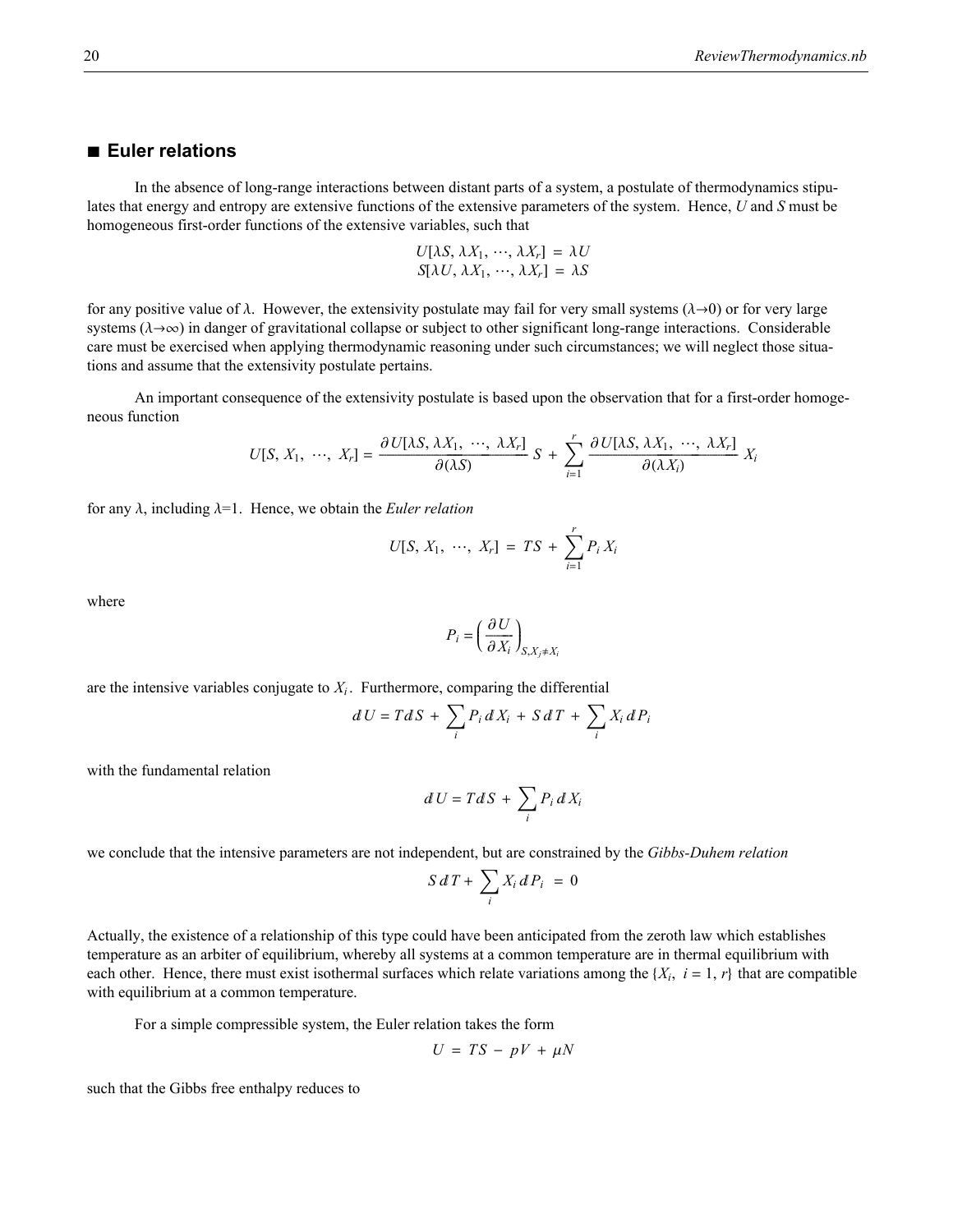### **à Euler relations**

In the absence of long-range interactions between distant parts of a system, a postulate of thermodynamics stipulates that energy and entropy are extensive functions of the extensive parameters of the system. Hence, *U* and *S* must be homogeneous first-order functions of the extensive variables, such that

$$
U[\lambda S, \lambda X_1, \cdots, \lambda X_r] = \lambda U
$$
  

$$
S[\lambda U, \lambda X_1, \cdots, \lambda X_r] = \lambda S
$$

for any positive value of  $\lambda$ . However, the extensivity postulate may fail for very small systems ( $\lambda \rightarrow 0$ ) or for very large systems ( $\lambda \rightarrow \infty$ ) in danger of gravitational collapse or subject to other significant long-range interactions. Considerable care must be exercised when applying thermodynamic reasoning under such circumstances; we will neglect those situations and assume that the extensivity postulate pertains.

An important consequence of the extensivity postulate is based upon the observation that for a first-order homogeneous function

$$
U[S, X_1, \cdots, X_r] = \frac{\partial U[\lambda S, \lambda X_1, \cdots, \lambda X_r]}{\partial(\lambda S)} S + \sum_{i=1}^r \frac{\partial U[\lambda S, \lambda X_1, \cdots, \lambda X_r]}{\partial(\lambda X_i)} X_i
$$

for any  $\lambda$ , including  $\lambda=1$ . Hence, we obtain the *Euler relation* 

$$
U[S, X_1, \cdots, X_r] = TS + \sum_{i=1}^r P_i X_i
$$

where

$$
P_i = \left(\frac{\partial U}{\partial X_i}\right)_{S, X_j \neq X_i}
$$

are the intensive variables conjugate to  $X_i$ . Furthermore, comparing the differential

$$
dU = T dS + \sum_{i} P_i dX_i + S dT + \sum_{i} X_i dP_i
$$

with the fundamental relation

$$
dU = TdS + \sum_i P_i dX_i
$$

we conclude that the intensive parameters are not independent, but are constrained by the *Gibbs-Duhem relation*

$$
S dT + \sum_i X_i dP_i = 0
$$

Actually, the existence of a relationship of this type could have been anticipated from the zeroth law which establishes temperature as an arbiter of equilibrium, whereby all systems at a common temperature are in thermal equilibrium with each other. Hence, there must exist isothermal surfaces which relate variations among the  $\{X_i, i = 1, r\}$  that are compatible with equilibrium at a common temperature.

For a simple compressible system, the Euler relation takes the form

$$
U = TS - pV + \mu N
$$

such that the Gibbs free enthalpy reduces to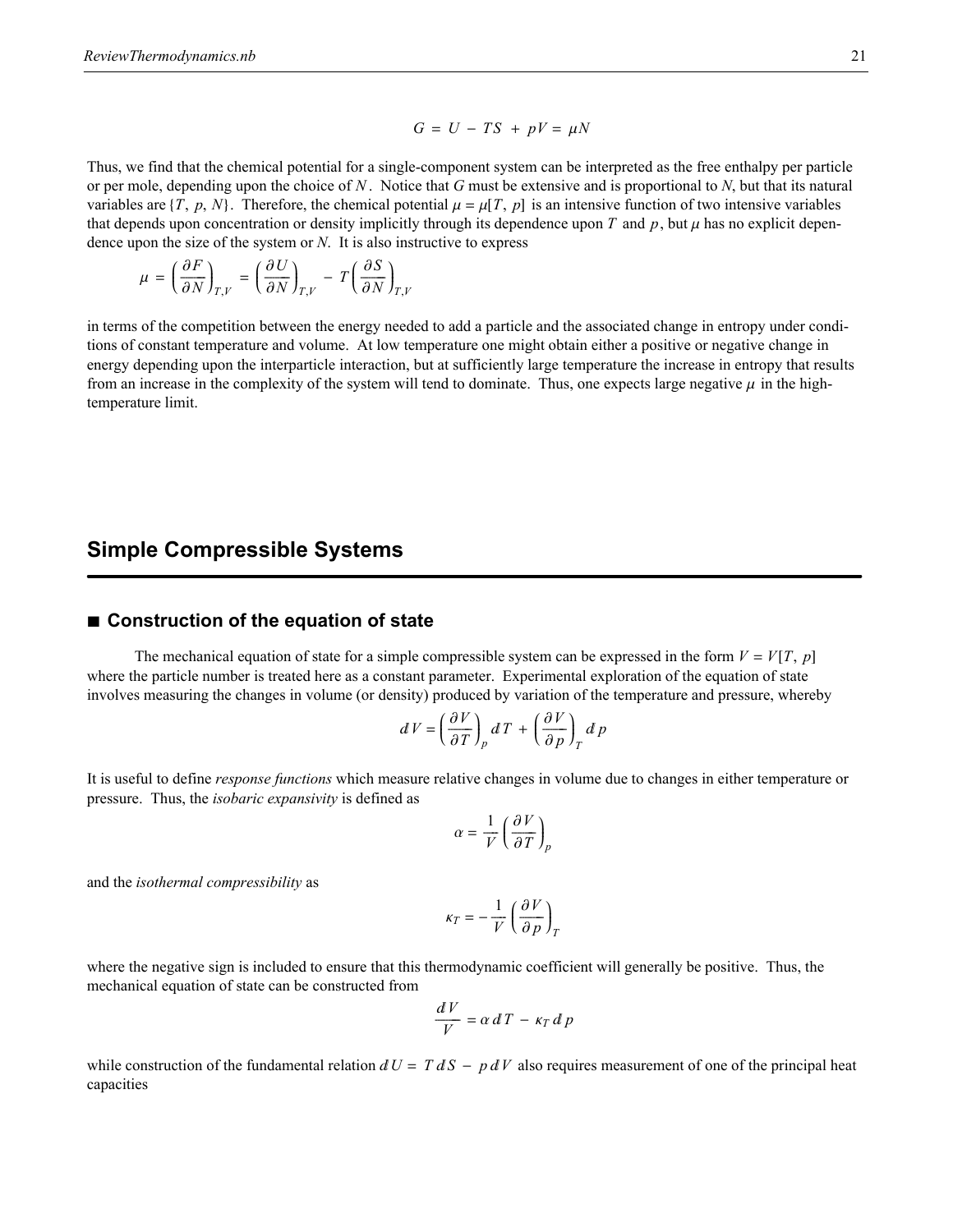$$
G = U - TS + pV = \mu N
$$

Thus, we find that the chemical potential for a single-component system can be interpreted as the free enthalpy per particle or per mole, depending upon the choice of *N* . Notice that *G* must be extensive and is proportional to *N*, but that its natural variables are  $\{T, p, N\}$ . Therefore, the chemical potential  $\mu = \mu[T, p]$  is an intensive function of two intensive variables that depends upon concentration or density implicitly through its dependence upon *T* and  $p$ , but  $\mu$  has no explicit dependence upon the size of the system or *N*. It is also instructive to express

$$
\mu = \left(\frac{\partial F}{\partial N}\right)_{T,V} = \left(\frac{\partial U}{\partial N}\right)_{T,V} - T\left(\frac{\partial S}{\partial N}\right)_{T,V}
$$

in terms of the competition between the energy needed to add a particle and the associated change in entropy under conditions of constant temperature and volume. At low temperature one might obtain either a positive or negative change in energy depending upon the interparticle interaction, but at sufficiently large temperature the increase in entropy that results from an increase in the complexity of the system will tend to dominate. Thus, one expects large negative  $\mu$  in the hightemperature limit.

# **Simple Compressible Systems**

### ■ **Construction of the equation of state**

The mechanical equation of state for a simple compressible system can be expressed in the form  $V = V[T, p]$ where the particle number is treated here as a constant parameter. Experimental exploration of the equation of state involves measuring the changes in volume (or density) produced by variation of the temperature and pressure, whereby

$$
dV = \left(\frac{\partial V}{\partial T}\right)_p dT + \left(\frac{\partial V}{\partial p}\right)_T d p
$$

It is useful to define *response functions* which measure relative changes in volume due to changes in either temperature or pressure. Thus, the *isobaric expansivity* is defined as

$$
\alpha = \frac{1}{V} \left( \frac{\partial V}{\partial T} \right)_p
$$

and the *isothermal compressibility* as

$$
\kappa_T = -\frac{1}{V} \left( \frac{\partial V}{\partial p} \right)_T
$$

where the negative sign is included to ensure that this thermodynamic coefficient will generally be positive. Thus, the mechanical equation of state can be constructed from

$$
\frac{dV}{V} = \alpha \, d\,T - \kappa_T \, d\,p
$$

while construction of the fundamental relation  $dU = T dS - p dV$  also requires measurement of one of the principal heat capacities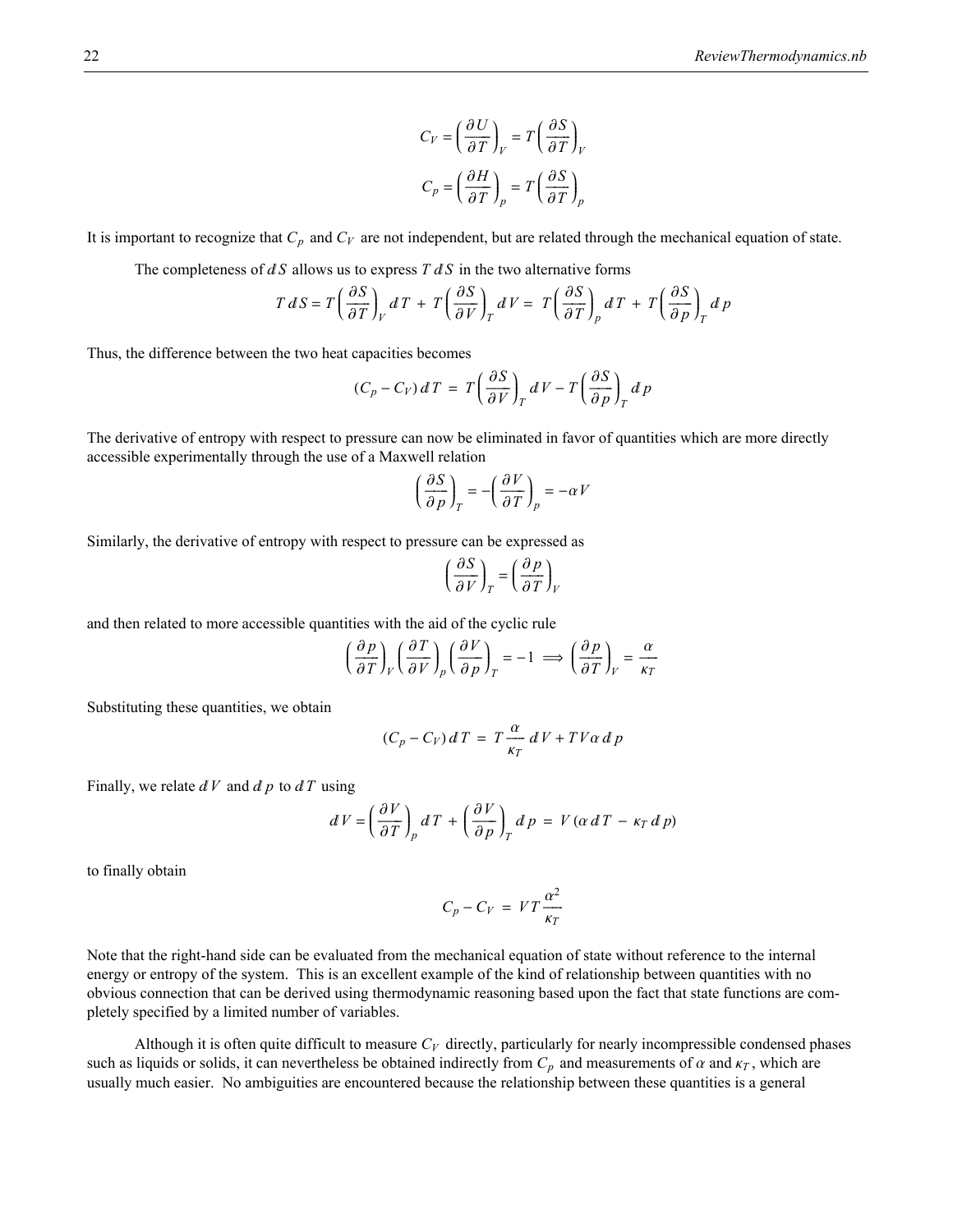$$
C_V = \left(\frac{\partial U}{\partial T}\right)_V = T\left(\frac{\partial S}{\partial T}\right)_V
$$

$$
C_p = \left(\frac{\partial H}{\partial T}\right)_p = T\left(\frac{\partial S}{\partial T}\right)_p
$$

It is important to recognize that  $C_p$  and  $C_V$  are not independent, but are related through the mechanical equation of state.

The completeness of  $dS$  allows us to express  $T dS$  in the two alternative forms

$$
T dS = T \left(\frac{\partial S}{\partial T}\right)_V dT + T \left(\frac{\partial S}{\partial V}\right)_T dV = T \left(\frac{\partial S}{\partial T}\right)_p dT + T \left(\frac{\partial S}{\partial p}\right)_T d p
$$

Thus, the difference between the two heat capacities becomes

$$
(C_p - C_V) dT = T \left(\frac{\partial S}{\partial V}\right)_T dV - T \left(\frac{\partial S}{\partial p}\right)_T d p
$$

The derivative of entropy with respect to pressure can now be eliminated in favor of quantities which are more directly accessible experimentally through the use of a Maxwell relation

$$
\left(\frac{\partial S}{\partial p}\right)_T = -\left(\frac{\partial V}{\partial T}\right)_p = -\alpha V
$$

Similarly, the derivative of entropy with respect to pressure can be expressed as

$$
\left(\frac{\partial S}{\partial V}\right)_T = \left(\frac{\partial p}{\partial T}\right)_V
$$

and then related to more accessible quantities with the aid of the cyclic rule

$$
\left(\frac{\partial p}{\partial T}\right)_V \left(\frac{\partial T}{\partial V}\right)_p \left(\frac{\partial V}{\partial p}\right)_T = -1 \implies \left(\frac{\partial p}{\partial T}\right)_V = \frac{\alpha}{\kappa_T}
$$

Substituting these quantities, we obtain

$$
(C_p - C_V) dT = T \frac{\alpha}{\kappa_T} dV + TV \alpha dP
$$

Finally, we relate  $dV$  and  $dp$  to  $dT$  using

$$
dV = \left(\frac{\partial V}{\partial T}\right)_p dT + \left(\frac{\partial V}{\partial p}\right)_T d p = V(\alpha dT - \kappa_T d p)
$$

to finally obtain

$$
C_p - C_V = VT \frac{\alpha^2}{\kappa_T}
$$

Note that the right-hand side can be evaluated from the mechanical equation of state without reference to the internal energy or entropy of the system. This is an excellent example of the kind of relationship between quantities with no obvious connection that can be derived using thermodynamic reasoning based upon the fact that state functions are completely specified by a limited number of variables.

Although it is often quite difficult to measure  $C_V$  directly, particularly for nearly incompressible condensed phases such as liquids or solids, it can nevertheless be obtained indirectly from  $C_p$  and measurements of  $\alpha$  and  $\kappa_T$ , which are usually much easier. No ambiguities are encountered because the relationship between these quantities is a general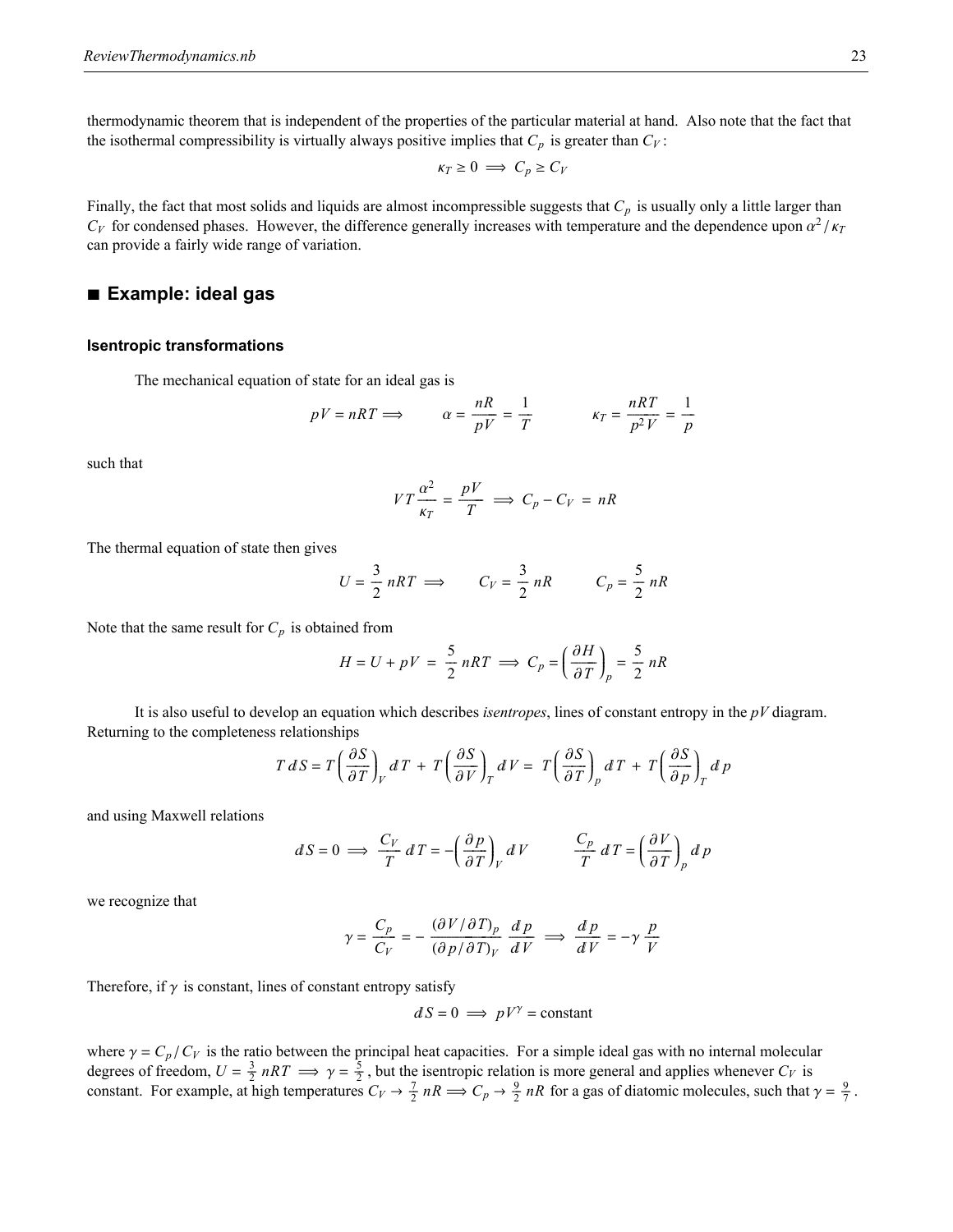thermodynamic theorem that is independent of the properties of the particular material at hand. Also note that the fact that the isothermal compressibility is virtually always positive implies that  $C_p$  is greater than  $C_V$ :

$$
\kappa_T \geq 0 \implies C_p \geq C_V
$$

Finally, the fact that most solids and liquids are almost incompressible suggests that  $C_p$  is usually only a little larger than  $C_V$  for condensed phases. However, the difference generally increases with temperature and the dependence upon  $\alpha^2/\kappa_T$ can provide a fairly wide range of variation.

### **à Example: ideal gas**

#### **Isentropic transformations**

The mechanical equation of state for an ideal gas is

$$
pV = nRT \Longrightarrow \qquad \alpha = \frac{nR}{pV} = \frac{1}{T} \qquad \qquad \kappa_T = \frac{nRT}{p^2V} = \frac{1}{p}
$$

such that

$$
VT\frac{\alpha^2}{\kappa_T} = \frac{pV}{T} \implies C_p - C_V = nR
$$

The thermal equation of state then gives

$$
U = \frac{3}{2} nRT \implies C_V = \frac{3}{2} nR \qquad C_p = \frac{5}{2} nR
$$

Note that the same result for  $C_p$  is obtained from

$$
H = U + pV = \frac{5}{2} nRT \implies C_p = \left(\frac{\partial H}{\partial T}\right)_p = \frac{5}{2} nR
$$

It is also useful to develop an equation which describes *isentropes*, lines of constant entropy in the *pV* diagram. Returning to the completeness relationships

$$
T dS = T \left(\frac{\partial S}{\partial T}\right)_V dT + T \left(\frac{\partial S}{\partial V}\right)_T dV = T \left(\frac{\partial S}{\partial T}\right)_p dT + T \left(\frac{\partial S}{\partial p}\right)_T d p
$$

and using Maxwell relations

$$
dS = 0 \implies \frac{C_V}{T} dT = -\left(\frac{\partial p}{\partial T}\right)_V dV \qquad \frac{C_p}{T} dT = \left(\frac{\partial V}{\partial T}\right)_p dP
$$

we recognize that

$$
\gamma = \frac{C_p}{C_V} = -\frac{(\partial V/\partial T)_p}{(\partial p/\partial T)_V} \frac{dp}{dV} \implies \frac{dp}{dV} = -\gamma \frac{p}{V}
$$

Therefore, if  $\gamma$  is constant, lines of constant entropy satisfy

$$
dS = 0 \implies pV^{\gamma} = \text{constant}
$$

where  $\gamma = C_p / C_V$  is the ratio between the principal heat capacities. For a simple ideal gas with no internal molecular degrees of freedom,  $U = \frac{3}{2} nRT \implies \gamma = \frac{5}{2}$ , but the isentropic relation is more general and applies whenever  $C_V$  is constant. For example, at high temperatures  $C_V \rightarrow \frac{7}{2} nR \implies C_p \rightarrow \frac{9}{2} nR$  for a gas of diatomic molecules, such that  $\gamma = \frac{9}{7}$ .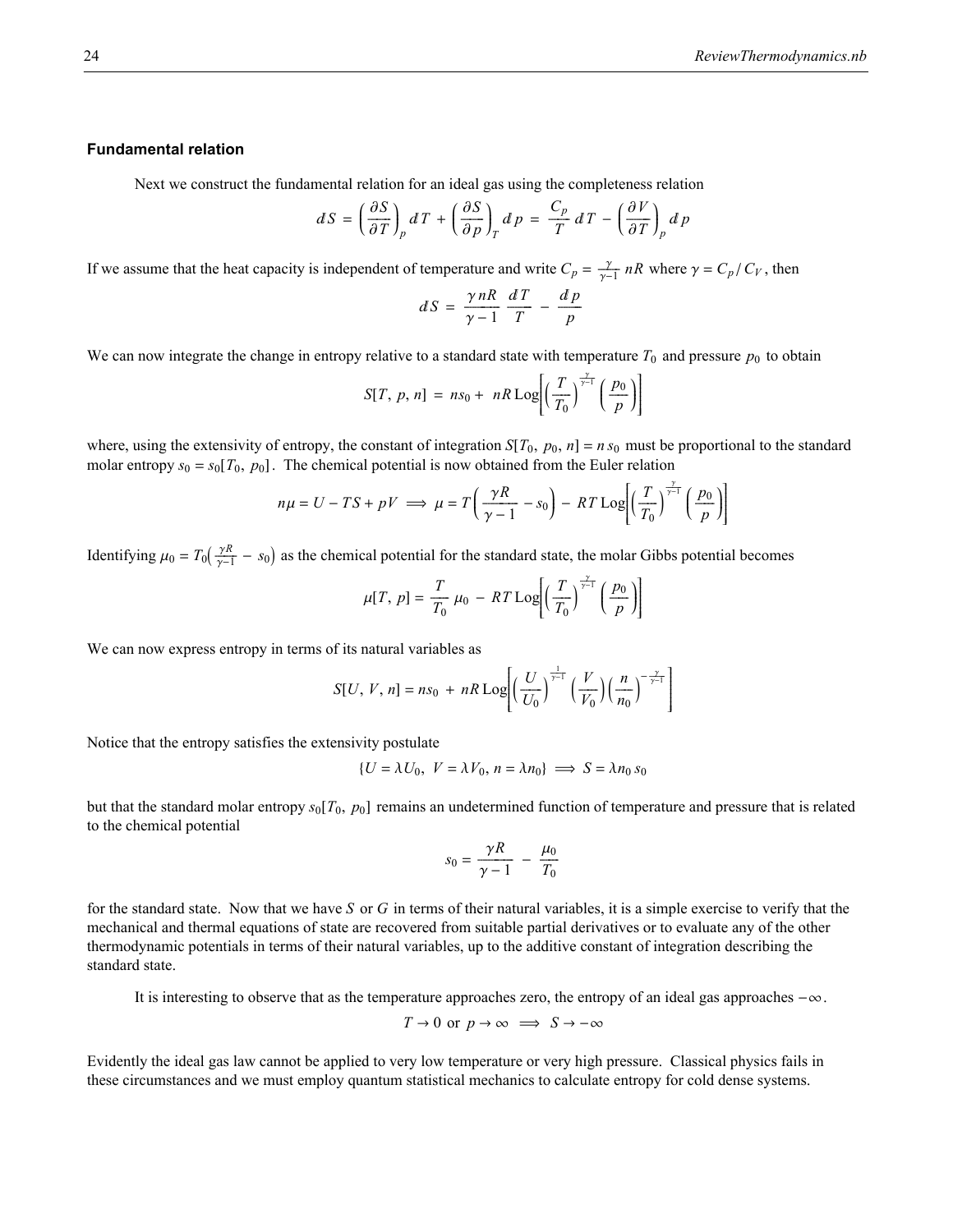### **Fundamental relation**

Next we construct the fundamental relation for an ideal gas using the completeness relation

$$
dS = \left(\frac{\partial S}{\partial T}\right)_p dT + \left(\frac{\partial S}{\partial p}\right)_T d p = \frac{C_p}{T} dT - \left(\frac{\partial V}{\partial T}\right)_p d p
$$

If we assume that the heat capacity is independent of temperature and write  $C_p = \frac{\gamma}{\gamma - 1} nR$  where  $\gamma = C_p / C_V$ , then

$$
dS = \frac{\gamma nR}{\gamma - 1} \frac{dT}{T} - \frac{dp}{p}
$$

We can now integrate the change in entropy relative to a standard state with temperature  $T_0$  and pressure  $p_0$  to obtain

$$
S[T, p, n] = ns_0 + nR \log \left[ \left( \frac{T}{T_0} \right)^{\frac{\gamma}{\gamma - 1}} \left( \frac{p_0}{p} \right) \right]
$$

where, using the extensivity of entropy, the constant of integration  $S[T_0, p_0, n] = n s_0$  must be proportional to the standard molar entropy  $s_0 = s_0[T_0, p_0]$ . The chemical potential is now obtained from the Euler relation

$$
n\mu = U - TS + pV \implies \mu = T\left(\frac{\gamma R}{\gamma - 1} - s_0\right) - RT\text{Log}\left[\left(\frac{T}{T_0}\right)^{\frac{\gamma}{\gamma - 1}}\left(\frac{p_0}{p}\right)\right]
$$

Identifying  $\mu_0 = T_0(\frac{\gamma R}{\gamma - 1} - s_0)$  as the chemical potential for the standard state, the molar Gibbs potential becomes

$$
\mu[T, p] = \frac{T}{T_0} \mu_0 - RT \text{Log}\left[\left(\frac{T}{T_0}\right)^{\frac{\gamma}{\gamma-1}} \left(\frac{p_0}{p}\right)\right]
$$

We can now express entropy in terms of its natural variables as

$$
S[U, V, n] = ns_0 + nR \log \left[ \left( \frac{U}{U_0} \right)^{\frac{1}{\gamma - 1}} \left( \frac{V}{V_0} \right) \left( \frac{n}{n_0} \right)^{-\frac{\gamma}{\gamma - 1}} \right]
$$

Notice that the entropy satisfies the extensivity postulate

$$
\{U = \lambda U_0, V = \lambda V_0, n = \lambda n_0\} \implies S = \lambda n_0 s_0
$$

but that the standard molar entropy  $s_0[T_0, p_0]$  remains an undetermined function of temperature and pressure that is related to the chemical potential

$$
s_0 = \frac{\gamma R}{\gamma - 1} - \frac{\mu_0}{T_0}
$$

for the standard state. Now that we have *S* or *G* in terms of their natural variables, it is a simple exercise to verify that the mechanical and thermal equations of state are recovered from suitable partial derivatives or to evaluate any of the other thermodynamic potentials in terms of their natural variables, up to the additive constant of integration describing the standard state.

It is interesting to observe that as the temperature approaches zero, the entropy of an ideal gas approaches  $-\infty$ .

$$
T \to 0
$$
 or  $p \to \infty \implies S \to -\infty$ 

Evidently the ideal gas law cannot be applied to very low temperature or very high pressure. Classical physics fails in these circumstances and we must employ quantum statistical mechanics to calculate entropy for cold dense systems.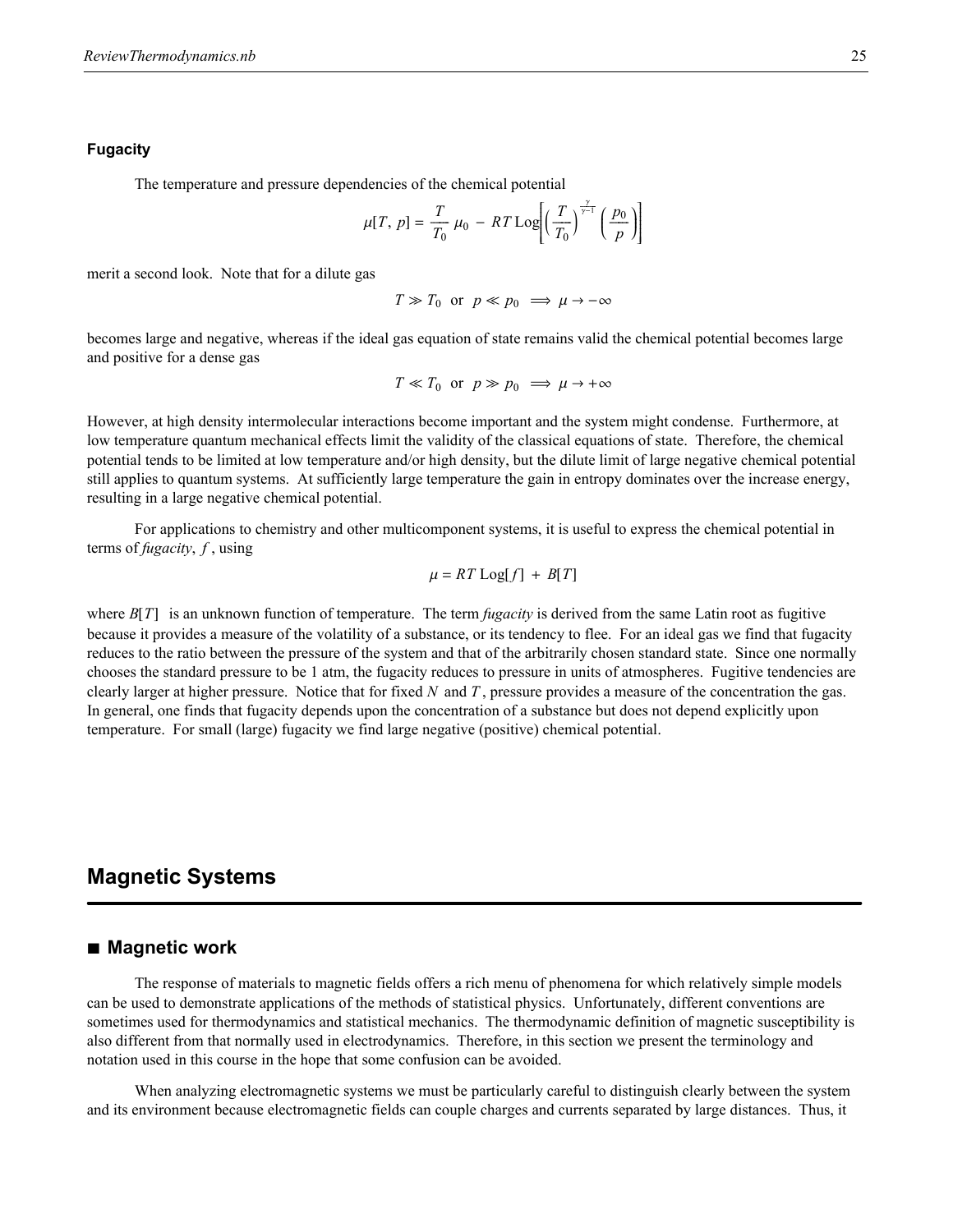#### **Fugacity**

The temperature and pressure dependencies of the chemical potential

$$
\mu[T, p] = \frac{T}{T_0} \mu_0 - RT \text{Log}\left[\left(\frac{T}{T_0}\right)^{\frac{\gamma}{\gamma-1}} \left(\frac{p_0}{p}\right)\right]
$$

merit a second look. Note that for a dilute gas

$$
T \gg T_0
$$
 or  $p \ll p_0 \implies \mu \to -\infty$ 

becomes large and negative, whereas if the ideal gas equation of state remains valid the chemical potential becomes large and positive for a dense gas

$$
T \ll T_0
$$
 or  $p \gg p_0 \implies \mu \to +\infty$ 

However, at high density intermolecular interactions become important and the system might condense. Furthermore, at low temperature quantum mechanical effects limit the validity of the classical equations of state. Therefore, the chemical potential tends to be limited at low temperature and/or high density, but the dilute limit of large negative chemical potential still applies to quantum systems. At sufficiently large temperature the gain in entropy dominates over the increase energy, resulting in a large negative chemical potential.

For applications to chemistry and other multicomponent systems, it is useful to express the chemical potential in terms of *fugacity*, *f* , using

$$
\mu = RT \text{Log}[f] + B[T]
$$

where  $B[T]$  is an unknown function of temperature. The term *fugacity* is derived from the same Latin root as fugitive because it provides a measure of the volatility of a substance, or its tendency to flee. For an ideal gas we find that fugacity reduces to the ratio between the pressure of the system and that of the arbitrarily chosen standard state. Since one normally chooses the standard pressure to be 1 atm, the fugacity reduces to pressure in units of atmospheres. Fugitive tendencies are clearly larger at higher pressure. Notice that for fixed *N* and *T* , pressure provides a measure of the concentration the gas. In general, one finds that fugacity depends upon the concentration of a substance but does not depend explicitly upon temperature. For small (large) fugacity we find large negative (positive) chemical potential.

### **Magnetic Systems**

### **à Magnetic work**

The response of materials to magnetic fields offers a rich menu of phenomena for which relatively simple models can be used to demonstrate applications of the methods of statistical physics. Unfortunately, different conventions are sometimes used for thermodynamics and statistical mechanics. The thermodynamic definition of magnetic susceptibility is also different from that normally used in electrodynamics. Therefore, in this section we present the terminology and notation used in this course in the hope that some confusion can be avoided.

When analyzing electromagnetic systems we must be particularly careful to distinguish clearly between the system and its environment because electromagnetic fields can couple charges and currents separated by large distances. Thus, it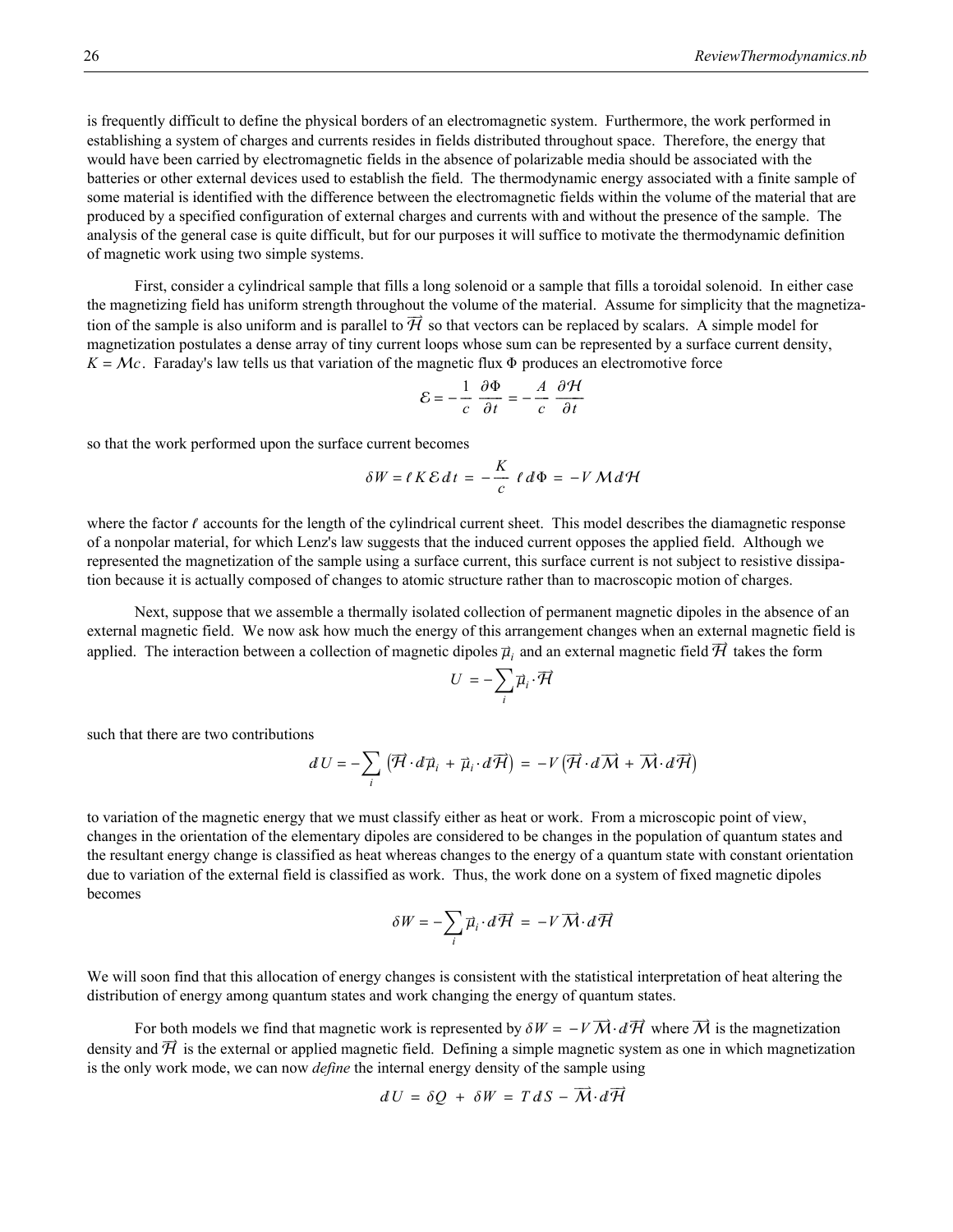is frequently difficult to define the physical borders of an electromagnetic system. Furthermore, the work performed in establishing a system of charges and currents resides in fields distributed throughout space. Therefore, the energy that would have been carried by electromagnetic fields in the absence of polarizable media should be associated with the batteries or other external devices used to establish the field. The thermodynamic energy associated with a finite sample of some material is identified with the difference between the electromagnetic fields within the volume of the material that are produced by a specified configuration of external charges and currents with and without the presence of the sample. The analysis of the general case is quite difficult, but for our purposes it will suffice to motivate the thermodynamic definition of magnetic work using two simple systems.

First, consider a cylindrical sample that fills a long solenoid or a sample that fills a toroidal solenoid. In either case the magnetizing field has uniform strength throughout the volume of the material. Assume for simplicity that the magnetization of the sample is also uniform and is parallel to  $\vec{\mathcal{H}}$  so that vectors can be replaced by scalars. A simple model for magnetization postulates a dense array of tiny current loops whose sum can be represented by a surface current density,  $K = \mathcal{M}c$ . Faraday's law tells us that variation of the magnetic flux  $\Phi$  produces an electromotive force

$$
\mathcal{E} = -\frac{1}{c} \frac{\partial \Phi}{\partial t} = -\frac{A}{c} \frac{\partial \mathcal{H}}{\partial t}
$$

so that the work performed upon the surface current becomes

$$
\delta W = \ell K \mathcal{E} dt = -\frac{K}{c} \ell d\Phi = -V \mathcal{M} d\mathcal{H}
$$

where the factor  $\ell$  accounts for the length of the cylindrical current sheet. This model describes the diamagnetic response of a nonpolar material, for which Lenz's law suggests that the induced current opposes the applied field. Although we represented the magnetization of the sample using a surface current, this surface current is not subject to resistive dissipation because it is actually composed of changes to atomic structure rather than to macroscopic motion of charges.

Next, suppose that we assemble a thermally isolated collection of permanent magnetic dipoles in the absence of an external magnetic field. We now ask how much the energy of this arrangement changes when an external magnetic field is applied. The interaction between a collection of magnetic dipoles  $\vec{\mu}_i$  and an external magnetic field  $\vec{\mathcal{H}}$  takes the form

$$
U = -\sum_i \vec{\mu}_i \cdot \overrightarrow{\mathcal{H}}
$$

such that there are two contributions

$$
dU = -\sum_{i} (\overrightarrow{H} \cdot d\overrightarrow{\mu}_{i} + \overrightarrow{\mu}_{i} \cdot d\overrightarrow{H}) = -V(\overrightarrow{H} \cdot d\overrightarrow{M} + \overrightarrow{M} \cdot d\overrightarrow{H})
$$

to variation of the magnetic energy that we must classify either as heat or work. From a microscopic point of view, changes in the orientation of the elementary dipoles are considered to be changes in the population of quantum states and the resultant energy change is classified as heat whereas changes to the energy of a quantum state with constant orientation due to variation of the external field is classified as work. Thus, the work done on a system of fixed magnetic dipoles becomes

$$
\delta W = -\sum_{i} \vec{\mu}_i \cdot d\vec{\mathcal{H}} = -V \,\vec{\mathcal{M}} \cdot d\vec{\mathcal{H}}
$$

We will soon find that this allocation of energy changes is consistent with the statistical interpretation of heat altering the distribution of energy among quantum states and work changing the energy of quantum states.

For both models we find that magnetic work is represented by  $\delta W = -V \overrightarrow{M} \cdot d \overrightarrow{H}$  where  $\overrightarrow{M}$  is the magnetization density and  $\vec{\mathcal{H}}$  is the external or applied magnetic field. Defining a simple magnetic system as one in which magnetization is the only work mode, we can now *define* the internal energy density of the sample using

$$
dU = \delta Q + \delta W = T dS - \overrightarrow{M} \cdot d\overrightarrow{H}
$$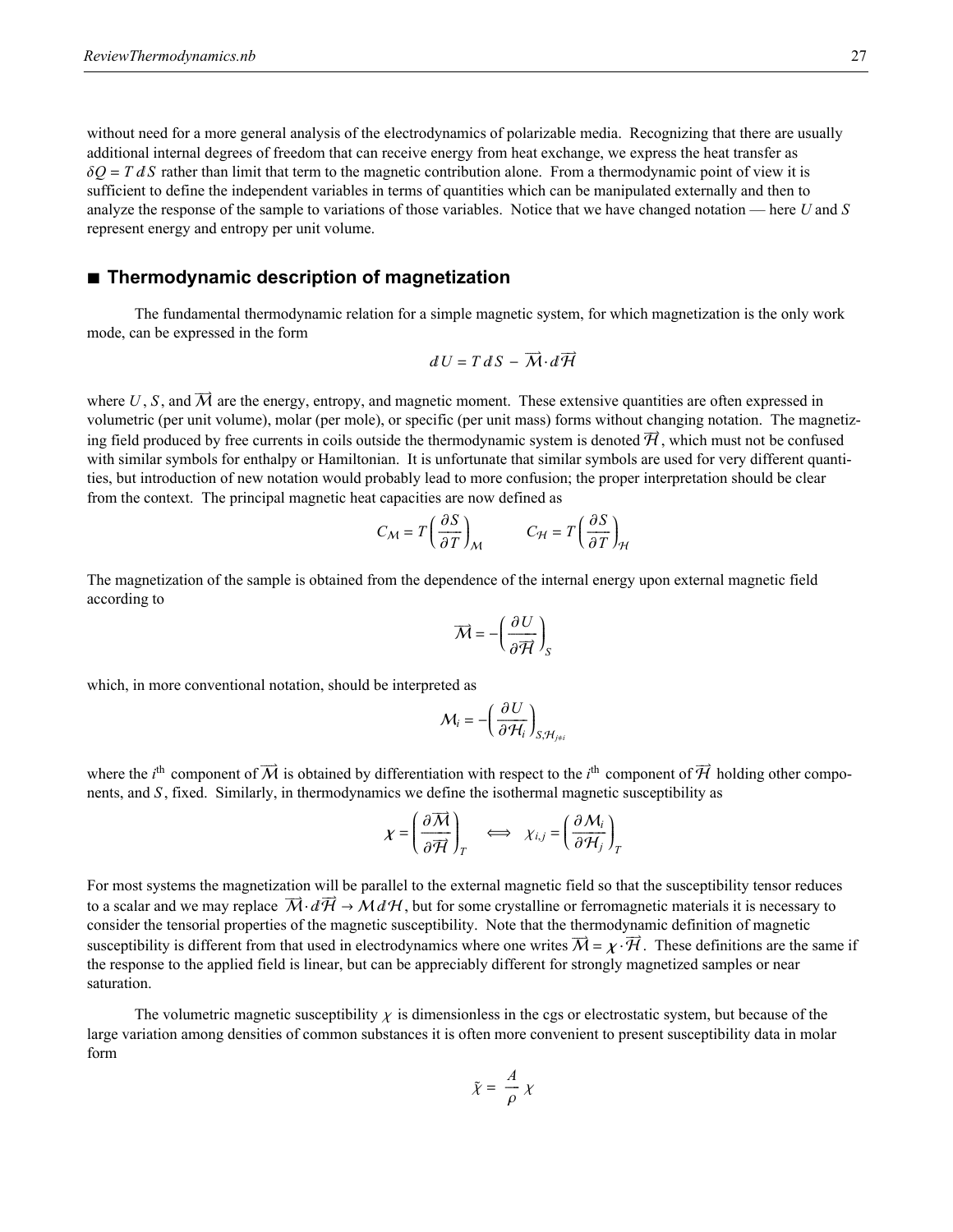without need for a more general analysis of the electrodynamics of polarizable media. Recognizing that there are usually additional internal degrees of freedom that can receive energy from heat exchange, we express the heat transfer as  $\delta Q = T dS$  rather than limit that term to the magnetic contribution alone. From a thermodynamic point of view it is sufficient to define the independent variables in terms of quantities which can be manipulated externally and then to analyze the response of the sample to variations of those variables. Notice that we have changed notation — here *U* and *S* represent energy and entropy per unit volume.

### **à Thermodynamic description of magnetization**

The fundamental thermodynamic relation for a simple magnetic system, for which magnetization is the only work mode, can be expressed in the form

$$
dU=T\,dS-\overrightarrow{M}\!\cdot\!d\overrightarrow{H}
$$

where  $U, S$ , and  $\overrightarrow{M}$  are the energy, entropy, and magnetic moment. These extensive quantities are often expressed in volumetric (per unit volume), molar (per mole), or specific (per unit mass) forms without changing notation. The magnetizing field produced by free currents in coils outside the thermodynamic system is denoted  $\vec{\mathcal{H}}$ , which must not be confused with similar symbols for enthalpy or Hamiltonian. It is unfortunate that similar symbols are used for very different quantities, but introduction of new notation would probably lead to more confusion; the proper interpretation should be clear from the context. The principal magnetic heat capacities are now defined as

$$
C_M = T \left(\frac{\partial S}{\partial T}\right)_M \qquad C_H = T \left(\frac{\partial S}{\partial T}\right)_H
$$

The magnetization of the sample is obtained from the dependence of the internal energy upon external magnetic field according to

$$
\overrightarrow{M} = -\left(\frac{\partial U}{\partial \overrightarrow{H}}\right)_{S}
$$

which, in more conventional notation, should be interpreted as

$$
\mathcal{M}_i = -\left(\frac{\partial U}{\partial \mathcal{H}_i}\right)_{S, \mathcal{H}_{j \neq i}}
$$

where the *i*<sup>th</sup> component of  $\vec{M}$  is obtained by differentiation with respect to the *i*<sup>th</sup> component of  $\vec{H}$  holding other components, and *S* , fixed. Similarly, in thermodynamics we define the isothermal magnetic susceptibility as

÷÷÷÷"

$$
\chi = \left(\frac{\partial \overline{M}}{\partial \overline{H}}\right)_T \iff \chi_{i,j} = \left(\frac{\partial M_i}{\partial H_j}\right)_T
$$

For most systems the magnetization will be parallel to the external magnetic field so that the susceptibility tensor reduces to a scalar and we may replace  $\overrightarrow{M} \cdot d\overrightarrow{H} \to M dH$ , but for some crystalline or ferromagnetic materials it is necessary to consider the tensorial properties of the magnetic susceptibility. Note that the thermodynamic definition of magnetic susceptibility is different from that used in electrodynamics where one writes  $\vec{M} = \chi \cdot \vec{H}$ . These definitions are the same if the response to the applied field is linear, but can be appreciably different for strongly magnetized samples or near saturation.

The volumetric magnetic susceptibility  $\chi$  is dimensionless in the cgs or electrostatic system, but because of the large variation among densities of common substances it is often more convenient to present susceptibility data in molar form

$$
\tilde{\chi} = \frac{A}{\rho} \chi
$$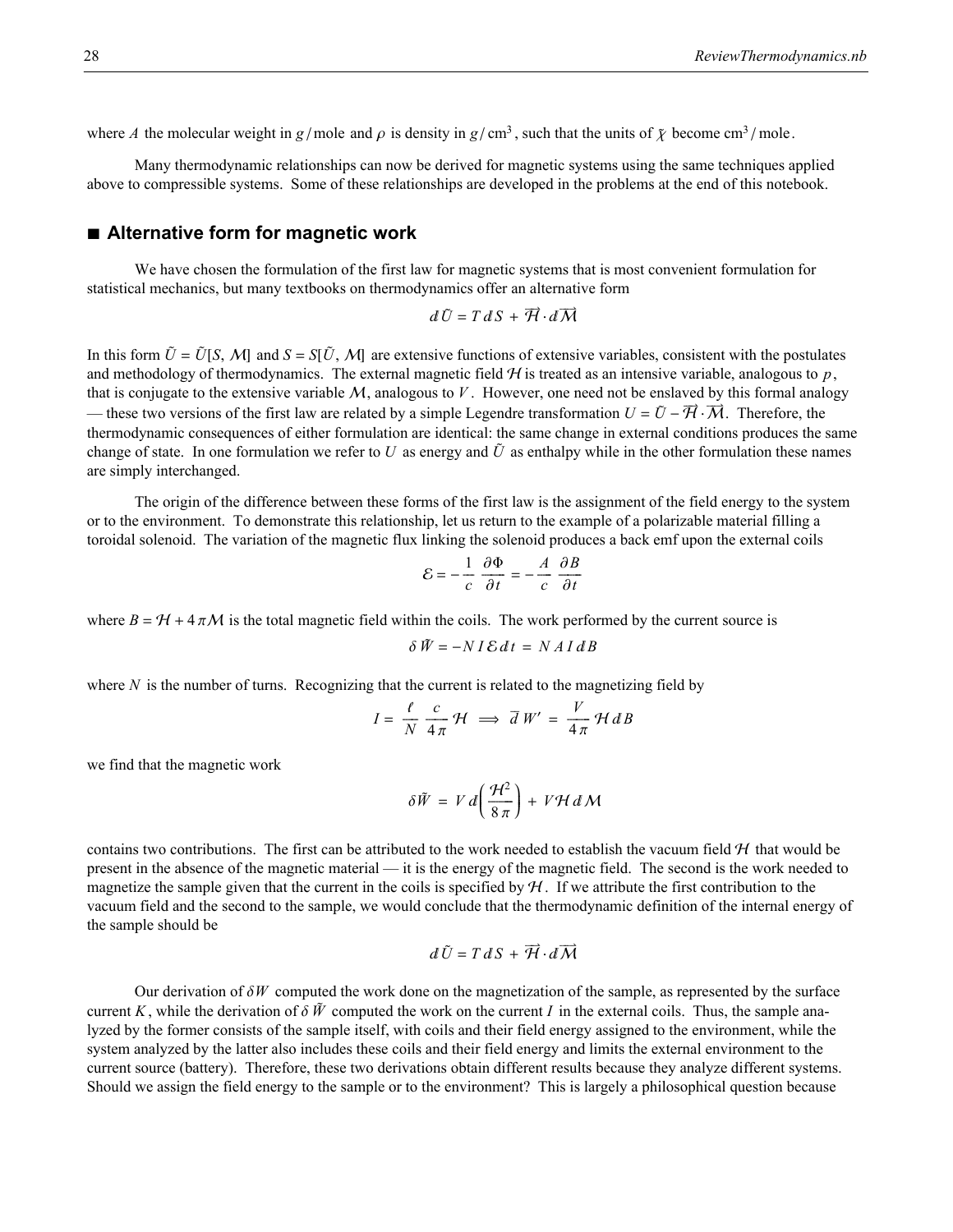where *A* the molecular weight in *g* / mole and  $\rho$  is density in *g* / cm<sup>3</sup>, such that the units of  $\tilde{\chi}$  become cm<sup>3</sup> / mole.

Many thermodynamic relationships can now be derived for magnetic systems using the same techniques applied above to compressible systems. Some of these relationships are developed in the problems at the end of this notebook.

### **à Alternative form for magnetic work**

We have chosen the formulation of the first law for magnetic systems that is most convenient formulation for statistical mechanics, but many textbooks on thermodynamics offer an alternative form

$$
d\,\tilde{U} = T\,dS + \overrightarrow{H} \cdot d\overrightarrow{M}
$$

In this form  $\tilde{U} = \tilde{U}[S, M]$  and  $S = S[\tilde{U}, M]$  are extensive functions of extensive variables, consistent with the postulates and methodology of thermodynamics. The external magnetic field  $H$  is treated as an intensive variable, analogous to  $p$ , that is conjugate to the extensive variable  $M$ , analogous to  $V$ . However, one need not be enslaved by this formal analogy — these two versions of the first law are related by a simple Legendre transformation  $U = \tilde{U} - \vec{H} \cdot \vec{M}$ . Therefore, the thermodynamic consequences of either formulation are identical: the same change in external conditions produces the same è change of state. In one formulation we refer to U as energy and  $\tilde{U}$  as enthalpy while in the other formulation these names are simply interchanged.

The origin of the difference between these forms of the first law is the assignment of the field energy to the system or to the environment. To demonstrate this relationship, let us return to the example of a polarizable material filling a toroidal solenoid. The variation of the magnetic flux linking the solenoid produces a back emf upon the external coils

$$
\mathcal{E} = -\frac{1}{c} \frac{\partial \Phi}{\partial t} = -\frac{A}{c} \frac{\partial B}{\partial t}
$$

where  $B = H + 4\pi M$  is the total magnetic field within the coils. The work performed by the current source is

$$
\delta \tilde{W} = -N I \mathcal{E} dt = N A I dB
$$

where  $N$  is the number of turns. Recognizing that the current is related to the magnetizing field by

$$
I = \frac{\ell}{N} \frac{c}{4\pi} \mathcal{H} \implies \overline{d} W' = \frac{V}{4\pi} \mathcal{H} dB
$$

we find that the magnetic work

$$
\delta \tilde{W} = V d \left( \frac{\mathcal{H}^2}{8 \pi} \right) + V \mathcal{H} d \mathcal{M}
$$

contains two contributions. The first can be attributed to the work needed to establish the vacuum field  $H$  that would be present in the absence of the magnetic material — it is the energy of the magnetic field. The second is the work needed to magnetize the sample given that the current in the coils is specified by  $H$ . If we attribute the first contribution to the vacuum field and the second to the sample, we would conclude that the thermodynamic definition of the internal energy of the sample should be

$$
d\,\tilde{U} = T\,dS + \overrightarrow{\mathcal{H}} \cdot d\overrightarrow{\mathcal{M}}
$$

Our derivation of  $\delta W$  computed the work done on the magnetization of the sample, as represented by the surface current *K*, while the derivation of  $\delta \tilde{W}$  computed the work on the current *I* in the external coils. Thus, the sample analyzed by the former consists of the sample itself, with coils and their field energy assigned to the environment, while the system analyzed by the latter also includes these coils and their field energy and limits the external environment to the current source (battery). Therefore, these two derivations obtain different results because they analyze different systems. Should we assign the field energy to the sample or to the environment? This is largely a philosophical question because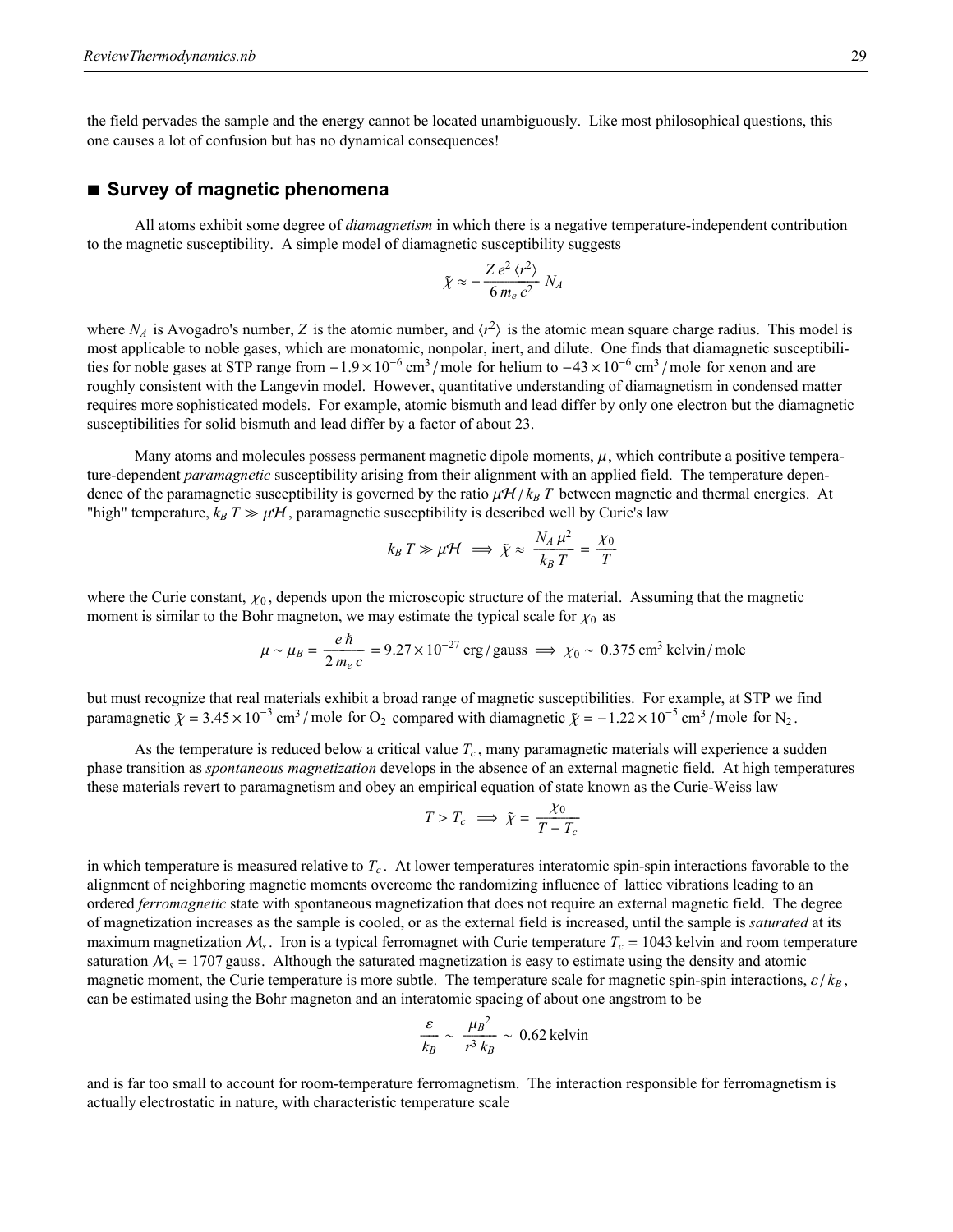the field pervades the sample and the energy cannot be located unambiguously. Like most philosophical questions, this one causes a lot of confusion but has no dynamical consequences!

### **à Survey of magnetic phenomena**

All atoms exhibit some degree of *diamagnetism* in which there is a negative temperature-independent contribution to the magnetic susceptibility. A simple model of diamagnetic susceptibility suggests

$$
\tilde{\chi} \approx -\frac{Z e^2 \langle r^2 \rangle}{6 m_e c^2} N_A
$$

where  $N_A$  is Avogadro's number, *Z* is the atomic number, and  $\langle r^2 \rangle$  is the atomic mean square charge radius. This model is most applicable to noble gases, which are monatomic, nonpolar, inert, and dilute. One finds that diamagnetic susceptibilities for noble gases at STP range from  $-1.9\times10^{-6}$  cm<sup>3</sup>/mole for helium to  $-43\times10^{-6}$  cm<sup>3</sup>/mole for xenon and are roughly consistent with the Langevin model. However, quantitative understanding of diamagnetism in condensed matter requires more sophisticated models. For example, atomic bismuth and lead differ by only one electron but the diamagnetic susceptibilities for solid bismuth and lead differ by a factor of about 23.

Many atoms and molecules possess permanent magnetic dipole moments,  $\mu$ , which contribute a positive temperature-dependent *paramagnetic* susceptibility arising from their alignment with an applied field. The temperature dependence of the paramagnetic susceptibility is governed by the ratio  $\mu H / k_B T$  between magnetic and thermal energies. At "high" temperature,  $k_B T \gg \mu H$ , paramagnetic susceptibility is described well by Curie's law

$$
k_B T \gg \mu \mathcal{H} \implies \tilde{\chi} \approx \frac{N_A \mu^2}{k_B T} = \frac{\chi_0}{T}
$$

where the Curie constant,  $\chi_0$ , depends upon the microscopic structure of the material. Assuming that the magnetic moment is similar to the Bohr magneton, we may estimate the typical scale for  $\chi_0$  as

$$
\mu \sim \mu_B = \frac{e \hbar}{2 m_e c} = 9.27 \times 10^{-27} \text{ erg/gauss} \implies \chi_0 \sim 0.375 \text{ cm}^3 \text{ kelvin/mole}
$$

but must recognize that real materials exhibit a broad range of magnetic susceptibilities. For example, at STP we find paramagnetic  $\tilde{\chi} = 3.45 \times 10^{-3}$  cm<sup>3</sup>/mole for O<sub>2</sub> compared with diamagnetic  $\tilde{\chi} = -1.22 \times 10^{-5}$  cm<sup>3</sup>/mole for N<sub>2</sub>.

As the temperature is reduced below a critical value  $T_c$ , many paramagnetic materials will experience a sudden phase transition as *spontaneous magnetization* develops in the absence of an external magnetic field. At high temperatures these materials revert to paramagnetism and obey an empirical equation of state known as the Curie-Weiss law

$$
T > T_c \implies \tilde{\chi} = \frac{\chi_0}{T - T_c}
$$

in which temperature is measured relative to *Tc* . At lower temperatures interatomic spin-spin interactions favorable to the alignment of neighboring magnetic moments overcome the randomizing influence of lattice vibrations leading to an ordered *ferromagnetic* state with spontaneous magnetization that does not require an external magnetic field. The degree of magnetization increases as the sample is cooled, or as the external field is increased, until the sample is *saturated* at its maximum magnetization  $M_s$ . Iron is a typical ferromagnet with Curie temperature  $T_c = 1043$  kelvin and room temperature saturation  $M_s = 1707$  gauss. Although the saturated magnetization is easy to estimate using the density and atomic magnetic moment, the Curie temperature is more subtle. The temperature scale for magnetic spin-spin interactions,  $\epsilon / k_B$ , can be estimated using the Bohr magneton and an interatomic spacing of about one angstrom to be

$$
\frac{\varepsilon}{k_B} \sim \frac{\mu_B^2}{r^3 k_B} \sim 0.62 \text{ kelvin}
$$

and is far too small to account for room-temperature ferromagnetism. The interaction responsible for ferromagnetism is actually electrostatic in nature, with characteristic temperature scale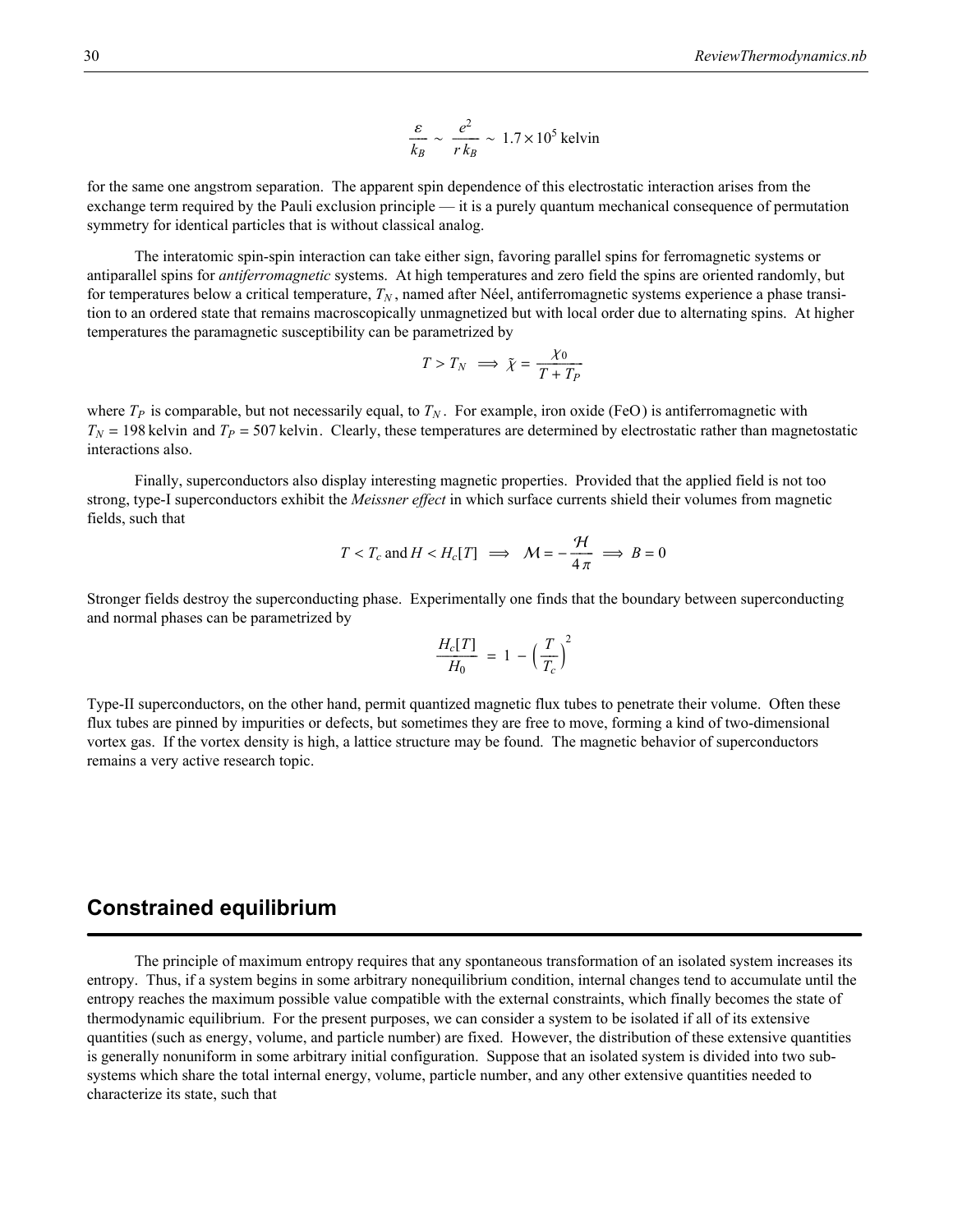$$
\frac{\varepsilon}{k_B} \sim \frac{e^2}{r k_B} \sim 1.7 \times 10^5 \text{ kelvin}
$$

for the same one angstrom separation. The apparent spin dependence of this electrostatic interaction arises from the exchange term required by the Pauli exclusion principle — it is a purely quantum mechanical consequence of permutation symmetry for identical particles that is without classical analog.

The interatomic spin-spin interaction can take either sign, favoring parallel spins for ferromagnetic systems or antiparallel spins for *antiferromagnetic* systems. At high temperatures and zero field the spins are oriented randomly, but for temperatures below a critical temperature,  $T_N$ , named after Néel, antiferromagnetic systems experience a phase transition to an ordered state that remains macroscopically unmagnetized but with local order due to alternating spins. At higher temperatures the paramagnetic susceptibility can be parametrized by

$$
T > T_N \implies \tilde{\chi} = \frac{\chi_0}{T + T_P}
$$

where  $T_P$  is comparable, but not necessarily equal, to  $T_N$ . For example, iron oxide (FeO) is antiferromagnetic with  $T_N$  = 198 kelvin and  $T_P$  = 507 kelvin. Clearly, these temperatures are determined by electrostatic rather than magnetostatic interactions also.

Finally, superconductors also display interesting magnetic properties. Provided that the applied field is not too strong, type-I superconductors exhibit the *Meissner effect* in which surface currents shield their volumes from magnetic fields, such that

$$
T < T_c
$$
 and  $H < H_c[T] \implies M = -\frac{\mathcal{H}}{4\pi} \implies B = 0$ 

Stronger fields destroy the superconducting phase. Experimentally one finds that the boundary between superconducting and normal phases can be parametrized by

$$
\frac{H_c[T]}{H_0} = 1 - \left(\frac{T}{T_c}\right)^2
$$

Type-II superconductors, on the other hand, permit quantized magnetic flux tubes to penetrate their volume. Often these flux tubes are pinned by impurities or defects, but sometimes they are free to move, forming a kind of two-dimensional vortex gas. If the vortex density is high, a lattice structure may be found. The magnetic behavior of superconductors remains a very active research topic.

### **Constrained equilibrium**

The principle of maximum entropy requires that any spontaneous transformation of an isolated system increases its entropy. Thus, if a system begins in some arbitrary nonequilibrium condition, internal changes tend to accumulate until the entropy reaches the maximum possible value compatible with the external constraints, which finally becomes the state of thermodynamic equilibrium. For the present purposes, we can consider a system to be isolated if all of its extensive quantities (such as energy, volume, and particle number) are fixed. However, the distribution of these extensive quantities is generally nonuniform in some arbitrary initial configuration. Suppose that an isolated system is divided into two subsystems which share the total internal energy, volume, particle number, and any other extensive quantities needed to characterize its state, such that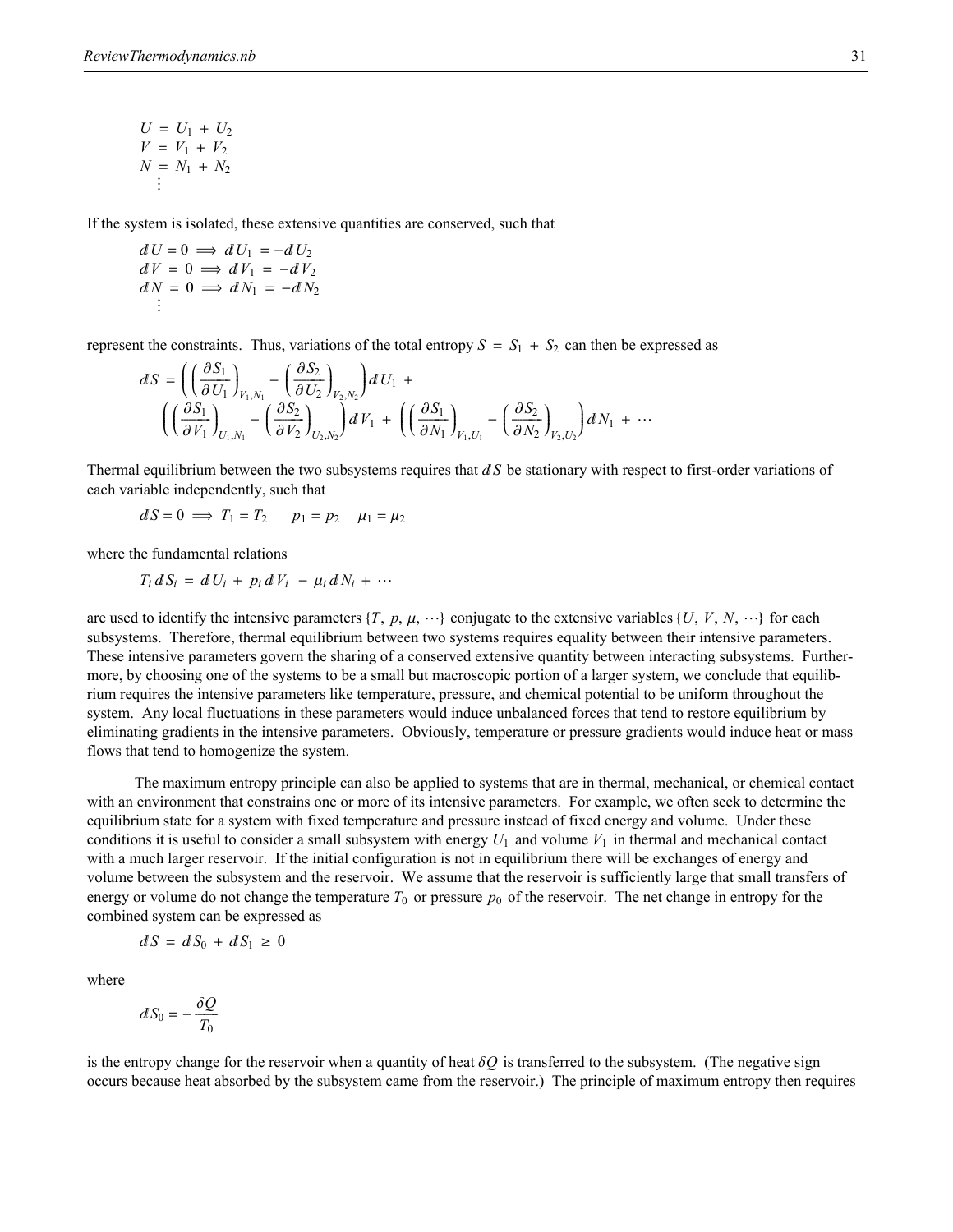$$
U = U_1 + U_2
$$
  
\n
$$
V = V_1 + V_2
$$
  
\n
$$
N = N_1 + N_2
$$
  
\n
$$
\vdots
$$

If the system is isolated, these extensive quantities are conserved, such that

$$
dU = 0 \implies dU_1 = -dU_2
$$
  
\n
$$
dV = 0 \implies dV_1 = -dV_2
$$
  
\n
$$
dN = 0 \implies dN_1 = -dN_2
$$
  
\n...

represent the constraints. Thus, variations of the total entropy  $S = S_1 + S_2$  can then be expressed as

$$
dS = \left( \left( \frac{\partial S_1}{\partial U_1} \right)_{V_1, N_1} - \left( \frac{\partial S_2}{\partial U_2} \right)_{V_2, N_2} \right) dU_1 + \left( \left( \frac{\partial S_1}{\partial N_1} \right)_{U_1, N_1} - \left( \frac{\partial S_2}{\partial V_2} \right)_{U_2, N_2} \right) dV_1 + \left( \left( \frac{\partial S_1}{\partial N_1} \right)_{V_1, U_1} - \left( \frac{\partial S_2}{\partial N_2} \right)_{V_2, U_2} \right) dN_1 + \cdots
$$

Thermal equilibrium between the two subsystems requires that dS be stationary with respect to first-order variations of each variable independently, such that

$$
dS = 0 \implies T_1 = T_2 \qquad p_1 = p_2 \qquad \mu_1 = \mu_2
$$

where the fundamental relations

$$
T_i dS_i = dU_i + p_i dV_i - \mu_i dN_i + \cdots
$$

are used to identify the intensive parameters  $\{T, p, \mu, \dots\}$  conjugate to the extensive variables  $\{U, V, N, \dots\}$  for each subsystems. Therefore, thermal equilibrium between two systems requires equality between their intensive parameters. These intensive parameters govern the sharing of a conserved extensive quantity between interacting subsystems. Furthermore, by choosing one of the systems to be a small but macroscopic portion of a larger system, we conclude that equilibrium requires the intensive parameters like temperature, pressure, and chemical potential to be uniform throughout the system. Any local fluctuations in these parameters would induce unbalanced forces that tend to restore equilibrium by eliminating gradients in the intensive parameters. Obviously, temperature or pressure gradients would induce heat or mass flows that tend to homogenize the system.

The maximum entropy principle can also be applied to systems that are in thermal, mechanical, or chemical contact with an environment that constrains one or more of its intensive parameters. For example, we often seek to determine the equilibrium state for a system with fixed temperature and pressure instead of fixed energy and volume. Under these conditions it is useful to consider a small subsystem with energy  $U_1$  and volume  $V_1$  in thermal and mechanical contact with a much larger reservoir. If the initial configuration is not in equilibrium there will be exchanges of energy and volume between the subsystem and the reservoir. We assume that the reservoir is sufficiently large that small transfers of energy or volume do not change the temperature  $T_0$  or pressure  $p_0$  of the reservoir. The net change in entropy for the combined system can be expressed as

$$
dS = dS_0 + dS_1 \geq 0
$$

where

$$
dS_0 = -\frac{\delta Q}{T_0}
$$

is the entropy change for the reservoir when a quantity of heat  $\delta Q$  is transferred to the subsystem. (The negative sign occurs because heat absorbed by the subsystem came from the reservoir.) The principle of maximum entropy then requires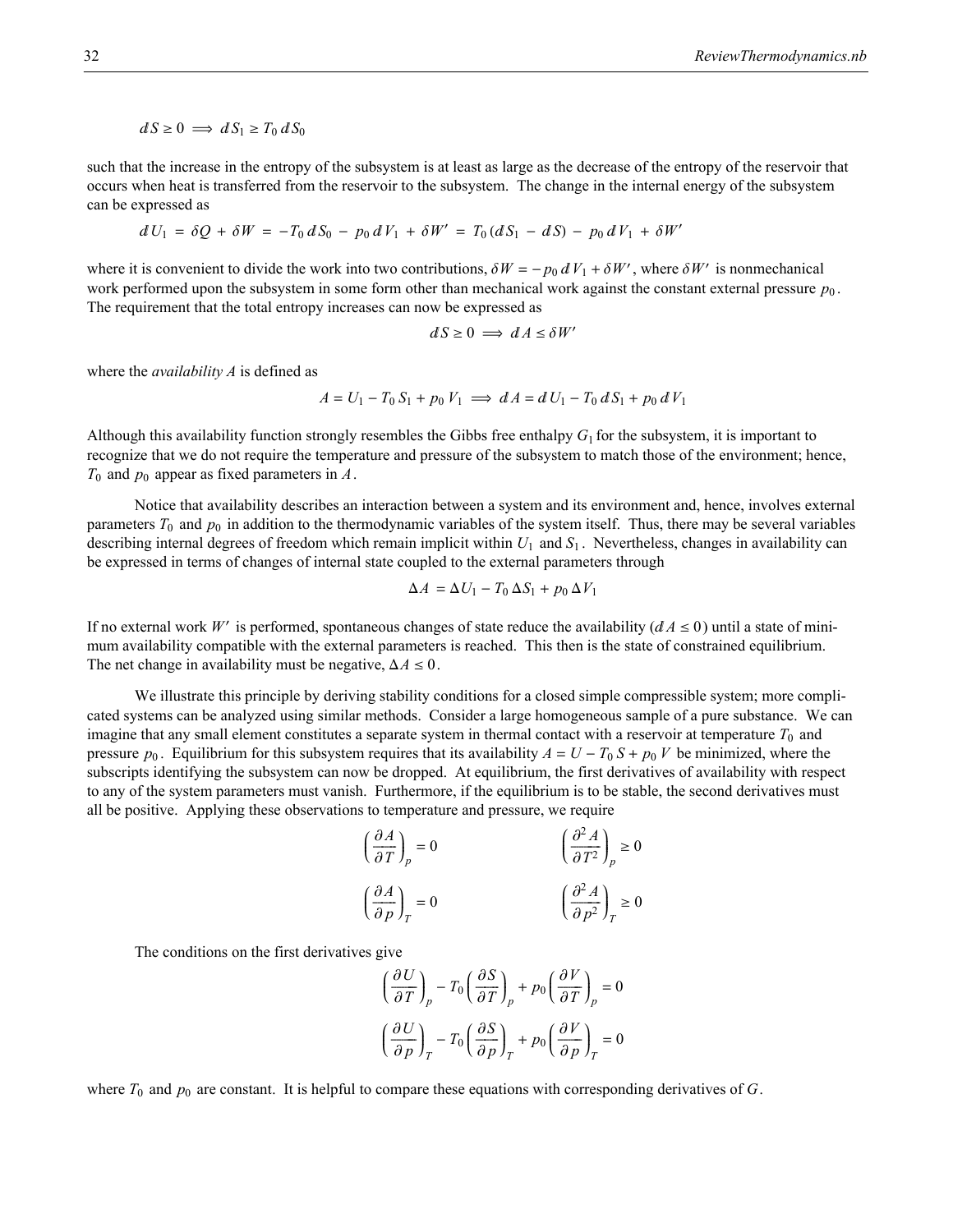$dS \ge 0 \implies dS_1 \ge T_0 dS_0$ 

such that the increase in the entropy of the subsystem is at least as large as the decrease of the entropy of the reservoir that occurs when heat is transferred from the reservoir to the subsystem. The change in the internal energy of the subsystem can be expressed as

$$
dU_1 = \delta Q + \delta W = -T_0 dS_0 - p_0 dV_1 + \delta W' = T_0 (dS_1 - dS) - p_0 dV_1 + \delta W'
$$

where it is convenient to divide the work into two contributions,  $\delta W = -p_0 dV_1 + \delta W'$ , where  $\delta W'$  is nonmechanical work performed upon the subsystem in some form other than mechanical work against the constant external pressure  $p_0$ . The requirement that the total entropy increases can now be expressed as

$$
dS \ge 0 \implies dA \le \delta W'
$$

where the *availability A* is defined as

$$
A = U_1 - T_0 S_1 + p_0 V_1 \implies dA = dU_1 - T_0 dS_1 + p_0 dV_1
$$

Although this availability function strongly resembles the Gibbs free enthalpy  $G_1$  for the subsystem, it is important to recognize that we do not require the temperature and pressure of the subsystem to match those of the environment; hence, *T*0 and *p*0 appear as fixed parameters in *A*.

Notice that availability describes an interaction between a system and its environment and, hence, involves external parameters  $T_0$  and  $p_0$  in addition to the thermodynamic variables of the system itself. Thus, there may be several variables describing internal degrees of freedom which remain implicit within *U*1 and *S*<sup>1</sup> . Nevertheless, changes in availability can be expressed in terms of changes of internal state coupled to the external parameters through

$$
\Delta A = \Delta U_1 - T_0 \, \Delta S_1 + p_0 \, \Delta V_1
$$

If no external work *W'* is performed, spontaneous changes of state reduce the availability ( $dA \le 0$ ) until a state of minimum availability compatible with the external parameters is reached. This then is the state of constrained equilibrium. The net change in availability must be negative,  $\Delta A \leq 0$ .

We illustrate this principle by deriving stability conditions for a closed simple compressible system; more complicated systems can be analyzed using similar methods. Consider a large homogeneous sample of a pure substance. We can imagine that any small element constitutes a separate system in thermal contact with a reservoir at temperature  $T_0$  and pressure  $p_0$ . Equilibrium for this subsystem requires that its availability  $A = U - T_0 S + p_0 V$  be minimized, where the subscripts identifying the subsystem can now be dropped. At equilibrium, the first derivatives of availability with respect to any of the system parameters must vanish. Furthermore, if the equilibrium is to be stable, the second derivatives must all be positive. Applying these observations to temperature and pressure, we require

$$
\left(\frac{\partial A}{\partial T}\right)_p = 0 \qquad \left(\frac{\partial^2 A}{\partial T^2}\right)_p \ge 0
$$

$$
\left(\frac{\partial A}{\partial p}\right)_T = 0 \qquad \left(\frac{\partial^2 A}{\partial p^2}\right)_T \ge 0
$$

The conditions on the first derivatives give

$$
\left(\frac{\partial U}{\partial T}\right)_p - T_0 \left(\frac{\partial S}{\partial T}\right)_p + p_0 \left(\frac{\partial V}{\partial T}\right)_p = 0
$$

$$
\left(\frac{\partial U}{\partial p}\right)_T - T_0 \left(\frac{\partial S}{\partial p}\right)_T + p_0 \left(\frac{\partial V}{\partial p}\right)_T = 0
$$

where  $T_0$  and  $p_0$  are constant. It is helpful to compare these equations with corresponding derivatives of *G*.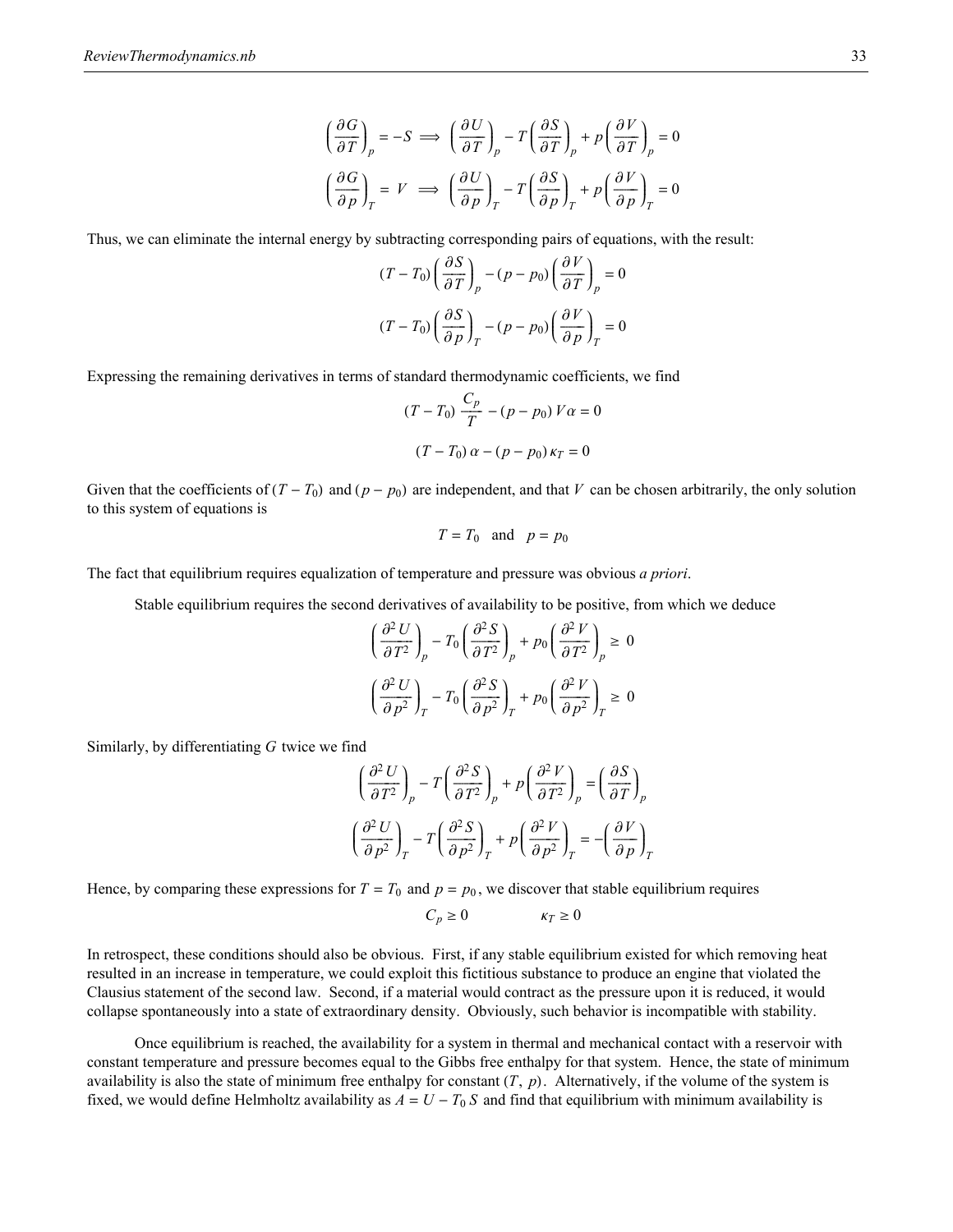$$
\left(\frac{\partial G}{\partial T}\right)_p = -S \implies \left(\frac{\partial U}{\partial T}\right)_p - T\left(\frac{\partial S}{\partial T}\right)_p + p\left(\frac{\partial V}{\partial T}\right)_p = 0
$$

$$
\left(\frac{\partial G}{\partial p}\right)_T = V \implies \left(\frac{\partial U}{\partial p}\right)_T - T\left(\frac{\partial S}{\partial p}\right)_T + p\left(\frac{\partial V}{\partial p}\right)_T = 0
$$

Thus, we can eliminate the internal energy by subtracting corresponding pairs of equations, with the result:

$$
(T - T_0) \left(\frac{\partial S}{\partial T}\right)_p - (p - p_0) \left(\frac{\partial V}{\partial T}\right)_p = 0
$$
  

$$
(T - T_0) \left(\frac{\partial S}{\partial p}\right)_T - (p - p_0) \left(\frac{\partial V}{\partial p}\right)_T = 0
$$

Expressing the remaining derivatives in terms of standard thermodynamic coefficients, we find

$$
(T - T_0) \frac{C_p}{T} - (p - p_0) V \alpha = 0
$$

$$
(T - T_0) \alpha - (p - p_0) \kappa_T = 0
$$

Given that the coefficients of  $(T - T_0)$  and  $(p - p_0)$  are independent, and that *V* can be chosen arbitrarily, the only solution to this system of equations is

$$
T = T_0
$$
 and  $p = p_0$ 

The fact that equilibrium requires equalization of temperature and pressure was obvious *a priori*.

Stable equilibrium requires the second derivatives of availability to be positive, from which we deduce

$$
\left(\frac{\partial^2 U}{\partial T^2}\right)_p - T_0 \left(\frac{\partial^2 S}{\partial T^2}\right)_p + p_0 \left(\frac{\partial^2 V}{\partial T^2}\right)_p \ge 0
$$

$$
\left(\frac{\partial^2 U}{\partial p^2}\right)_T - T_0 \left(\frac{\partial^2 S}{\partial p^2}\right)_T + p_0 \left(\frac{\partial^2 V}{\partial p^2}\right)_T \ge 0
$$

Similarly, by differentiating *G* twice we find

$$
\left(\frac{\partial^2 U}{\partial T^2}\right)_p - T \left(\frac{\partial^2 S}{\partial T^2}\right)_p + p \left(\frac{\partial^2 V}{\partial T^2}\right)_p = \left(\frac{\partial S}{\partial T}\right)_p
$$

$$
\left(\frac{\partial^2 U}{\partial p^2}\right)_T - T \left(\frac{\partial^2 S}{\partial p^2}\right)_T + p \left(\frac{\partial^2 V}{\partial p^2}\right)_T = -\left(\frac{\partial V}{\partial p}\right)_T
$$

Hence, by comparing these expressions for  $T = T_0$  and  $p = p_0$ , we discover that stable equilibrium requires

 $C_p \ge 0$   $K_T \ge 0$ 

In retrospect, these conditions should also be obvious. First, if any stable equilibrium existed for which removing heat resulted in an increase in temperature, we could exploit this fictitious substance to produce an engine that violated the Clausius statement of the second law. Second, if a material would contract as the pressure upon it is reduced, it would collapse spontaneously into a state of extraordinary density. Obviously, such behavior is incompatible with stability.

Once equilibrium is reached, the availability for a system in thermal and mechanical contact with a reservoir with constant temperature and pressure becomes equal to the Gibbs free enthalpy for that system. Hence, the state of minimum availability is also the state of minimum free enthalpy for constant  $(T, p)$ . Alternatively, if the volume of the system is fixed, we would define Helmholtz availability as  $A = U - T_0 S$  and find that equilibrium with minimum availability is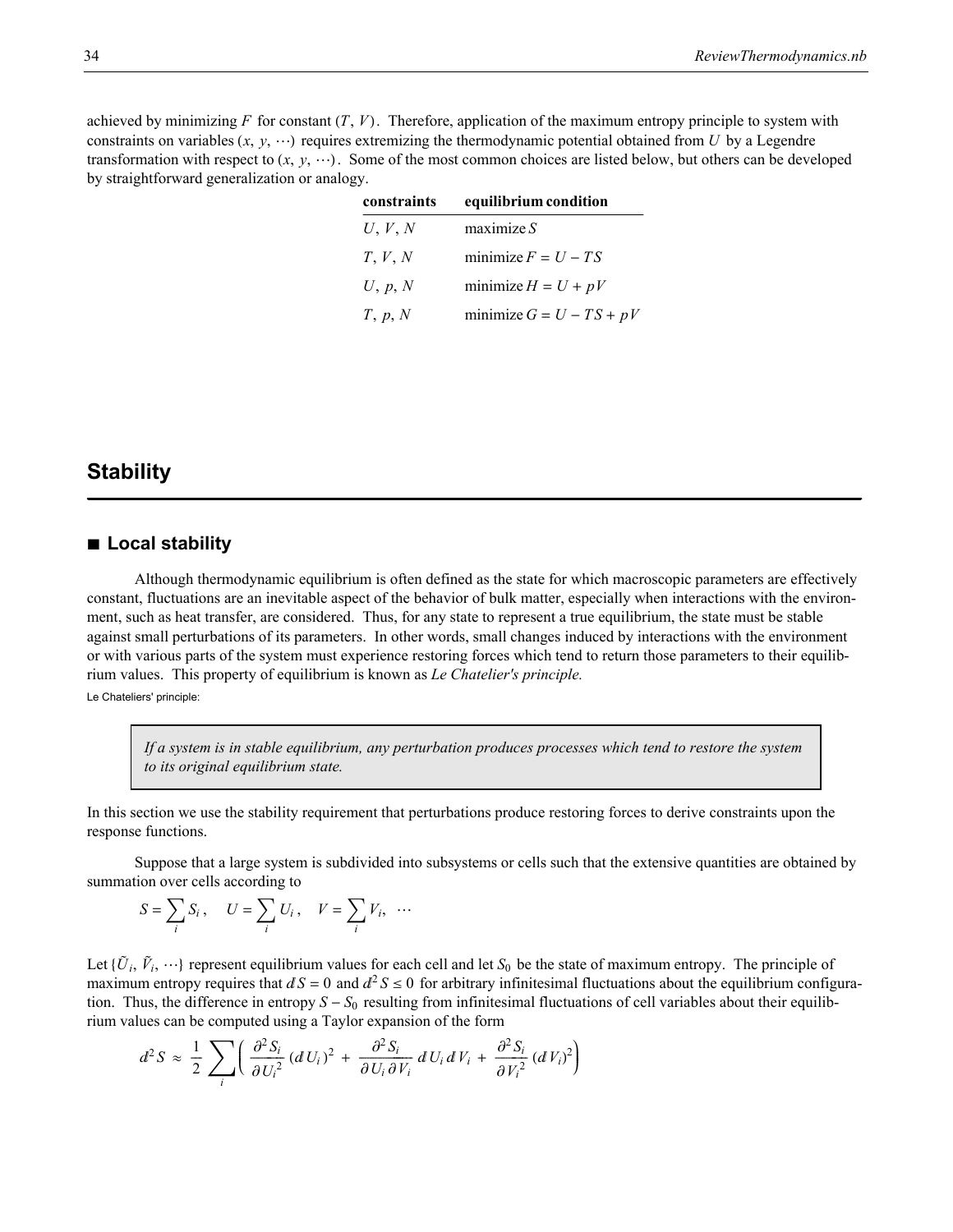achieved by minimizing *F* for constant  $(T, V)$ . Therefore, application of the maximum entropy principle to system with constraints on variables  $(x, y, \dots)$  requires extremizing the thermodynamic potential obtained from *U* by a Legendre transformation with respect to  $(x, y, \dots)$ . Some of the most common choices are listed below, but others can be developed by straightforward generalization or analogy.

| constraints | equilibrium condition      |  |  |  |
|-------------|----------------------------|--|--|--|
| U, V, N     | maximize S                 |  |  |  |
| T, V, N     | minimize $F = U - TS$      |  |  |  |
| U, p, N     | minimize $H = U + pV$      |  |  |  |
| T, p, N     | minimize $G = U - TS + pV$ |  |  |  |

### **Stability**

### **à Local stability**

Although thermodynamic equilibrium is often defined as the state for which macroscopic parameters are effectively constant, fluctuations are an inevitable aspect of the behavior of bulk matter, especially when interactions with the environment, such as heat transfer, are considered. Thus, for any state to represent a true equilibrium, the state must be stable against small perturbations of its parameters. In other words, small changes induced by interactions with the environment or with various parts of the system must experience restoring forces which tend to return those parameters to their equilibrium values. This property of equilibrium is known as *Le Chatelier's principle.*

Le Chateliers' principle:

*If a system is in stable equilibrium, any perturbation produces processes which tend to restore the system to its original equilibrium state.*

In this section we use the stability requirement that perturbations produce restoring forces to derive constraints upon the response functions.

Suppose that a large system is subdivided into subsystems or cells such that the extensive quantities are obtained by summation over cells according to

$$
S = \sum_i S_i, \quad U = \sum_i U_i, \quad V = \sum_i V_i, \quad \cdots
$$

Let  $\{\tilde{U}_i, \tilde{V}_i, \cdots\}$  represent equilibrium values for each cell and let  $S_0$  be the state of maximum entropy. The principle of maximum entropy requires that  $dS = 0$  and  $d^2S \le 0$  for arbitrary infinitesimal fluctuations about the equilibrium configuration. Thus, the difference in entropy  $S - S_0$  resulting from infinitesimal fluctuations of cell variables about their equilibrium values can be computed using a Taylor expansion of the form

$$
d^2S \approx \frac{1}{2}\sum_i \left( \frac{\partial^2 S_i}{\partial U_i^2} (dU_i)^2 + \frac{\partial^2 S_i}{\partial U_i \partial V_i} dU_i dV_i + \frac{\partial^2 S_i}{\partial V_i^2} (dV_i)^2 \right)
$$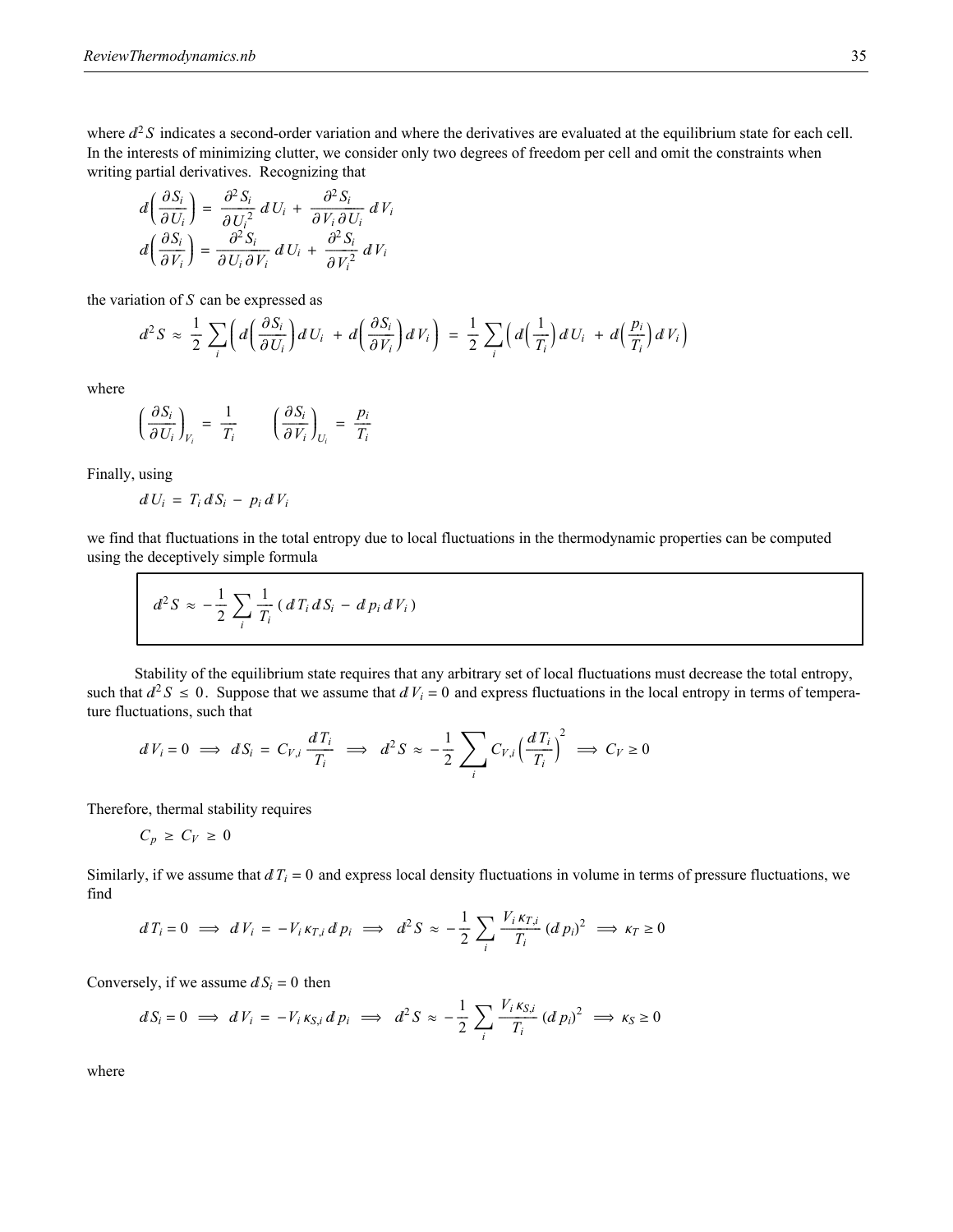where  $d^2S$  indicates a second-order variation and where the derivatives are evaluated at the equilibrium state for each cell. In the interests of minimizing clutter, we consider only two degrees of freedom per cell and omit the constraints when writing partial derivatives. Recognizing that

$$
d\left(\frac{\partial S_i}{\partial U_i}\right) = \frac{\partial^2 S_i}{\partial U_i^2} dU_i + \frac{\partial^2 S_i}{\partial V_i \partial U_i} dV_i
$$

$$
d\left(\frac{\partial S_i}{\partial V_i}\right) = \frac{\partial^2 S_i}{\partial U_i \partial V_i} dU_i + \frac{\partial^2 S_i}{\partial V_i^2} dV_i
$$

the variation of *S* can be expressed as

$$
d^2S \approx \frac{1}{2}\sum_i \left(d\left(\frac{\partial S_i}{\partial U_i}\right)dU_i\right) + d\left(\frac{\partial S_i}{\partial V_i}\right)dV_i\right) = \frac{1}{2}\sum_i \left(d\left(\frac{1}{T_i}\right)dU_i\right) + d\left(\frac{p_i}{T_i}\right)dV_i\right)
$$

where

$$
\left(\frac{\partial S_i}{\partial U_i}\right)_{V_i} = \frac{1}{T_i} \qquad \left(\frac{\partial S_i}{\partial V_i}\right)_{U_i} = \frac{p_i}{T_i}
$$

Finally, using

$$
dU_i = T_i dS_i - p_i dV_i
$$

we find that fluctuations in the total entropy due to local fluctuations in the thermodynamic properties can be computed using the deceptively simple formula

$$
d^2S \approx -\frac{1}{2}\sum_i\frac{1}{T_i}\left(d\,T_i\,dS_i - d\,p_i\,d\,V_i\right)
$$

Stability of the equilibrium state requires that any arbitrary set of local fluctuations must decrease the total entropy, such that  $d^2S \le 0$ . Suppose that we assume that  $dV_i = 0$  and express fluctuations in the local entropy in terms of temperature fluctuations, such that

$$
dV_i = 0 \implies dS_i = C_{V,i} \frac{dT_i}{T_i} \implies d^2S \approx -\frac{1}{2} \sum_i C_{V,i} \left(\frac{dT_i}{T_i}\right)^2 \implies C_V \ge 0
$$

Therefore, thermal stability requires

$$
C_p \geq C_V \geq 0
$$

Similarly, if we assume that  $dT_i = 0$  and express local density fluctuations in volume in terms of pressure fluctuations, we find

$$
d\,T_i = 0 \implies d\,V_i = -V_i\,\kappa_{T,i}\,d\,p_i \implies d^2S \approx -\frac{1}{2}\sum_i\frac{V_i\,\kappa_{T,i}}{T_i}\,(d\,p_i)^2 \implies \kappa_T \ge 0
$$

Conversely, if we assume  $dS_i = 0$  then

$$
dS_i = 0 \implies dV_i = -V_i \kappa_{S,i} dp_i \implies d^2S \approx -\frac{1}{2} \sum_i \frac{V_i \kappa_{S,i}}{T_i} (dp_i)^2 \implies \kappa_S \ge 0
$$

where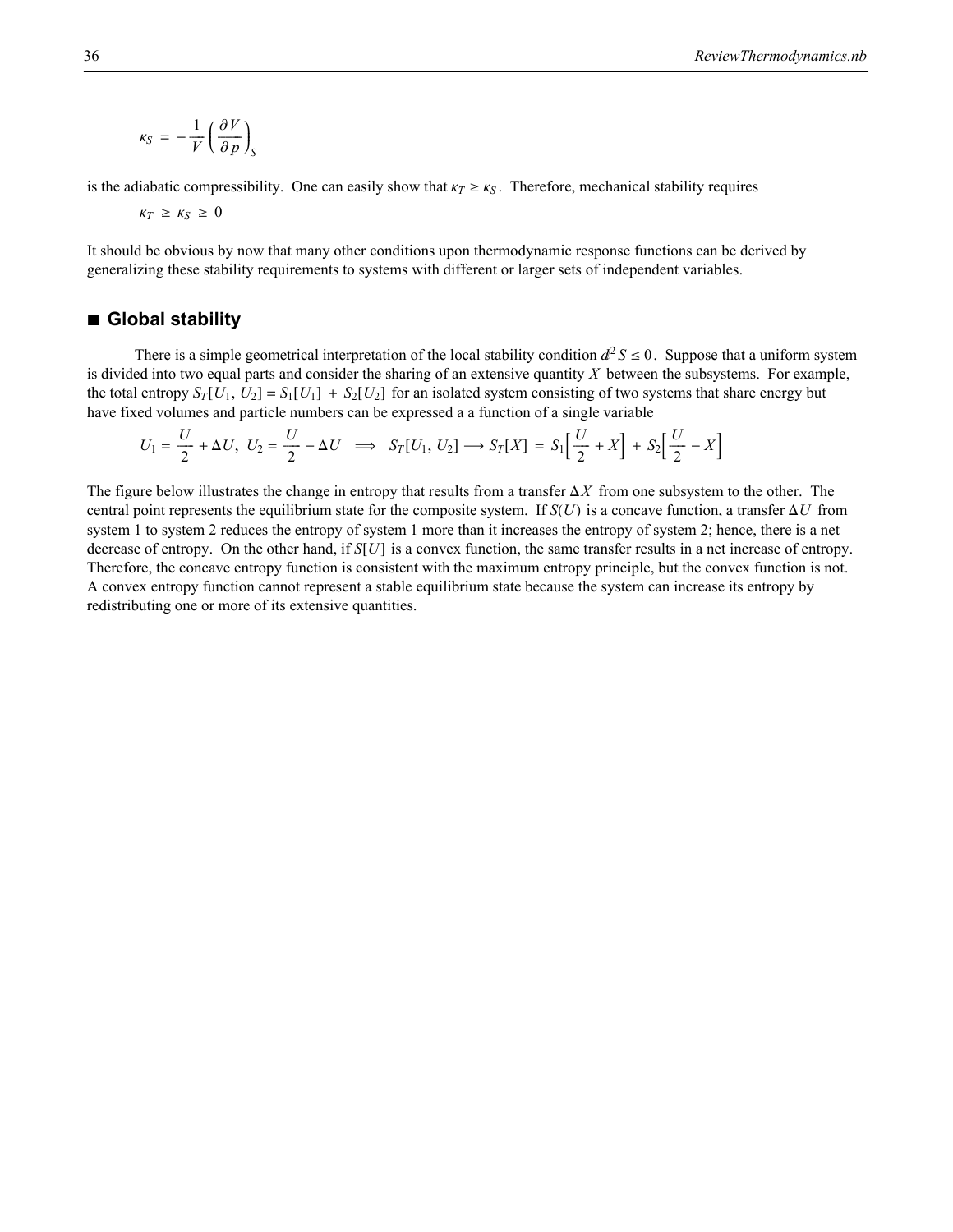$$
\kappa_S = -\frac{1}{V} \left( \frac{\partial V}{\partial p} \right)_S
$$

is the adiabatic compressibility. One can easily show that  $k_T \geq k_S$ . Therefore, mechanical stability requires

 $\kappa_T \geq \kappa_S \geq 0$ 

It should be obvious by now that many other conditions upon thermodynamic response functions can be derived by generalizing these stability requirements to systems with different or larger sets of independent variables.

### **à Global stability**

There is a simple geometrical interpretation of the local stability condition  $d^2 S \le 0$ . Suppose that a uniform system is divided into two equal parts and consider the sharing of an extensive quantity *X* between the subsystems. For example, the total entropy  $S_T[U_1, U_2] = S_1[U_1] + S_2[U_2]$  for an isolated system consisting of two systems that share energy but have fixed volumes and particle numbers can be expressed a a function of a single variable

$$
U_1 = \frac{U}{2} + \Delta U, \ U_2 = \frac{U}{2} - \Delta U \implies S_T[U_1, U_2] \longrightarrow S_T[X] = S_1 \left[ \frac{U}{2} + X \right] + S_2 \left[ \frac{U}{2} - X \right]
$$

The figure below illustrates the change in entropy that results from a transfer  $\Delta X$  from one subsystem to the other. The central point represents the equilibrium state for the composite system. If  $S(U)$  is a concave function, a transfer  $\Delta U$  from system 1 to system 2 reduces the entropy of system 1 more than it increases the entropy of system 2; hence, there is a net decrease of entropy. On the other hand, if  $S[U]$  is a convex function, the same transfer results in a net increase of entropy. Therefore, the concave entropy function is consistent with the maximum entropy principle, but the convex function is not. A convex entropy function cannot represent a stable equilibrium state because the system can increase its entropy by redistributing one or more of its extensive quantities.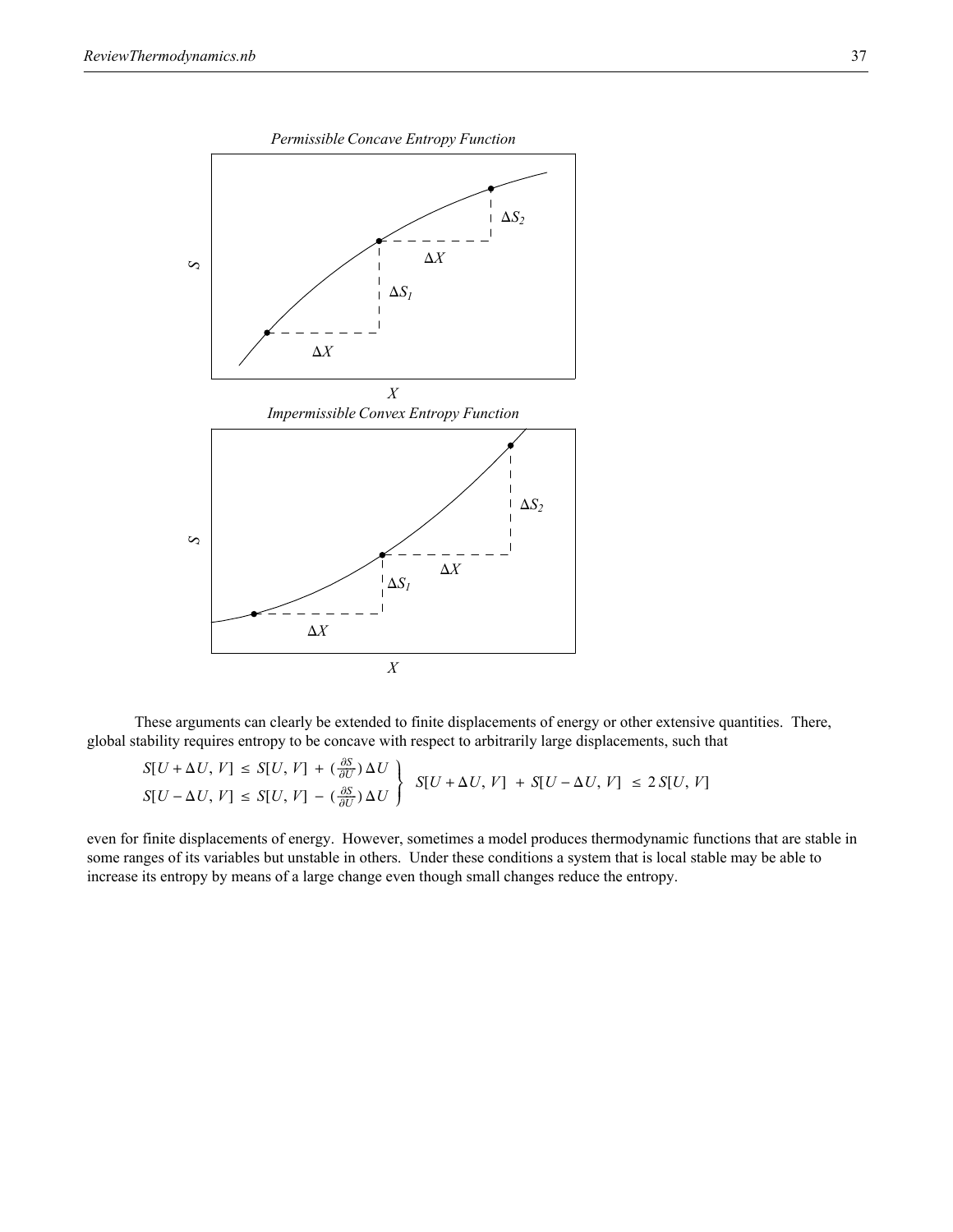

These arguments can clearly be extended to finite displacements of energy or other extensive quantities. There, global stability requires entropy to be concave with respect to arbitrarily large displacements, such that

$$
S[U + \Delta U, V] \le S[U, V] + (\frac{\partial S}{\partial U})\Delta U
$$
  

$$
S[U - \Delta U, V] \le S[U, V] - (\frac{\partial S}{\partial U})\Delta U
$$
  

$$
S[U + \Delta U, V] + S[U - \Delta U, V] \le 2 S[U, V]
$$

even for finite displacements of energy. However, sometimes a model produces thermodynamic functions that are stable in some ranges of its variables but unstable in others. Under these conditions a system that is local stable may be able to increase its entropy by means of a large change even though small changes reduce the entropy.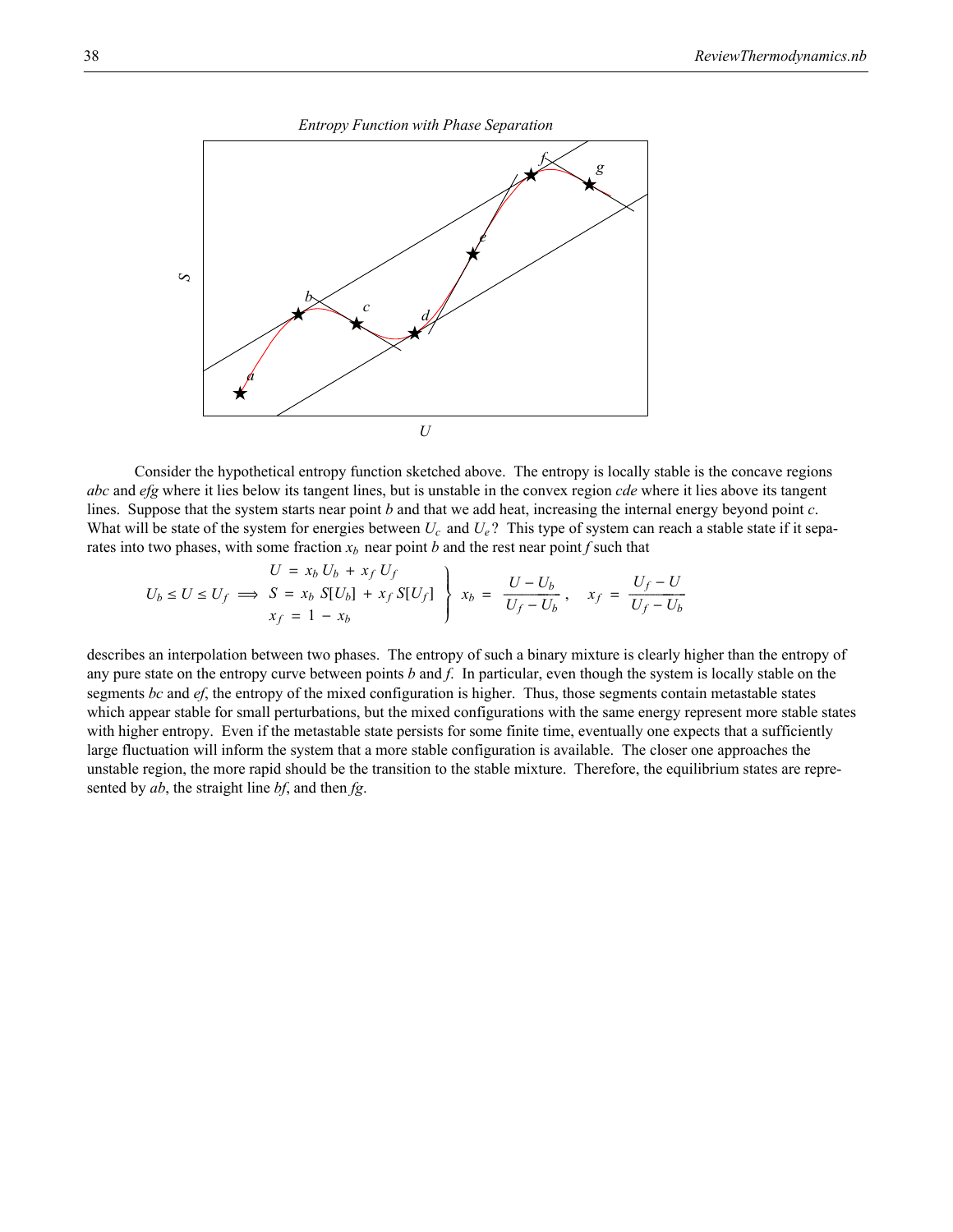*Entropy Function with Phase Separation*



Consider the hypothetical entropy function sketched above. The entropy is locally stable is the concave regions *abc* and *efg* where it lies below its tangent lines, but is unstable in the convex region *cde* where it lies above its tangent lines. Suppose that the system starts near point *b* and that we add heat, increasing the internal energy beyond point *c*. What will be state of the system for energies between  $U_c$  and  $U_e$ ? This type of system can reach a stable state if it separates into two phases, with some fraction  $x_b$  near point *b* and the rest near point *f* such that

$$
U = x_b U_b + x_f U_f
$$
  

$$
U_b \le U \le U_f \implies S = x_b S[U_b] + x_f S[U_f]
$$

$$
x_f = 1 - x_b
$$
  

$$
x_f = 1 - x_b
$$

describes an interpolation between two phases. The entropy of such a binary mixture is clearly higher than the entropy of any pure state on the entropy curve between points *b* and *f*. In particular, even though the system is locally stable on the segments *bc* and *ef*, the entropy of the mixed configuration is higher. Thus, those segments contain metastable states which appear stable for small perturbations, but the mixed configurations with the same energy represent more stable states with higher entropy. Even if the metastable state persists for some finite time, eventually one expects that a sufficiently large fluctuation will inform the system that a more stable configuration is available. The closer one approaches the unstable region, the more rapid should be the transition to the stable mixture. Therefore, the equilibrium states are represented by *ab*, the straight line *bf*, and then *fg*.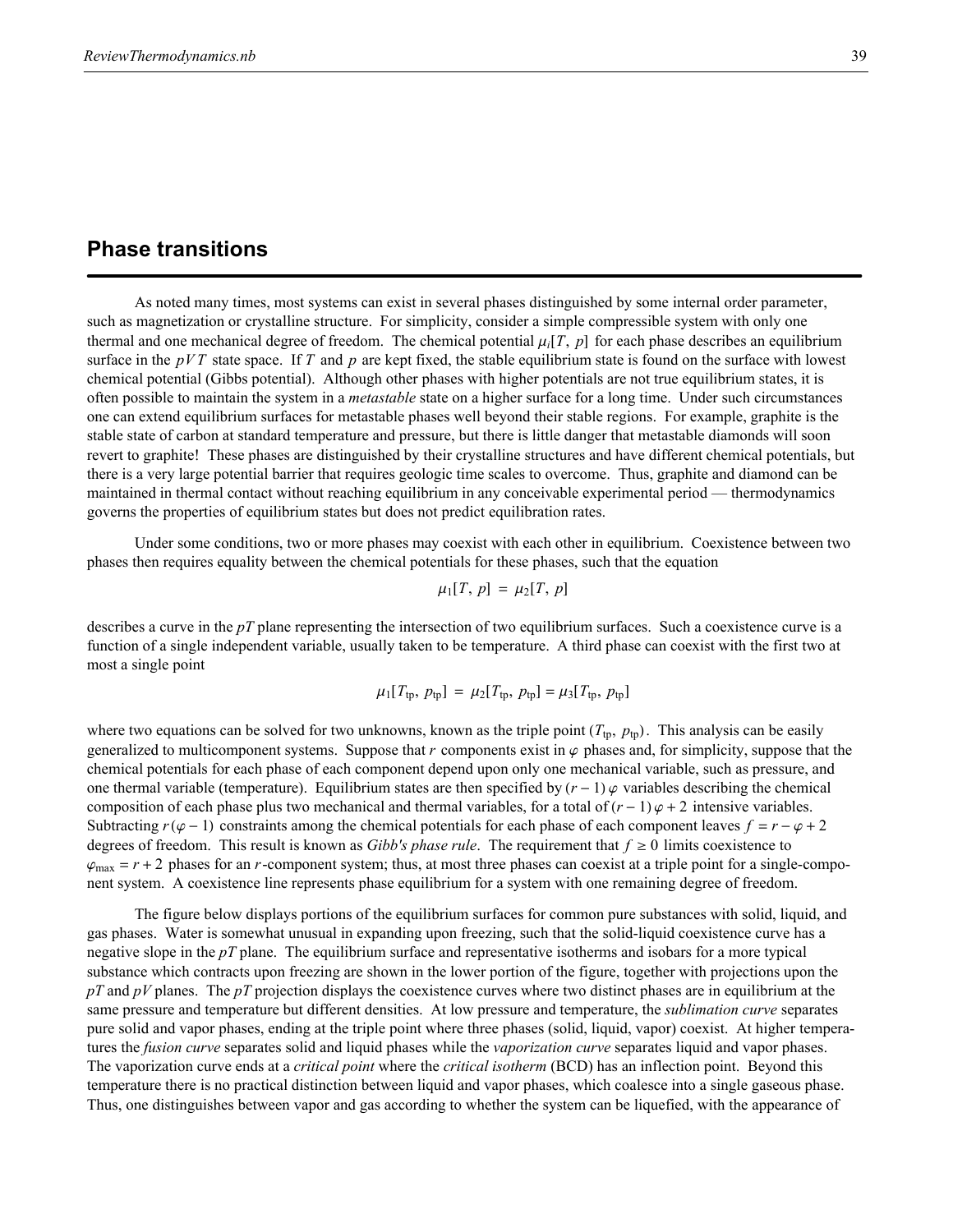# **Phase transitions**

As noted many times, most systems can exist in several phases distinguished by some internal order parameter, such as magnetization or crystalline structure. For simplicity, consider a simple compressible system with only one thermal and one mechanical degree of freedom. The chemical potential  $\mu_i[T, p]$  for each phase describes an equilibrium surface in the *pVT* state space. If *T* and *p* are kept fixed, the stable equilibrium state is found on the surface with lowest chemical potential (Gibbs potential). Although other phases with higher potentials are not true equilibrium states, it is often possible to maintain the system in a *metastable* state on a higher surface for a long time. Under such circumstances one can extend equilibrium surfaces for metastable phases well beyond their stable regions. For example, graphite is the stable state of carbon at standard temperature and pressure, but there is little danger that metastable diamonds will soon revert to graphite! These phases are distinguished by their crystalline structures and have different chemical potentials, but there is a very large potential barrier that requires geologic time scales to overcome. Thus, graphite and diamond can be maintained in thermal contact without reaching equilibrium in any conceivable experimental period — thermodynamics governs the properties of equilibrium states but does not predict equilibration rates.

Under some conditions, two or more phases may coexist with each other in equilibrium. Coexistence between two phases then requires equality between the chemical potentials for these phases, such that the equation

$$
\mu_1[T, p] = \mu_2[T, p]
$$

describes a curve in the *pT* plane representing the intersection of two equilibrium surfaces. Such a coexistence curve is a function of a single independent variable, usually taken to be temperature. A third phase can coexist with the first two at most a single point

$$
\mu_1[T_{tp}, p_{tp}] = \mu_2[T_{tp}, p_{tp}] = \mu_3[T_{tp}, p_{tp}]
$$

where two equations can be solved for two unknowns, known as the triple point  $(T_{tp}, p_{tp})$ . This analysis can be easily generalized to multicomponent systems. Suppose that  $r$  components exist in  $\varphi$  phases and, for simplicity, suppose that the chemical potentials for each phase of each component depend upon only one mechanical variable, such as pressure, and one thermal variable (temperature). Equilibrium states are then specified by  $(r - 1)\varphi$  variables describing the chemical composition of each phase plus two mechanical and thermal variables, for a total of  $(r - 1)\varphi + 2$  intensive variables. Subtracting  $r(\varphi - 1)$  constraints among the chemical potentials for each phase of each component leaves  $f = r - \varphi + 2$ degrees of freedom. This result is known as *Gibb's phase rule*. The requirement that  $f \ge 0$  limits coexistence to  $\varphi_{\text{max}} = r + 2$  phases for an *r*-component system; thus, at most three phases can coexist at a triple point for a single-component system. A coexistence line represents phase equilibrium for a system with one remaining degree of freedom.

The figure below displays portions of the equilibrium surfaces for common pure substances with solid, liquid, and gas phases. Water is somewhat unusual in expanding upon freezing, such that the solid-liquid coexistence curve has a negative slope in the *pT* plane. The equilibrium surface and representative isotherms and isobars for a more typical substance which contracts upon freezing are shown in the lower portion of the figure, together with projections upon the *pT* and *pV* planes. The *pT* projection displays the coexistence curves where two distinct phases are in equilibrium at the same pressure and temperature but different densities. At low pressure and temperature, the *sublimation curve* separates pure solid and vapor phases, ending at the triple point where three phases (solid, liquid, vapor) coexist. At higher temperatures the *fusion curve* separates solid and liquid phases while the *vaporization curve* separates liquid and vapor phases. The vaporization curve ends at a *critical point* where the *critical isotherm* (BCD) has an inflection point. Beyond this temperature there is no practical distinction between liquid and vapor phases, which coalesce into a single gaseous phase. Thus, one distinguishes between vapor and gas according to whether the system can be liquefied, with the appearance of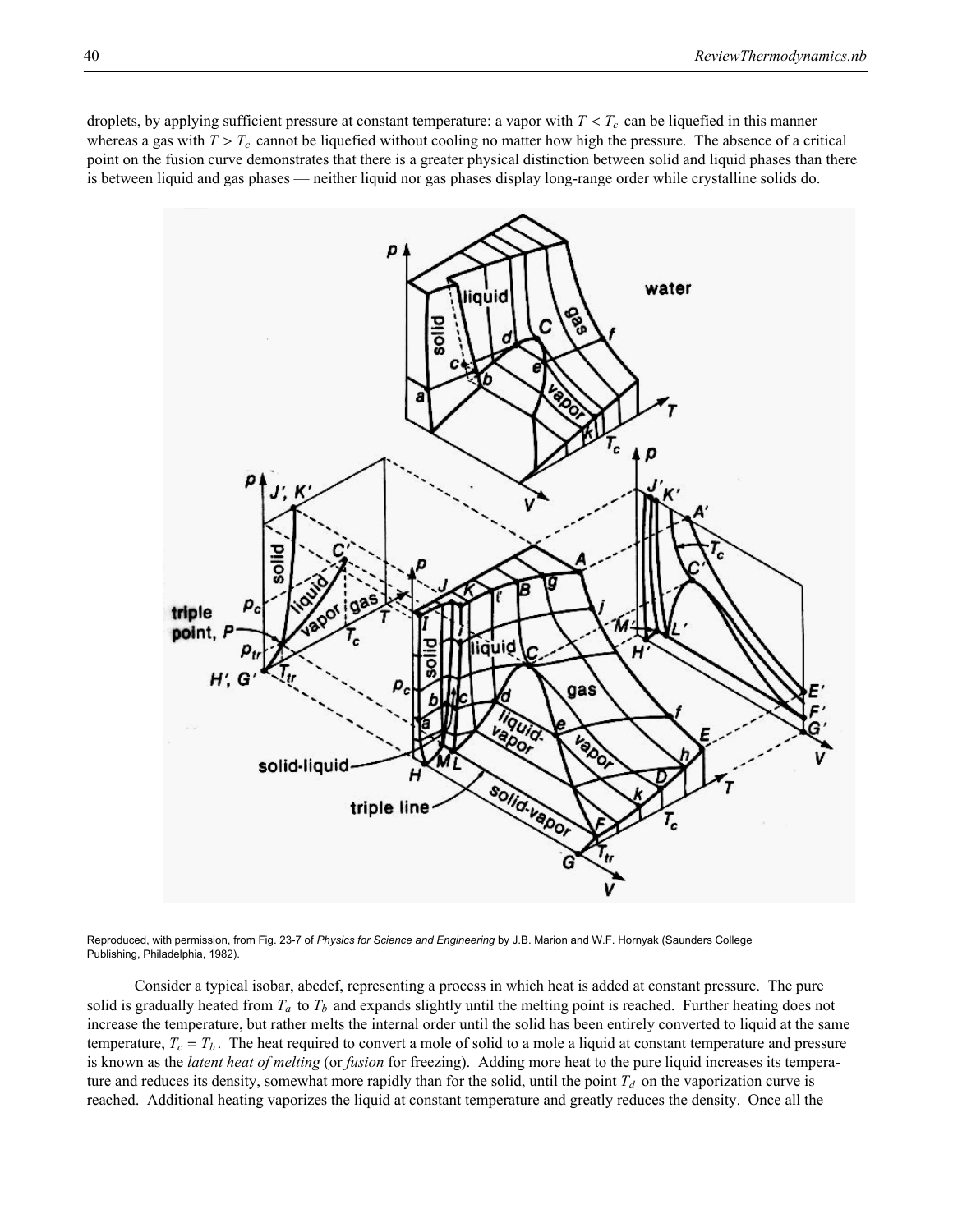droplets, by applying sufficient pressure at constant temperature: a vapor with  $T < T_c$  can be liquefied in this manner whereas a gas with  $T > T_c$  cannot be liquefied without cooling no matter how high the pressure. The absence of a critical point on the fusion curve demonstrates that there is a greater physical distinction between solid and liquid phases than there is between liquid and gas phases — neither liquid nor gas phases display long-range order while crystalline solids do.



Reproduced, with permission, from Fig. 23-7 of *Physics for Science and Engineering* by J.B. Marion and W.F. Hornyak (Saunders College Publishing, Philadelphia, 1982).

Consider a typical isobar, abcdef, representing a process in which heat is added at constant pressure. The pure solid is gradually heated from  $T_a$  to  $T_b$  and expands slightly until the melting point is reached. Further heating does not increase the temperature, but rather melts the internal order until the solid has been entirely converted to liquid at the same temperature,  $T_c = T_b$ . The heat required to convert a mole of solid to a mole a liquid at constant temperature and pressure is known as the *latent heat of melting* (or *fusion* for freezing). Adding more heat to the pure liquid increases its temperature and reduces its density, somewhat more rapidly than for the solid, until the point  $T_d$  on the vaporization curve is reached. Additional heating vaporizes the liquid at constant temperature and greatly reduces the density. Once all the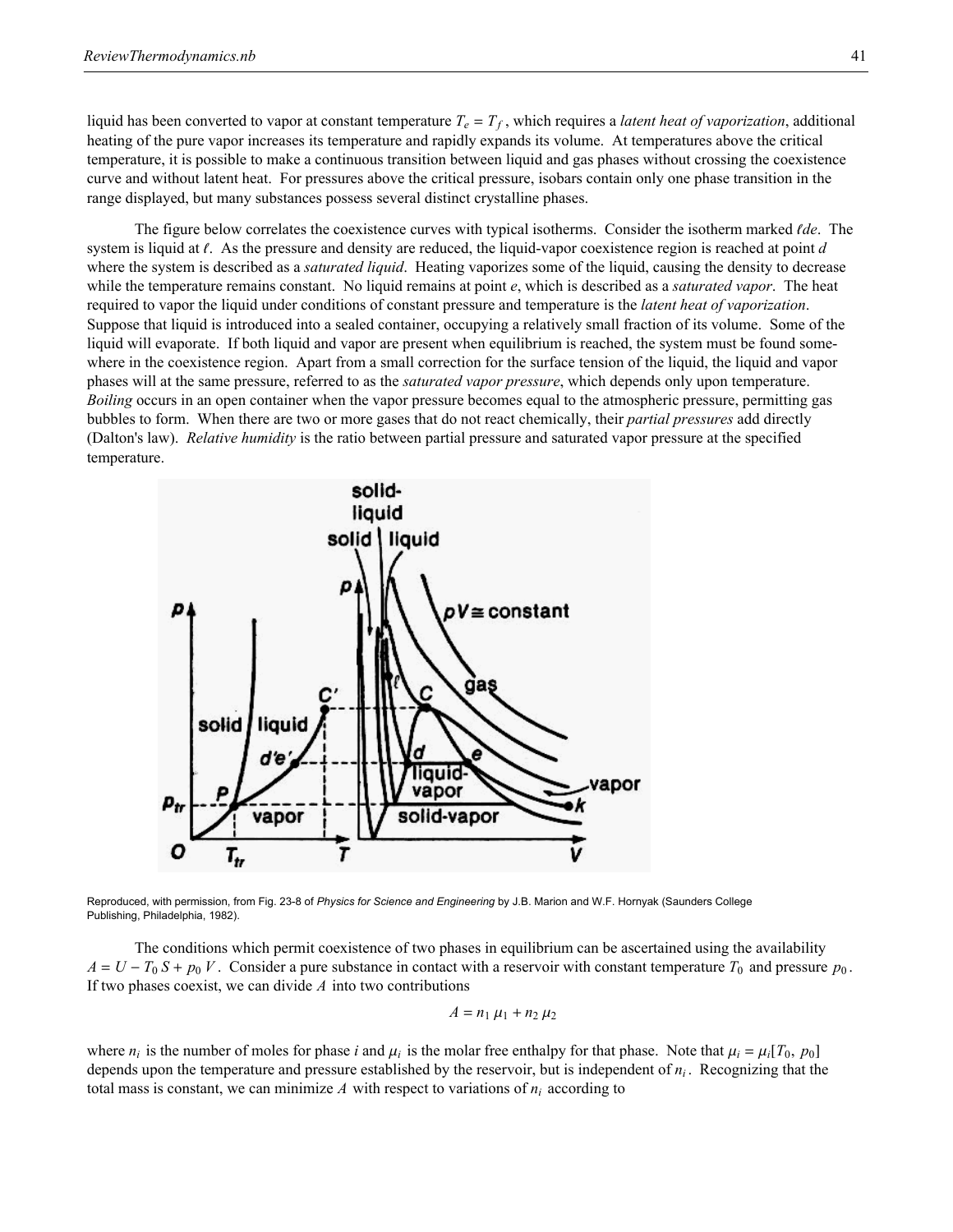liquid has been converted to vapor at constant temperature  $T_e = T_f$ , which requires a *latent heat of vaporization*, additional heating of the pure vapor increases its temperature and rapidly expands its volume. At temperatures above the critical temperature, it is possible to make a continuous transition between liquid and gas phases without crossing the coexistence curve and without latent heat. For pressures above the critical pressure, isobars contain only one phase transition in the range displayed, but many substances possess several distinct crystalline phases.

The figure below correlates the coexistence curves with typical isotherms. Consider the isotherm marked {*de*. The system is liquid at  $\ell$ . As the pressure and density are reduced, the liquid-vapor coexistence region is reached at point *d* where the system is described as a *saturated liquid*. Heating vaporizes some of the liquid, causing the density to decrease while the temperature remains constant. No liquid remains at point *e*, which is described as a *saturated vapor*. The heat required to vapor the liquid under conditions of constant pressure and temperature is the *latent heat of vaporization*. Suppose that liquid is introduced into a sealed container, occupying a relatively small fraction of its volume. Some of the liquid will evaporate. If both liquid and vapor are present when equilibrium is reached, the system must be found somewhere in the coexistence region. Apart from a small correction for the surface tension of the liquid, the liquid and vapor phases will at the same pressure, referred to as the *saturated vapor pressure*, which depends only upon temperature. *Boiling* occurs in an open container when the vapor pressure becomes equal to the atmospheric pressure, permitting gas bubbles to form. When there are two or more gases that do not react chemically, their *partial pressures* add directly (Dalton's law). *Relative humidity* is the ratio between partial pressure and saturated vapor pressure at the specified temperature.



Reproduced, with permission, from Fig. 23-8 of *Physics for Science and Engineering* by J.B. Marion and W.F. Hornyak (Saunders College Publishing, Philadelphia, 1982).

The conditions which permit coexistence of two phases in equilibrium can be ascertained using the availability  $A = U - T_0 S + p_0 V$ . Consider a pure substance in contact with a reservoir with constant temperature  $T_0$  and pressure  $p_0$ . If two phases coexist, we can divide *A* into two contributions

$$
A=n_1\,\mu_1+n_2\,\mu_2
$$

where  $n_i$  is the number of moles for phase *i* and  $\mu_i$  is the molar free enthalpy for that phase. Note that  $\mu_i = \mu_i[T_0, p_0]$ depends upon the temperature and pressure established by the reservoir, but is independent of *ni* . Recognizing that the total mass is constant, we can minimize  $A$  with respect to variations of  $n_i$  according to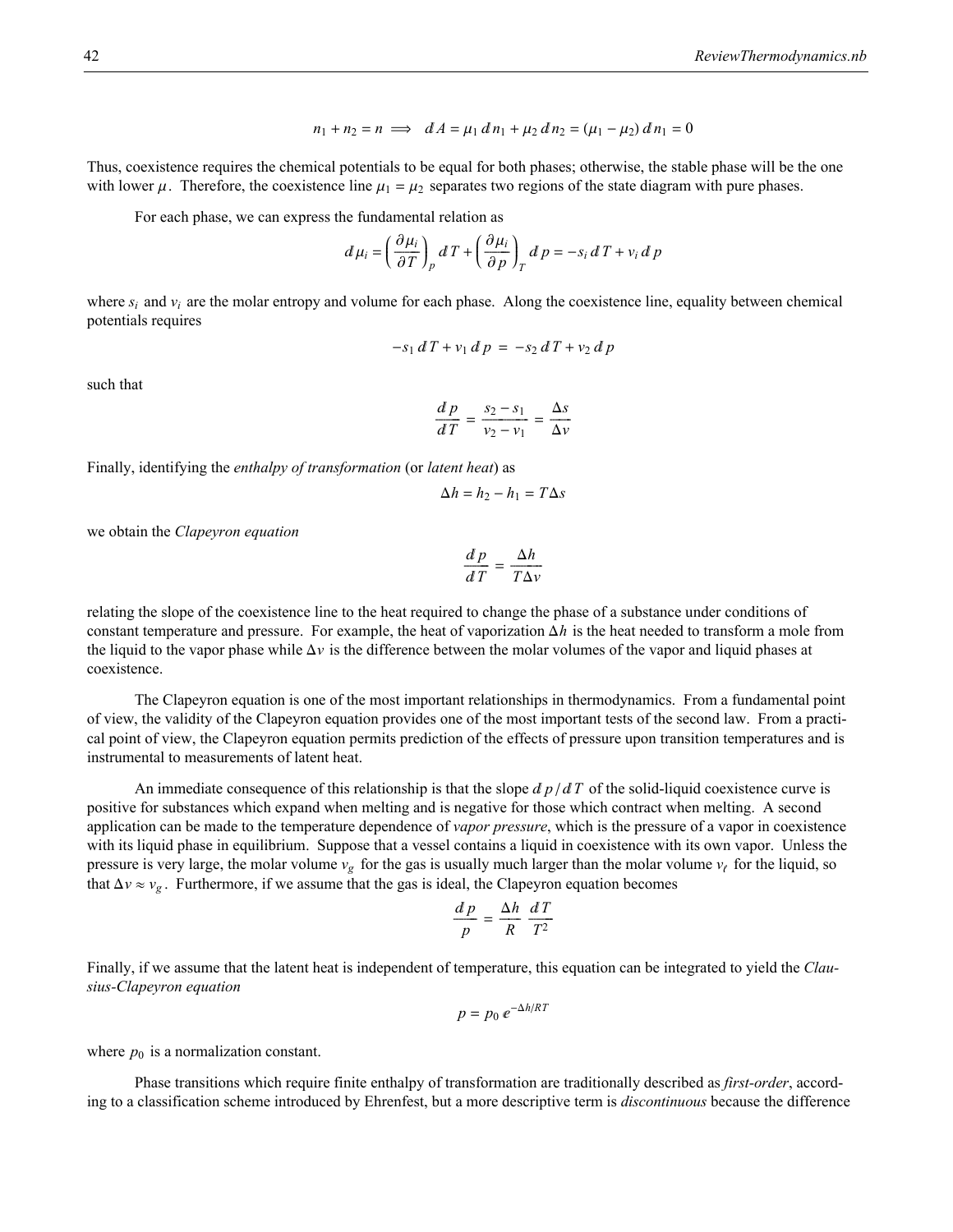$$
n_1 + n_2 = n \implies dA = \mu_1 \, dn_1 + \mu_2 \, dn_2 = (\mu_1 - \mu_2) \, dn_1 = 0
$$

Thus, coexistence requires the chemical potentials to be equal for both phases; otherwise, the stable phase will be the one with lower  $\mu$ . Therefore, the coexistence line  $\mu_1 = \mu_2$  separates two regions of the state diagram with pure phases.

For each phase, we can express the fundamental relation as

$$
d\mu_i = \left(\frac{\partial \mu_i}{\partial T}\right)_p dT + \left(\frac{\partial \mu_i}{\partial p}\right)_T d p = -s_i dT + v_i d p
$$

where  $s_i$  and  $v_i$  are the molar entropy and volume for each phase. Along the coexistence line, equality between chemical potentials requires

$$
-s_1 dT + v_1 d p = -s_2 dT + v_2 d p
$$

such that

$$
\frac{d p}{d T} = \frac{s_2 - s_1}{v_2 - v_1} = \frac{\Delta s}{\Delta v}
$$

Finally, identifying the *enthalpy of transformation* (or *latent heat*) as

$$
\Delta h = h_2 - h_1 = T \Delta s
$$

we obtain the *Clapeyron equation*

$$
\frac{d p}{d T} = \frac{\Delta h}{T \Delta v}
$$

relating the slope of the coexistence line to the heat required to change the phase of a substance under conditions of constant temperature and pressure. For example, the heat of vaporization  $\Delta h$  is the heat needed to transform a mole from the liquid to the vapor phase while  $\Delta v$  is the difference between the molar volumes of the vapor and liquid phases at coexistence.

The Clapeyron equation is one of the most important relationships in thermodynamics. From a fundamental point of view, the validity of the Clapeyron equation provides one of the most important tests of the second law. From a practical point of view, the Clapeyron equation permits prediction of the effects of pressure upon transition temperatures and is instrumental to measurements of latent heat.

An immediate consequence of this relationship is that the slope  $d p / d T$  of the solid-liquid coexistence curve is positive for substances which expand when melting and is negative for those which contract when melting. A second application can be made to the temperature dependence of *vapor pressure*, which is the pressure of a vapor in coexistence with its liquid phase in equilibrium. Suppose that a vessel contains a liquid in coexistence with its own vapor. Unless the pressure is very large, the molar volume  $v_g$  for the gas is usually much larger than the molar volume  $v_f$  for the liquid, so that  $\Delta v \approx v_g$ . Furthermore, if we assume that the gas is ideal, the Clapeyron equation becomes

$$
\frac{d p}{p} = \frac{\Delta h}{R} \frac{d T}{T^2}
$$

Finally, if we assume that the latent heat is independent of temperature, this equation can be integrated to yield the *Clausius-Clapeyron equation*

$$
p = p_0 e^{-\Delta h/RT}
$$

where  $p_0$  is a normalization constant.

Phase transitions which require finite enthalpy of transformation are traditionally described as *first-order*, according to a classification scheme introduced by Ehrenfest, but a more descriptive term is *discontinuous* because the difference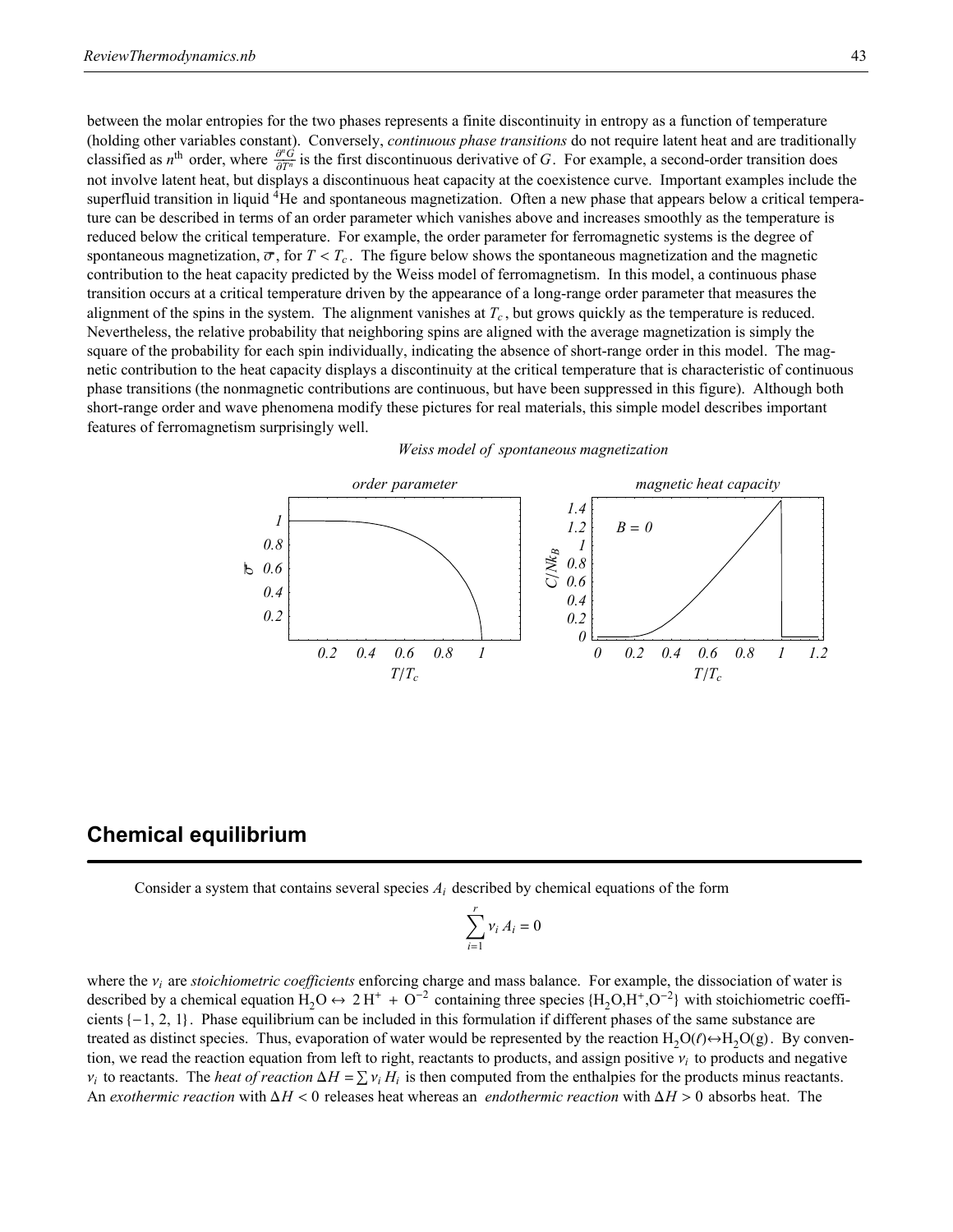between the molar entropies for the two phases represents a finite discontinuity in entropy as a function of temperature (holding other variables constant). Conversely, *continuous phase transitions* do not require latent heat and are traditionally classified as *n*<sup>th</sup> order, where  $\frac{\partial^n G}{\partial T^n}$  is the first discontinuous derivative of *G*. For example, a second-order transition does not involve latent heat, but displays a discontinuous heat capacity at the coexistence curve. Important examples include the superfluid transition in liquid 4He and spontaneous magnetization. Often a new phase that appears below a critical temperature can be described in terms of an order parameter which vanishes above and increases smoothly as the temperature is reduced below the critical temperature. For example, the order parameter for ferromagnetic systems is the degree of spontaneous magnetization,  $\overline{\sigma}$ , for  $T < T_c$ . The figure below shows the spontaneous magnetization and the magnetic contribution to the heat capacity predicted by the Weiss model of ferromagnetism. In this model, a continuous phase transition occurs at a critical temperature driven by the appearance of a long-range order parameter that measures the alignment of the spins in the system. The alignment vanishes at  $T_c$ , but grows quickly as the temperature is reduced. Nevertheless, the relative probability that neighboring spins are aligned with the average magnetization is simply the square of the probability for each spin individually, indicating the absence of short-range order in this model. The magnetic contribution to the heat capacity displays a discontinuity at the critical temperature that is characteristic of continuous phase transitions (the nonmagnetic contributions are continuous, but have been suppressed in this figure). Although both short-range order and wave phenomena modify these pictures for real materials, this simple model describes important features of ferromagnetism surprisingly well.

*Weiss model of spontaneous magnetization*



### **Chemical equilibrium**

Consider a system that contains several species *Ai* described by chemical equations of the form

$$
\sum_{i=1}^r v_i A_i = 0
$$

where the  $v_i$  are *stoichiometric coefficients* enforcing charge and mass balance. For example, the dissociation of water is described by a chemical equation  $\text{H}_2\text{O} \leftrightarrow 2 \text{H}^+ + \text{O}^{-2}$  containing three species  $\text{H}_2\text{O},\text{H}^+,\text{O}^{-2}$  with stoichiometric coefficients  $\{-1, 2, 1\}$ . Phase equilibrium can be included in this formulation if different phases of the same substance are treated as distinct species. Thus, evaporation of water would be represented by the reaction  $H_2O(\ell) \rightarrow H_2O(g)$ . By convention, we read the reaction equation from left to right, reactants to products, and assign positive  $v_i$  to products and negative  $v_i$  to reactants. The *heat of reaction*  $\Delta H = \sum v_i H_i$  is then computed from the enthalpies for the products minus reactants. An *exothermic reaction* with  $\Delta H < 0$  releases heat whereas an *endothermic reaction* with  $\Delta H > 0$  absorbs heat. The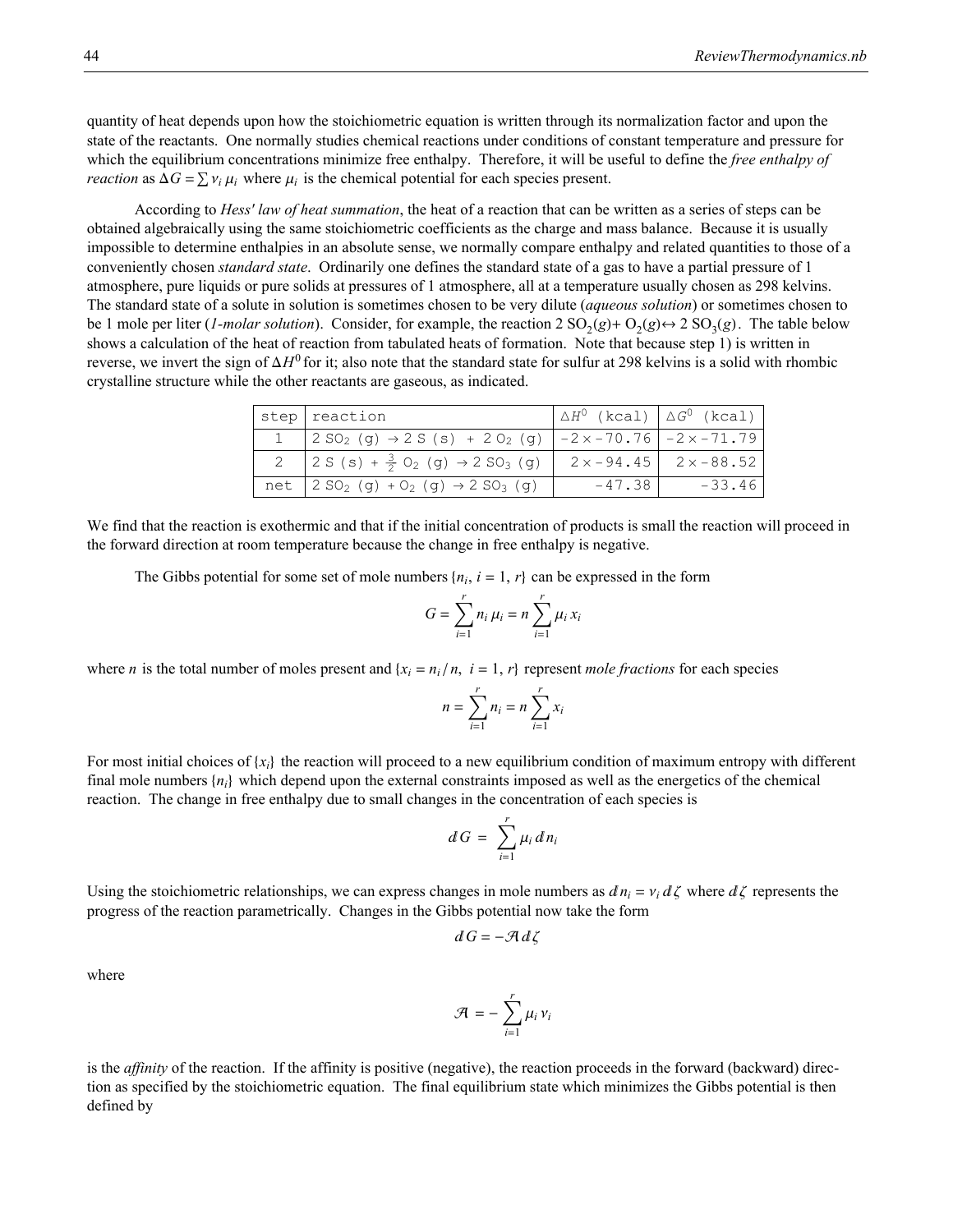quantity of heat depends upon how the stoichiometric equation is written through its normalization factor and upon the state of the reactants. One normally studies chemical reactions under conditions of constant temperature and pressure for which the equilibrium concentrations minimize free enthalpy. Therefore, it will be useful to define the *free enthalpy of reaction* as  $\Delta G = \sum v_i \mu_i$  where  $\mu_i$  is the chemical potential for each species present.

According to *Hess' law of heat summation*, the heat of a reaction that can be written as a series of steps can be obtained algebraically using the same stoichiometric coefficients as the charge and mass balance. Because it is usually impossible to determine enthalpies in an absolute sense, we normally compare enthalpy and related quantities to those of a conveniently chosen *standard state*. Ordinarily one defines the standard state of a gas to have a partial pressure of 1 atmosphere, pure liquids or pure solids at pressures of 1 atmosphere, all at a temperature usually chosen as 298 kelvins. The standard state of a solute in solution is sometimes chosen to be very dilute (*aqueous solution*) or sometimes chosen to be 1 mole per liter (*1-molar solution*). Consider, for example, the reaction  $2 \text{ SO}_2(g) + \text{ O}_2(g) \rightarrow 2 \text{ SO}_3(g)$ . The table below shows a calculation of the heat of reaction from tabulated heats of formation. Note that because step 1) is written in reverse, we invert the sign of  $\Delta H^0$  for it; also note that the standard state for sulfur at 298 kelvins is a solid with rhombic crystalline structure while the other reactants are gaseous, as indicated.

| step   reaction                                                                                                         | $\Delta H^0$ (kcal) $\Delta G^0$ (kcal) |                                     |
|-------------------------------------------------------------------------------------------------------------------------|-----------------------------------------|-------------------------------------|
| 1   $2 \text{ SO}_2$ (g) $\rightarrow 2 \text{ S}$ (s) + 2 O <sub>2</sub> (g)   $-2 \times -70.76$   $-2 \times -71.79$ |                                         |                                     |
| 2 2 S (s) + $\frac{3}{2}$ O <sub>2</sub> (g) $\rightarrow$ 2 SO <sub>3</sub> (g)                                        |                                         | $2 \times -94.45$ 2 $\times -88.52$ |
| net $  2 SO_2 (g) + O_2 (g) \rightarrow 2 SO_3 (g)$                                                                     | $-47.38$                                | $-33.46$                            |

We find that the reaction is exothermic and that if the initial concentration of products is small the reaction will proceed in the forward direction at room temperature because the change in free enthalpy is negative.

The Gibbs potential for some set of mole numbers  $\{n_i, i = 1, r\}$  can be expressed in the form

$$
G = \sum_{i=1}^{r} n_i \mu_i = n \sum_{i=1}^{r} \mu_i x_i
$$

where *n* is the total number of moles present and  $\{x_i = n_i/n, i = 1, r\}$  represent *mole fractions* for each species

$$
n = \sum_{i=1}^r n_i = n \sum_{i=1}^r x_i
$$

For most initial choices of  $\{x_i\}$  the reaction will proceed to a new equilibrium condition of maximum entropy with different final mole numbers  $\{n_i\}$  which depend upon the external constraints imposed as well as the energetics of the chemical reaction. The change in free enthalpy due to small changes in the concentration of each species is

$$
dG = \sum_{i=1}^r \mu_i \, dn_i
$$

Using the stoichiometric relationships, we can express changes in mole numbers as  $dn_i = v_i d\zeta$  where  $d\zeta$  represents the progress of the reaction parametrically. Changes in the Gibbs potential now take the form

$$
dG = -\mathcal{A} d\zeta
$$

where

$$
\mathcal{A} = -\sum_{i=1}^r \mu_i v_i
$$

is the *affinity* of the reaction. If the affinity is positive (negative), the reaction proceeds in the forward (backward) direction as specified by the stoichiometric equation. The final equilibrium state which minimizes the Gibbs potential is then defined by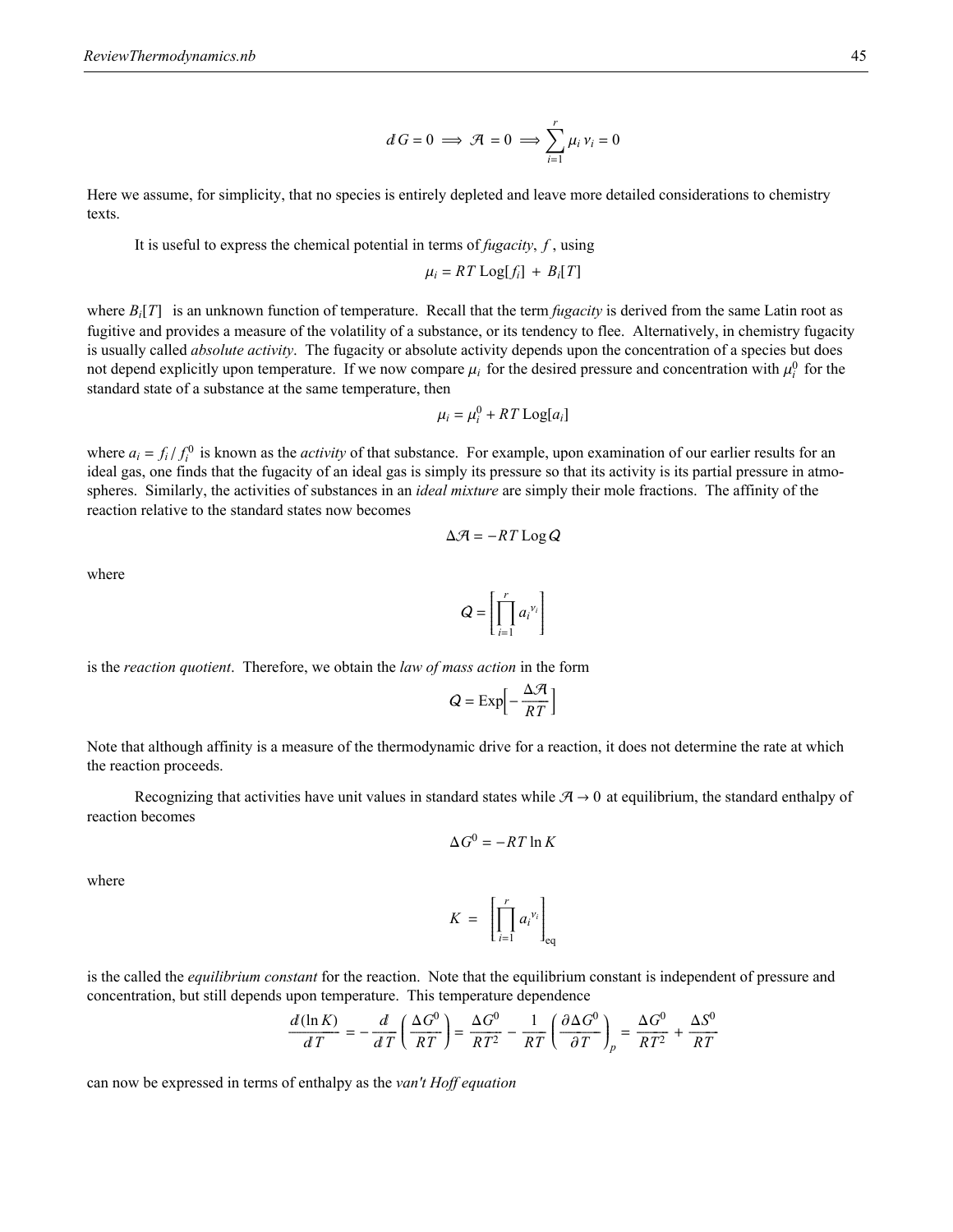$$
dG=0 \implies \mathcal{A}=0 \implies \sum_{i=1}^r \mu_i \, \nu_i = 0
$$

Here we assume, for simplicity, that no species is entirely depleted and leave more detailed considerations to chemistry texts.

It is useful to express the chemical potential in terms of *fugacity*, *f* , using

$$
\mu_i = RT \text{Log}[f_i] + B_i[T]
$$

where  $B_i[T]$  is an unknown function of temperature. Recall that the term *fugacity* is derived from the same Latin root as fugitive and provides a measure of the volatility of a substance, or its tendency to flee. Alternatively, in chemistry fugacity is usually called *absolute activity*. The fugacity or absolute activity depends upon the concentration of a species but does not depend explicitly upon temperature. If we now compare  $\mu_i$  for the desired pressure and concentration with  $\mu_i^0$  for the standard state of a substance at the same temperature, then

$$
\mu_i = \mu_i^0 + RT\log[a_i]
$$

where  $a_i = f_i / f_i^0$  is known as the *activity* of that substance. For example, upon examination of our earlier results for an ideal gas, one finds that the fugacity of an ideal gas is simply its pressure so that its activity is its partial pressure in atmospheres. Similarly, the activities of substances in an *ideal mixture* are simply their mole fractions. The affinity of the reaction relative to the standard states now becomes

$$
\Delta \mathcal{A} = -RT \log Q
$$

where

$$
Q = \left[ \prod_{i=1}^r {a_i}^{v_i} \right]
$$

is the *reaction quotient*. Therefore, we obtain the *law of mass action* in the form

$$
Q = \text{Exp}\left[-\frac{\Delta \mathcal{A}}{RT}\right]
$$

Note that although affinity is a measure of the thermodynamic drive for a reaction, it does not determine the rate at which the reaction proceeds.

Recognizing that activities have unit values in standard states while  $A \rightarrow 0$  at equilibrium, the standard enthalpy of reaction becomes

$$
\Delta G^0 = -RT \ln K
$$

Ä

Ç  $\overline{\mathsf{l}}$  $\prod_{i=1}$ *r*  $a_i^{\nu_i}$  $\Big]_\text{eq}$ 

where

is the called the *equilibrium constant* for the reaction. Note that the equilibrium constant is independent of pressure and concentration, but still depends upon temperature. This temperature dependence

*K* =

$$
\frac{d(\ln K)}{dT} = -\frac{d}{dT}\left(\frac{\Delta G^0}{RT}\right) = \frac{\Delta G^0}{RT^2} - \frac{1}{RT}\left(\frac{\partial \Delta G^0}{\partial T}\right)_p = \frac{\Delta G^0}{RT^2} + \frac{\Delta S^0}{RT}
$$

can now be expressed in terms of enthalpy as the *van't Hoff equation*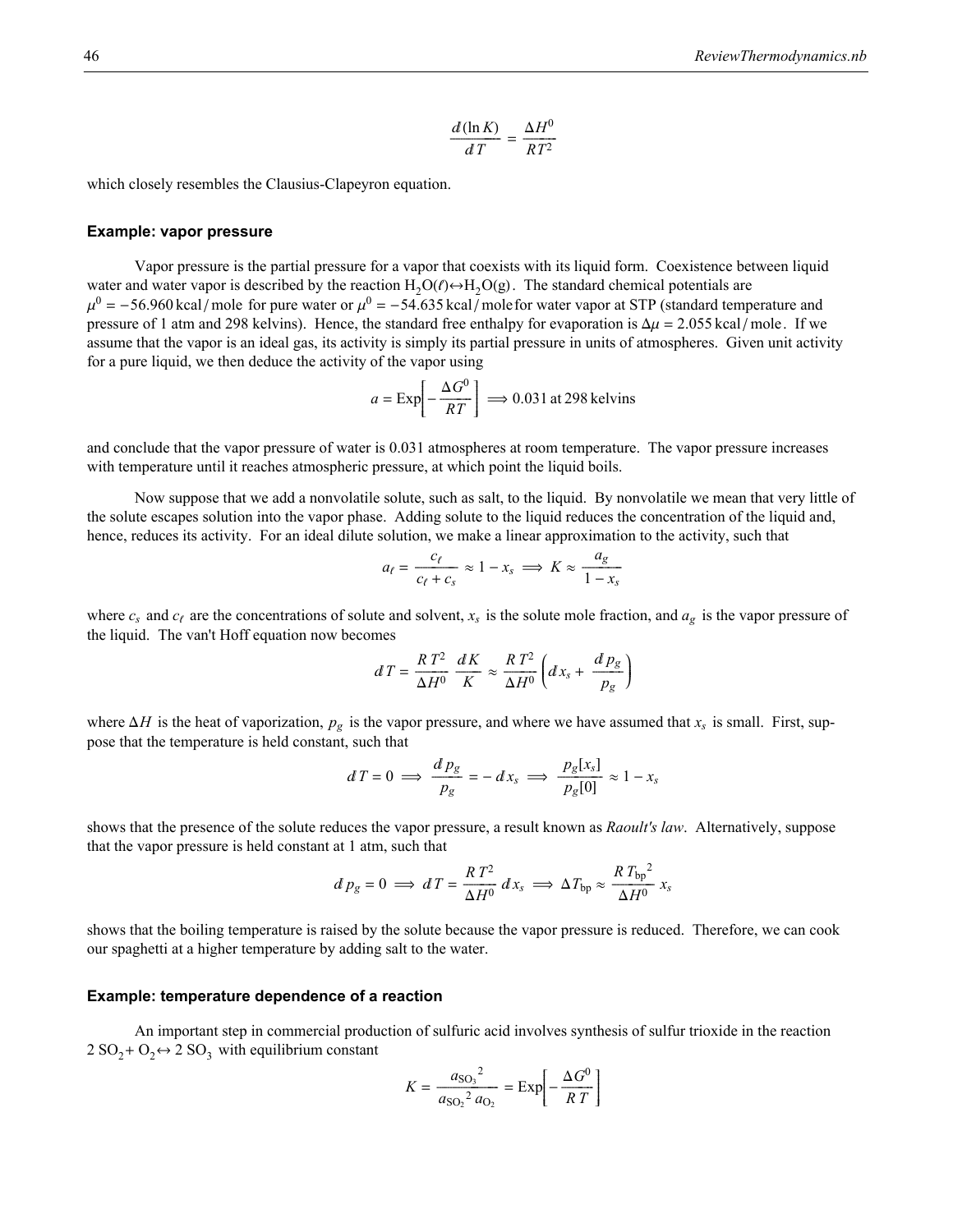$$
\frac{d(\ln K)}{dT} = \frac{\Delta H^0}{RT^2}
$$

which closely resembles the Clausius-Clapeyron equation.

#### **Example: vapor pressure**

Vapor pressure is the partial pressure for a vapor that coexists with its liquid form. Coexistence between liquid water and water vapor is described by the reaction  $H_2O(\ell) \rightarrow H_2O(g)$ . The standard chemical potentials are  $\mu^0$  = -56.960 kcal/mole for pure water or  $\mu^0$  = -54.635 kcal/molefor water vapor at STP (standard temperature and pressure of 1 atm and 298 kelvins). Hence, the standard free enthalpy for evaporation is  $\Delta \mu = 2.055$  kcal/mole. If we assume that the vapor is an ideal gas, its activity is simply its partial pressure in units of atmospheres. Given unit activity for a pure liquid, we then deduce the activity of the vapor using

$$
a = \text{Exp}\left[-\frac{\Delta G^0}{RT}\right] \Longrightarrow 0.031 \text{ at } 298 \text{ kelvins}
$$

and conclude that the vapor pressure of water is 0.031 atmospheres at room temperature. The vapor pressure increases with temperature until it reaches atmospheric pressure, at which point the liquid boils.

Now suppose that we add a nonvolatile solute, such as salt, to the liquid. By nonvolatile we mean that very little of the solute escapes solution into the vapor phase. Adding solute to the liquid reduces the concentration of the liquid and, hence, reduces its activity. For an ideal dilute solution, we make a linear approximation to the activity, such that

$$
a_{\ell} = \frac{c_{\ell}}{c_{\ell} + c_s} \approx 1 - x_s \implies K \approx \frac{a_g}{1 - x_s}
$$

where  $c_s$  and  $c_f$  are the concentrations of solute and solvent,  $x_s$  is the solute mole fraction, and  $a_g$  is the vapor pressure of the liquid. The van't Hoff equation now becomes

$$
dT = \frac{RT^2}{\Delta H^0} \frac{dK}{K} \approx \frac{RT^2}{\Delta H^0} \left( dx_s + \frac{d p_g}{p_g} \right)
$$

where  $\Delta H$  is the heat of vaporization,  $p_g$  is the vapor pressure, and where we have assumed that  $x_s$  is small. First, suppose that the temperature is held constant, such that

$$
dT = 0 \implies \frac{d p_g}{p_g} = -dx_s \implies \frac{p_g[x_s]}{p_g[0]} \approx 1 - x_s
$$

shows that the presence of the solute reduces the vapor pressure, a result known as *Raoult's law*. Alternatively, suppose that the vapor pressure is held constant at 1 atm, such that

$$
d p_g = 0 \implies d T = \frac{R T^2}{\Delta H^0} dx_s \implies \Delta T_{bp} \approx \frac{R T_{bp}^2}{\Delta H^0} x_s
$$

shows that the boiling temperature is raised by the solute because the vapor pressure is reduced. Therefore, we can cook our spaghetti at a higher temperature by adding salt to the water.

#### **Example: temperature dependence of a reaction**

An important step in commercial production of sulfuric acid involves synthesis of sulfur trioxide in the reaction  $2 SO<sub>2</sub> + O<sub>2</sub> \leftrightarrow 2 SO<sub>3</sub>$  with equilibrium constant

$$
K = \frac{a_{\text{SO}_3}^2}{a_{\text{SO}_2}^2 a_{\text{O}_2}} = \text{Exp}\left[-\frac{\Delta G^0}{RT}\right]
$$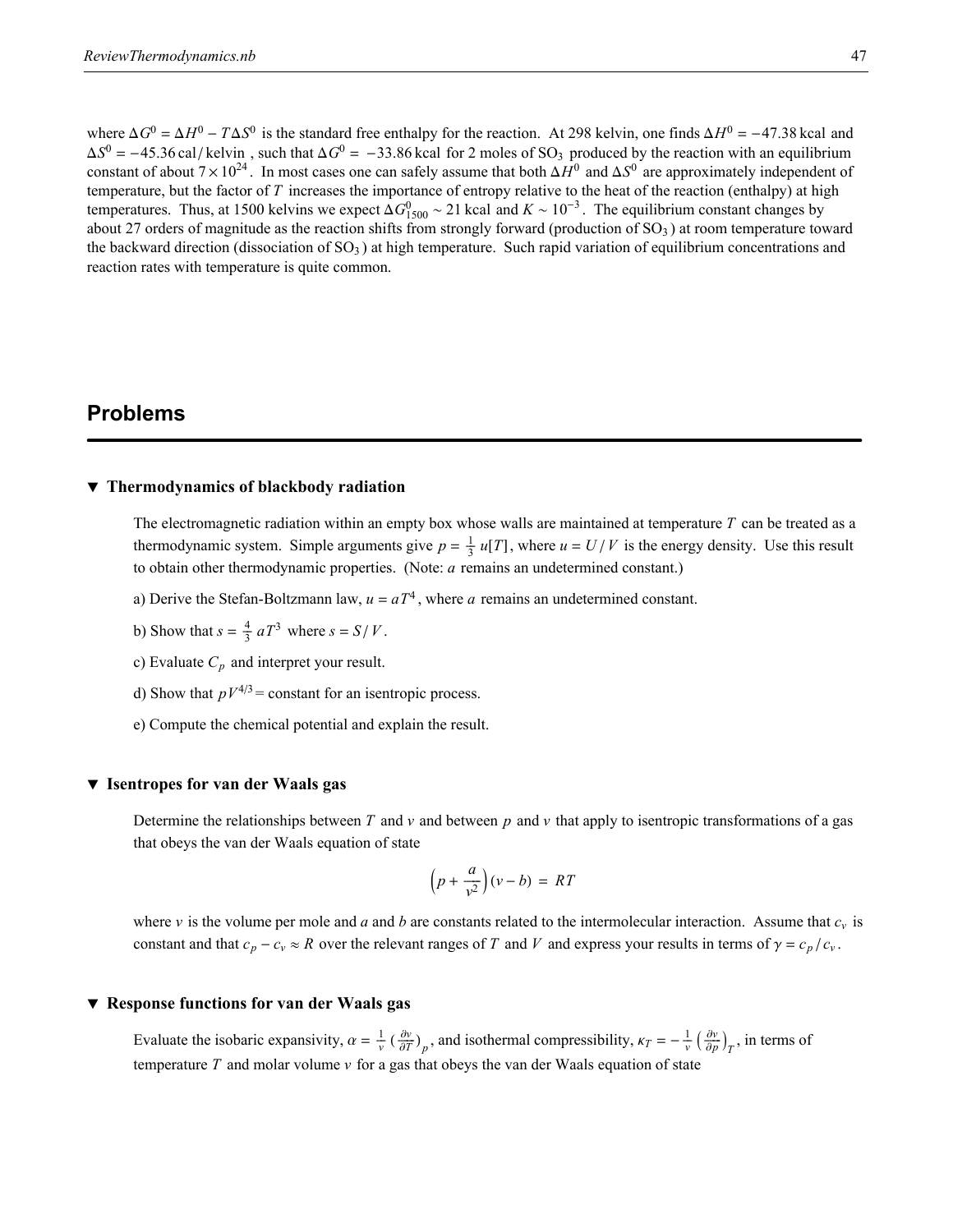where  $\Delta G^0 = \Delta H^0 - T\Delta S^0$  is the standard free enthalpy for the reaction. At 298 kelvin, one finds  $\Delta H^0 = -47.38$  kcal and  $\Delta S^0 = -45.36 \text{ cal/kelvin}$ , such that  $\Delta G^0 = -33.86 \text{ kcal}$  for 2 moles of SO<sub>3</sub> produced by the reaction with an equilibrium constant of about  $7 \times 10^{24}$ . In most cases one can safely assume that both  $\Delta H^0$  and  $\Delta S^0$  are approximately independent of temperature, but the factor of *T* increases the importance of entropy relative to the heat of the reaction (enthalpy) at high temperatures. Thus, at 1500 kelvins we expect  $\Delta G_{1500}^0 \sim 21$  kcal and  $K \sim 10^{-3}$ . The equilibrium constant changes by about 27 orders of magnitude as the reaction shifts from strongly forward (production of  $SO<sub>3</sub>$ ) at room temperature toward the backward direction (dissociation of  $SO<sub>3</sub>$ ) at high temperature. Such rapid variation of equilibrium concentrations and reaction rates with temperature is quite common.

### **Problems**

### **ô Thermodynamics of blackbody radiation**

The electromagnetic radiation within an empty box whose walls are maintained at temperature *T* can be treated as a thermodynamic system. Simple arguments give  $p = \frac{1}{3} u[T]$ , where  $u = U/V$  is the energy density. Use this result to obtain other thermodynamic properties. (Note: *a* remains an undetermined constant.)

- a) Derive the Stefan-Boltzmann law,  $u = aT<sup>4</sup>$ , where *a* remains an undetermined constant.
- b) Show that  $s = \frac{4}{3} aT^3$  where  $s = S/V$ .
- c) Evaluate *Cp* and interpret your result.
- d) Show that  $pV^{4/3}$  = constant for an isentropic process.
- e) Compute the chemical potential and explain the result.

#### **ô Isentropes for van der Waals gas**

Determine the relationships between  $T$  and  $v$  and between  $p$  and  $v$  that apply to isentropic transformations of a gas that obeys the van der Waals equation of state

$$
\left(p + \frac{a}{v^2}\right)(v - b) = RT
$$

where  $v$  is the volume per mole and *a* and *b* are constants related to the intermolecular interaction. Assume that  $c_v$  is constant and that  $c_p - c_v \approx R$  over the relevant ranges of *T* and *V* and express your results in terms of  $\gamma = c_p/c_v$ .

### **ô Response functions for van der Waals gas**

Evaluate the isobaric expansivity,  $\alpha = \frac{1}{v} \left( \frac{\partial v}{\partial T} \right)_p$ , and isothermal compressibility,  $\kappa_T = -\frac{1}{v} \left( \frac{\partial v}{\partial p} \right)_T$ , in terms of temperature  $T$  and molar volume  $\nu$  for a gas that obeys the van der Waals equation of state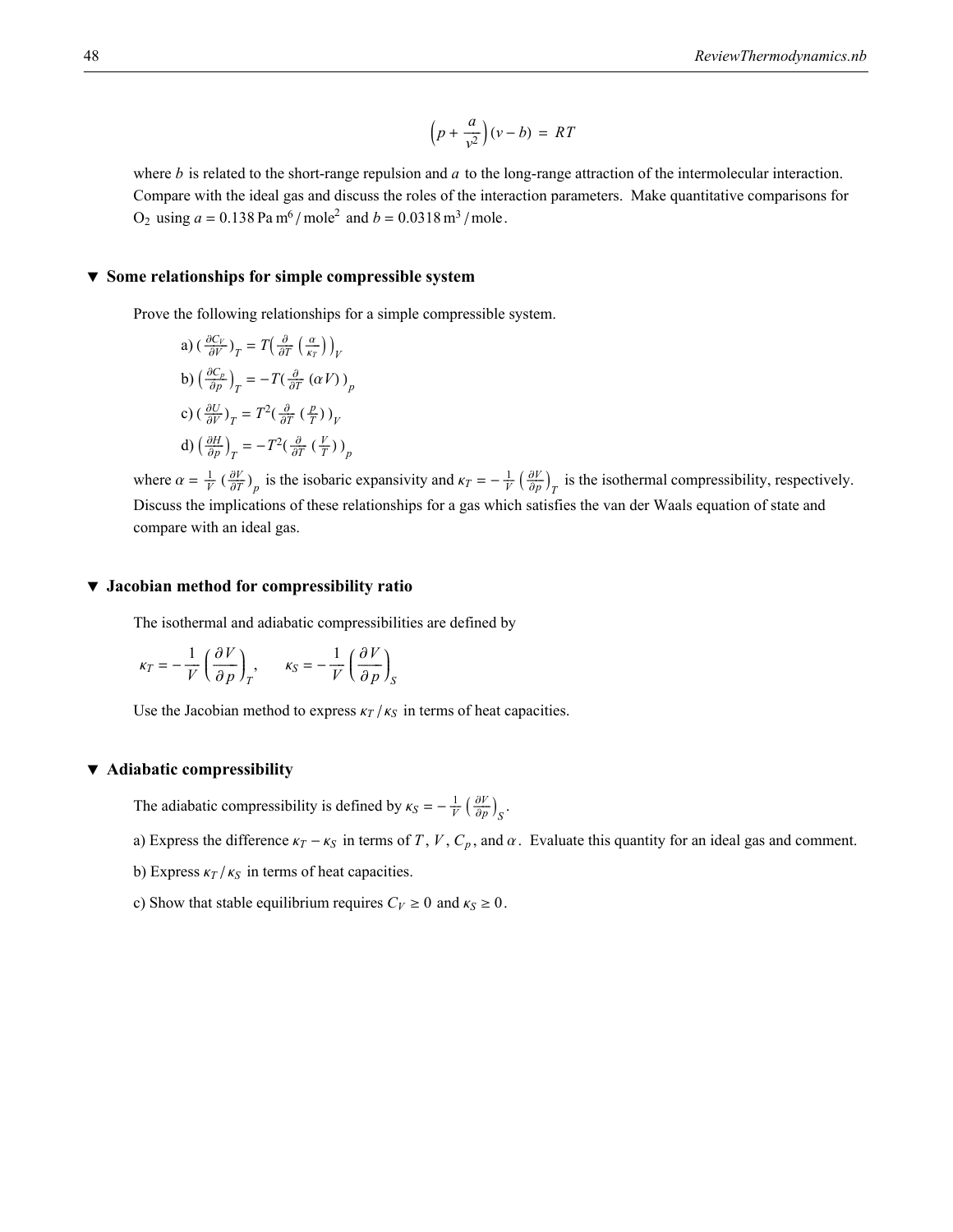$$
\left(p + \frac{a}{v^2}\right)(v - b) = RT
$$

where *b* is related to the short-range repulsion and *a* to the long-range attraction of the intermolecular interaction. Compare with the ideal gas and discuss the roles of the interaction parameters. Make quantitative comparisons for  $O_2$  using  $a = 0.138$  Pa m<sup>6</sup> / mole<sup>2</sup> and  $b = 0.0318$  m<sup>3</sup> / mole.

### **ô Some relationships for simple compressible system**

Prove the following relationships for a simple compressible system.

a) 
$$
\left(\frac{\partial C_V}{\partial V}\right)_T = T\left(\frac{\partial}{\partial T}\left(\frac{\alpha}{\kappa_T}\right)\right)_V
$$
  
\nb)  $\left(\frac{\partial C_p}{\partial p}\right)_T = -T\left(\frac{\partial}{\partial T}\left(\alpha V\right)\right)_p$   
\nc)  $\left(\frac{\partial U}{\partial V}\right)_T = T^2\left(\frac{\partial}{\partial T}\left(\frac{p}{T}\right)\right)_V$   
\nd)  $\left(\frac{\partial H}{\partial p}\right)_T = -T^2\left(\frac{\partial}{\partial T}\left(\frac{V}{T}\right)\right)_p$ 

where  $\alpha = \frac{1}{V} \left( \frac{\partial V}{\partial T} \right)_p$  is the isobaric expansivity and  $\kappa = -\frac{1}{V} \left( \frac{\partial V}{\partial p} \right)_T$  is the isothermal compressibility, respectively. Discuss the implications of these relationships for a gas which satisfies the van der Waals equation of state and compare with an ideal gas.

### **ô Jacobian method for compressibility ratio**

The isothermal and adiabatic compressibilities are defined by

$$
\kappa_T = -\frac{1}{V} \left( \frac{\partial V}{\partial p} \right)_T, \qquad \kappa_S = -\frac{1}{V} \left( \frac{\partial V}{\partial p} \right)_S
$$

Use the Jacobian method to express  $\kappa_T / \kappa_S$  in terms of heat capacities.

### **ô Adiabatic compressibility**

The adiabatic compressibility is defined by  $\kappa_S = -\frac{1}{V} \left( \frac{\partial V}{\partial p} \right)_S$ .

- a) Express the difference  $\kappa_T \kappa_S$  in terms of *T*, *V*,  $C_p$ , and  $\alpha$ . Evaluate this quantity for an ideal gas and comment.
- b) Express  $\kappa_T / \kappa_S$  in terms of heat capacities.
- c) Show that stable equilibrium requires  $C_V \geq 0$  and  $\kappa_S \geq 0$ .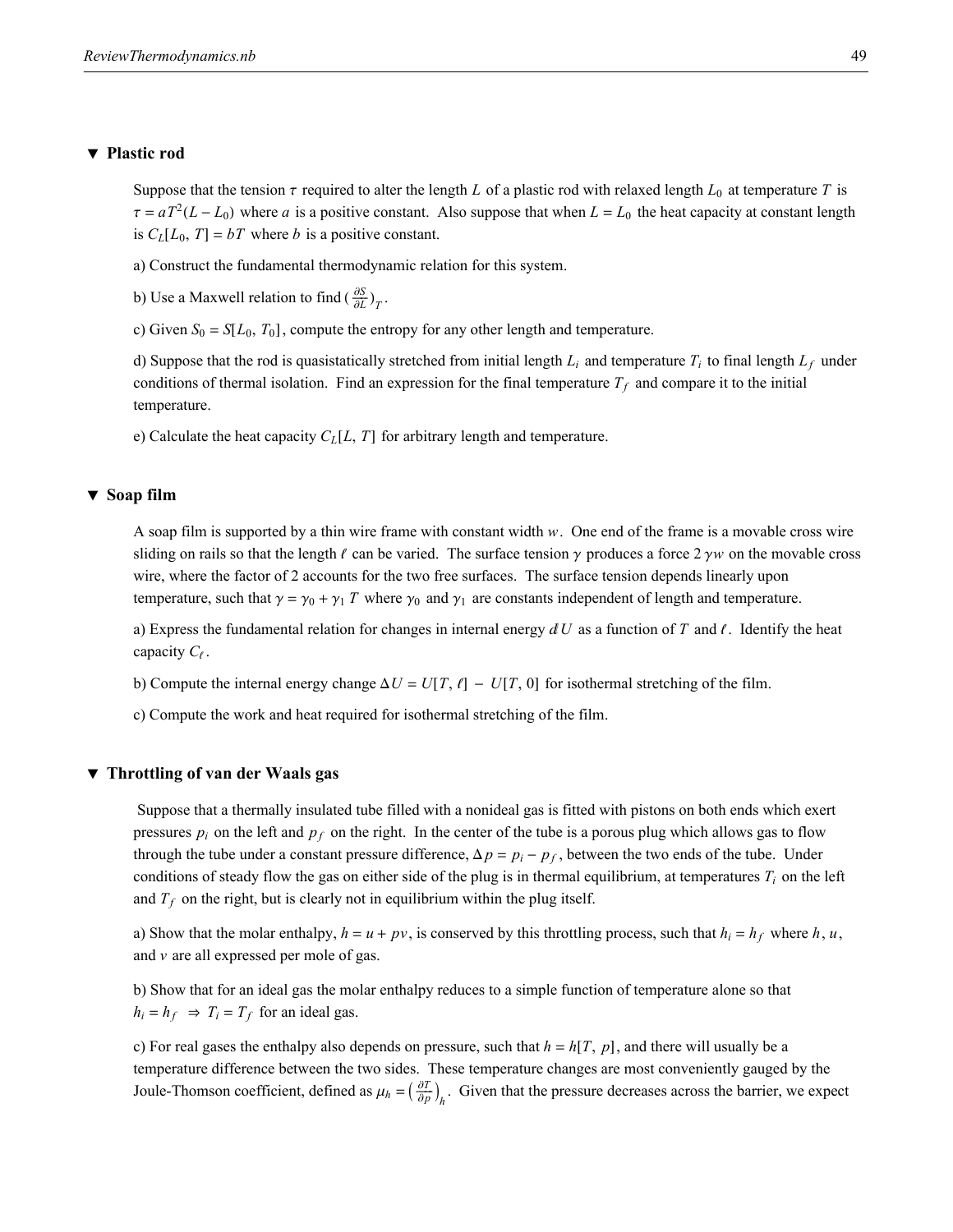### **ô Plastic rod**

Suppose that the tension  $\tau$  required to alter the length *L* of a plastic rod with relaxed length  $L_0$  at temperature *T* is  $\tau = aT^2(L - L_0)$  where *a* is a positive constant. Also suppose that when  $L = L_0$  the heat capacity at constant length is  $C_L[L_0, T] = bT$  where *b* is a positive constant.

a) Construct the fundamental thermodynamic relation for this system.

b) Use a Maxwell relation to find  $\left(\frac{\partial S}{\partial L}\right)_T$ .

c) Given  $S_0 = S[L_0, T_0]$ , compute the entropy for any other length and temperature.

d) Suppose that the rod is quasistatically stretched from initial length  $L_i$  and temperature  $T_i$  to final length  $L_f$  under conditions of thermal isolation. Find an expression for the final temperature  $T_f$  and compare it to the initial temperature.

e) Calculate the heat capacity  $C_L[L, T]$  for arbitrary length and temperature.

#### **ô Soap film**

A soap film is supported by a thin wire frame with constant width *w*. One end of the frame is a movable cross wire sliding on rails so that the length  $\ell$  can be varied. The surface tension  $\gamma$  produces a force  $2 \gamma w$  on the movable cross wire, where the factor of 2 accounts for the two free surfaces. The surface tension depends linearly upon temperature, such that  $\gamma = \gamma_0 + \gamma_1 T$  where  $\gamma_0$  and  $\gamma_1$  are constants independent of length and temperature.

a) Express the fundamental relation for changes in internal energy  $dU$  as a function of *T* and  $\ell$ . Identify the heat capacity  $C_{\ell}$ .

b) Compute the internal energy change  $\Delta U = U[T, \ell] - U[T, 0]$  for isothermal stretching of the film.

c) Compute the work and heat required for isothermal stretching of the film.

### **ô Throttling of van der Waals gas**

 Suppose that a thermally insulated tube filled with a nonideal gas is fitted with pistons on both ends which exert pressures  $p_i$  on the left and  $p_f$  on the right. In the center of the tube is a porous plug which allows gas to flow through the tube under a constant pressure difference,  $\Delta p = p_i - p_f$ , between the two ends of the tube. Under conditions of steady flow the gas on either side of the plug is in thermal equilibrium, at temperatures  $T_i$  on the left and  $T_f$  on the right, but is clearly not in equilibrium within the plug itself.

a) Show that the molar enthalpy,  $h = u + pv$ , is conserved by this throttling process, such that  $h_i = h_f$  where  $h, u$ , and *v* are all expressed per mole of gas.

b) Show that for an ideal gas the molar enthalpy reduces to a simple function of temperature alone so that  $h_i = h_f \Rightarrow T_i = T_f$  for an ideal gas.

c) For real gases the enthalpy also depends on pressure, such that  $h = h(T, p)$ , and there will usually be a temperature difference between the two sides. These temperature changes are most conveniently gauged by the Joule-Thomson coefficient, defined as  $\mu_h = \left(\frac{\partial T}{\partial p}\right)_h$ . Given that the pressure decreases across the barrier, we expect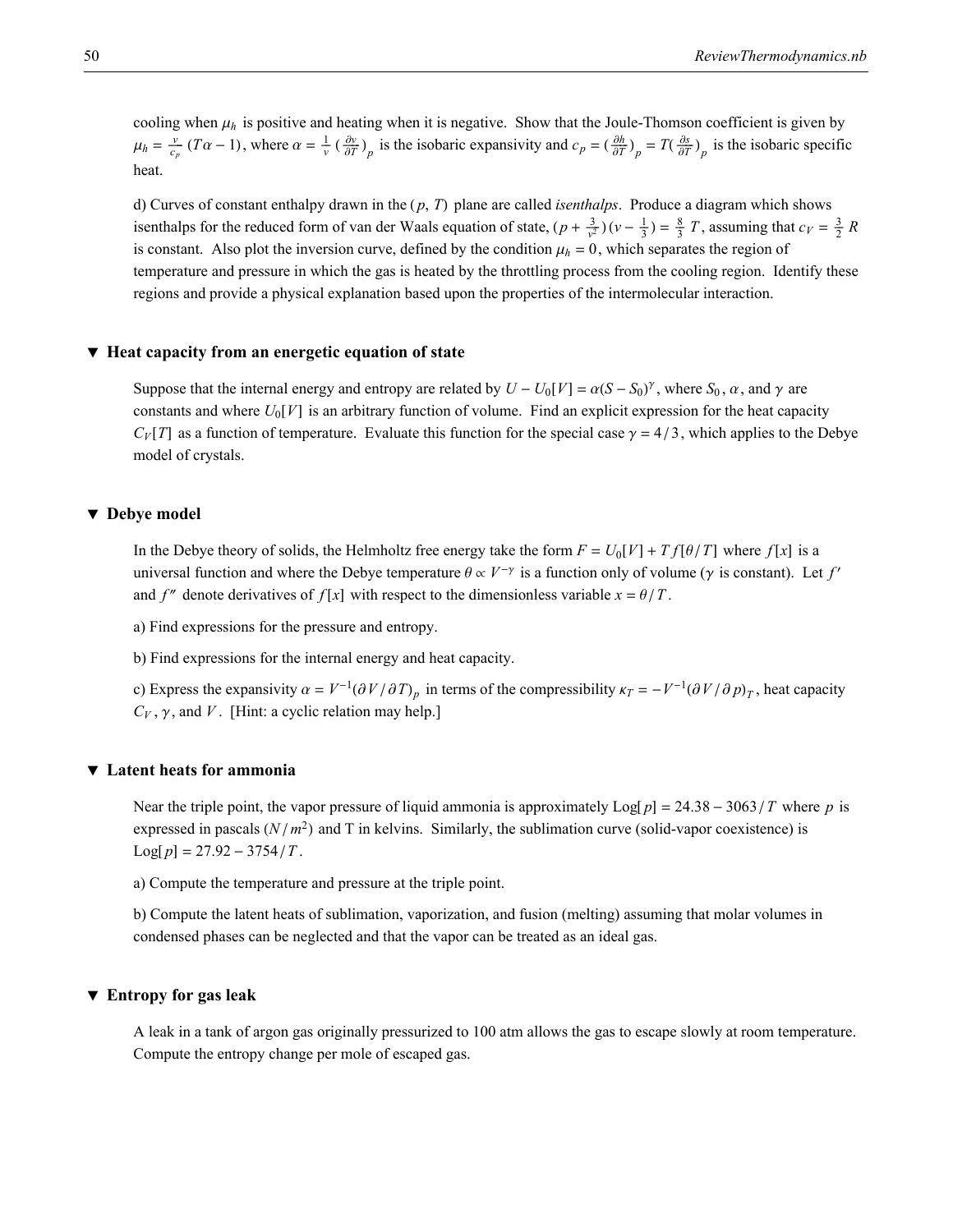cooling when  $\mu_h$  is positive and heating when it is negative. Show that the Joule-Thomson coefficient is given by  $\mu_h = \frac{v}{c_p} (T\alpha - 1)$ , where  $\alpha = \frac{1}{v} (\frac{\partial v}{\partial T})_p$  is the isobaric expansivity and  $c_p = (\frac{\partial h}{\partial T})_p = T(\frac{\partial s}{\partial T})_p$  is the isobaric specific heat.

d) Curves of constant enthalpy drawn in the  $(p, T)$  plane are called *isenthalps*. Produce a diagram which shows isenthalps for the reduced form of van der Waals equation of state,  $(p + \frac{3}{v^2})(v - \frac{1}{3}) = \frac{8}{3}T$ , assuming that  $c_V = \frac{3}{2}R$ is constant. Also plot the inversion curve, defined by the condition  $\mu_h = 0$ , which separates the region of temperature and pressure in which the gas is heated by the throttling process from the cooling region. Identify these regions and provide a physical explanation based upon the properties of the intermolecular interaction.

#### **ô Heat capacity from an energetic equation of state**

Suppose that the internal energy and entropy are related by  $U - U_0[V] = \alpha(S - S_0)^{\gamma}$ , where  $S_0$ ,  $\alpha$ , and  $\gamma$  are constants and where  $U_0[V]$  is an arbitrary function of volume. Find an explicit expression for the heat capacity  $C_V[T]$  as a function of temperature. Evaluate this function for the special case  $\gamma = 4/3$ , which applies to the Debye model of crystals.

### **ô Debye model**

In the Debye theory of solids, the Helmholtz free energy take the form  $F = U_0[V] + Tf[\theta/T]$  where  $f[x]$  is a universal function and where the Debye temperature  $\theta \propto V^{-\gamma}$  is a function only of volume ( $\gamma$  is constant). Let  $f'$ and *f*<sup>"</sup> denote derivatives of *f* [*x*] with respect to the dimensionless variable  $x = \theta / T$ .

a) Find expressions for the pressure and entropy.

b) Find expressions for the internal energy and heat capacity.

c) Express the expansivity  $\alpha = V^{-1}(\partial V/\partial T)_p$  in terms of the compressibility  $\kappa_T = -V^{-1}(\partial V/\partial p)_T$ , heat capacity  $C_V$ ,  $\gamma$ , and *V*. [Hint: a cyclic relation may help.]

### **ô Latent heats for ammonia**

Near the triple point, the vapor pressure of liquid ammonia is approximately  $\text{Log}[p] = 24.38 - 3063 / T$  where p is expressed in pascals  $(N/m^2)$  and T in kelvins. Similarly, the sublimation curve (solid-vapor coexistence) is  $Log[p] = 27.92 - 3754/T$ .

a) Compute the temperature and pressure at the triple point.

b) Compute the latent heats of sublimation, vaporization, and fusion (melting) assuming that molar volumes in condensed phases can be neglected and that the vapor can be treated as an ideal gas.

### **ô Entropy for gas leak**

A leak in a tank of argon gas originally pressurized to 100 atm allows the gas to escape slowly at room temperature. Compute the entropy change per mole of escaped gas.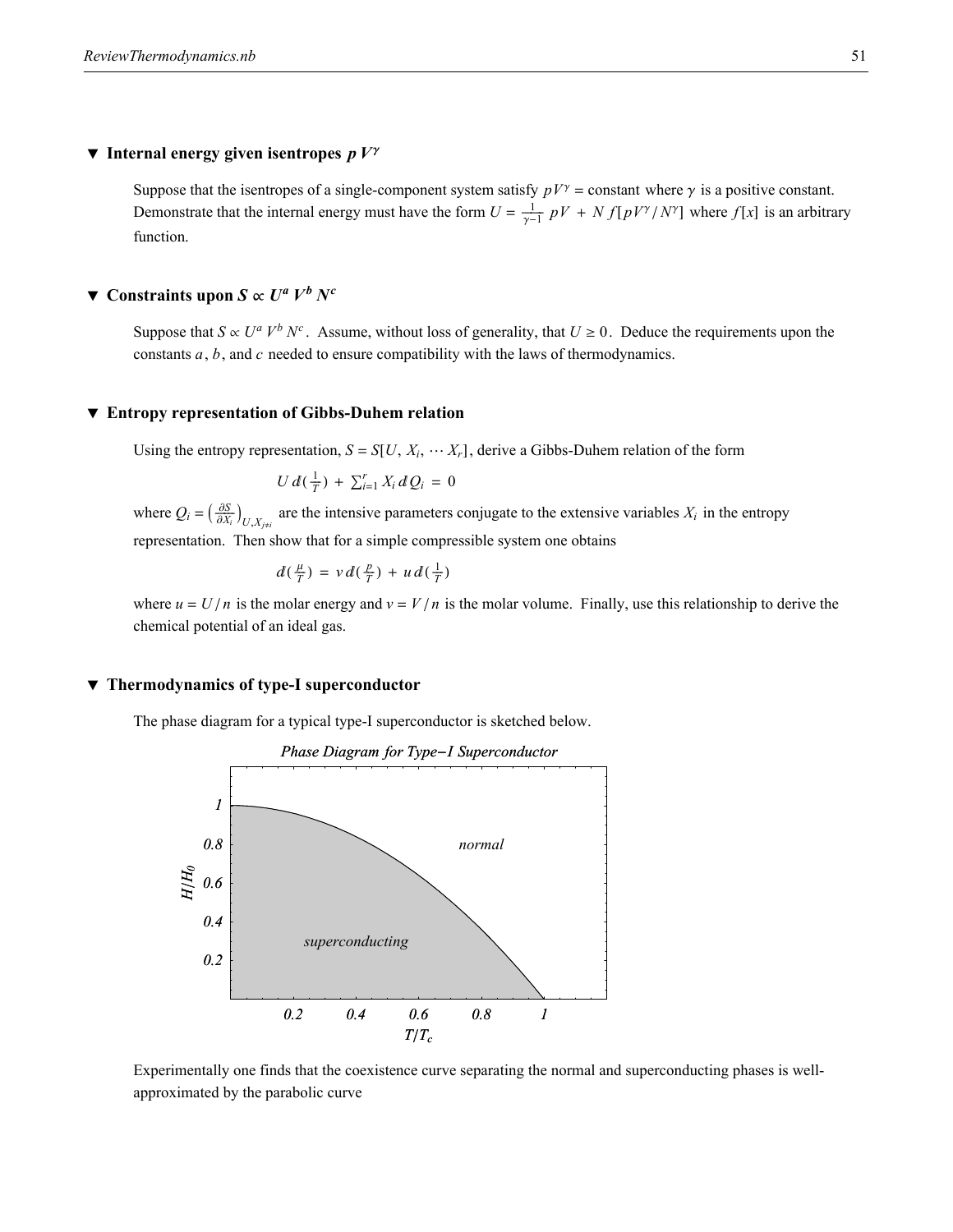### $\blacktriangledown$  **Internal energy given isentropes**  $pV^{\gamma}$

Suppose that the isentropes of a single-component system satisfy  $pV^{\gamma}$  = constant where  $\gamma$  is a positive constant. Demonstrate that the internal energy must have the form  $U = \frac{1}{\gamma - 1} pV + N f[pV^{\gamma}/N^{\gamma}]$  where  $f[x]$  is an arbitrary function.

### $\blacktriangledown$  **Constraints upon** *S*  $\propto U^a V^b N^c$

Suppose that  $S \propto U^a V^b N^c$ . Assume, without loss of generality, that  $U \ge 0$ . Deduce the requirements upon the constants *a*, *b*, and *c* needed to ensure compatibility with the laws of thermodynamics.

### **ô Entropy representation of Gibbs-Duhem relation**

Using the entropy representation,  $S = S[U, X_i, \cdots X_r]$ , derive a Gibbs-Duhem relation of the form

$$
U\,d(\tfrac{1}{T})\,+\,\sum_{i=1}^r X_i\,dQ_i\,=\,0
$$

where  $Q_i = \left(\frac{\partial S}{\partial X_i}\right)_{U, X_{j \neq i}}$  are the intensive parameters conjugate to the extensive variables  $X_i$  in the entropy representation. Then show that for a simple compressible system one obtains

$$
d(\tfrac{\mu}{T}) = v d(\tfrac{p}{T}) + u d(\tfrac{1}{T})
$$

where  $u = U/n$  is the molar energy and  $v = V/n$  is the molar volume. Finally, use this relationship to derive the chemical potential of an ideal gas.

### **ô Thermodynamics of type-I superconductor**

The phase diagram for a typical type-I superconductor is sketched below.



Experimentally one finds that the coexistence curve separating the normal and superconducting phases is wellapproximated by the parabolic curve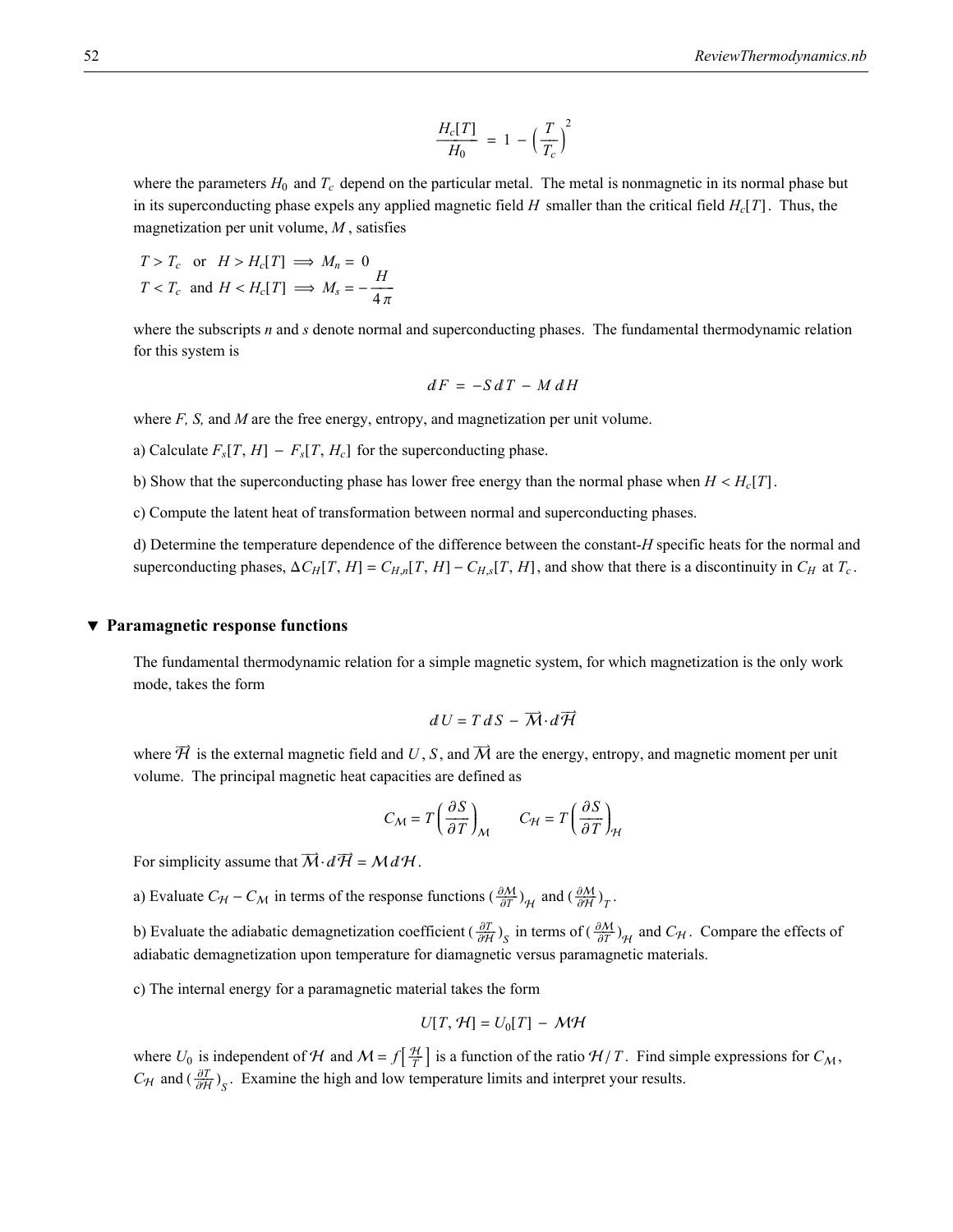$$
\frac{H_c[T]}{H_0} = 1 - \left(\frac{T}{T_c}\right)^2
$$

where the parameters  $H_0$  and  $T_c$  depend on the particular metal. The metal is nonmagnetic in its normal phase but in its superconducting phase expels any applied magnetic field *H* smaller than the critical field  $H_c[T]$ . Thus, the magnetization per unit volume, *M* , satisfies

$$
T > T_c \text{ or } H > H_c[T] \implies M_n = 0
$$
  

$$
T < T_c \text{ and } H < H_c[T] \implies M_s = -\frac{H}{4\pi}
$$

where the subscripts *n* and *s* denote normal and superconducting phases. The fundamental thermodynamic relation for this system is

$$
dF = -S dT - M dH
$$

where *F*, *S*, and *M* are the free energy, entropy, and magnetization per unit volume.

- a) Calculate  $F_s[T, H] F_s[T, H_c]$  for the superconducting phase.
- b) Show that the superconducting phase has lower free energy than the normal phase when  $H < H_c[T]$ .

c) Compute the latent heat of transformation between normal and superconducting phases.

d) Determine the temperature dependence of the difference between the constant-*H* specific heats for the normal and superconducting phases,  $\Delta C_H[T, H] = C_{H,n}[T, H] - C_{H,s}[T, H]$ , and show that there is a discontinuity in  $C_H$  at  $T_c$ .

#### **ô Paramagnetic response functions**

The fundamental thermodynamic relation for a simple magnetic system, for which magnetization is the only work mode, takes the form

$$
dU=T\,dS-\overrightarrow{M}\!\cdot\!d\overrightarrow{\mathcal{H}}
$$

where  $\vec{\mathcal{H}}$  is the external magnetic field and *U*, *S*, and  $\vec{\mathcal{M}}$  are the energy, entropy, and magnetic moment per unit volume. The principal magnetic heat capacities are defined as

$$
C_M = T \left(\frac{\partial S}{\partial T}\right)_M \qquad C_H = T \left(\frac{\partial S}{\partial T}\right)_H
$$

For simplicity assume that  $\vec{M} \cdot d\vec{\mathcal{H}} = \mathcal{M} d\mathcal{H}$ .

a) Evaluate  $C_H - C_M$  in terms of the response functions  $\left(\frac{\partial M}{\partial T}\right)_H$  and  $\left(\frac{\partial M}{\partial H}\right)_T$ .

b) Evaluate the adiabatic demagnetization coefficient  $\left(\frac{\partial T}{\partial H}\right)_{S}$  in terms of  $\left(\frac{\partial M}{\partial T}\right)_{H}$  and  $C_H$ . Compare the effects of adiabatic demagnetization upon temperature for diamagnetic versus paramagnetic materials.

c) The internal energy for a paramagnetic material takes the form

$$
U[T, \mathcal{H}] = U_0[T] - \mathcal{M}\mathcal{H}
$$

where  $U_0$  is independent of H and  $M = f\left[\frac{H}{T}\right]$  is a function of the ratio  $H/T$ . Find simple expressions for  $C_M$ , *C*<sub>H</sub> and  $\left(\frac{\partial T}{\partial H}\right)_S$ . Examine the high and low temperature limits and interpret your results.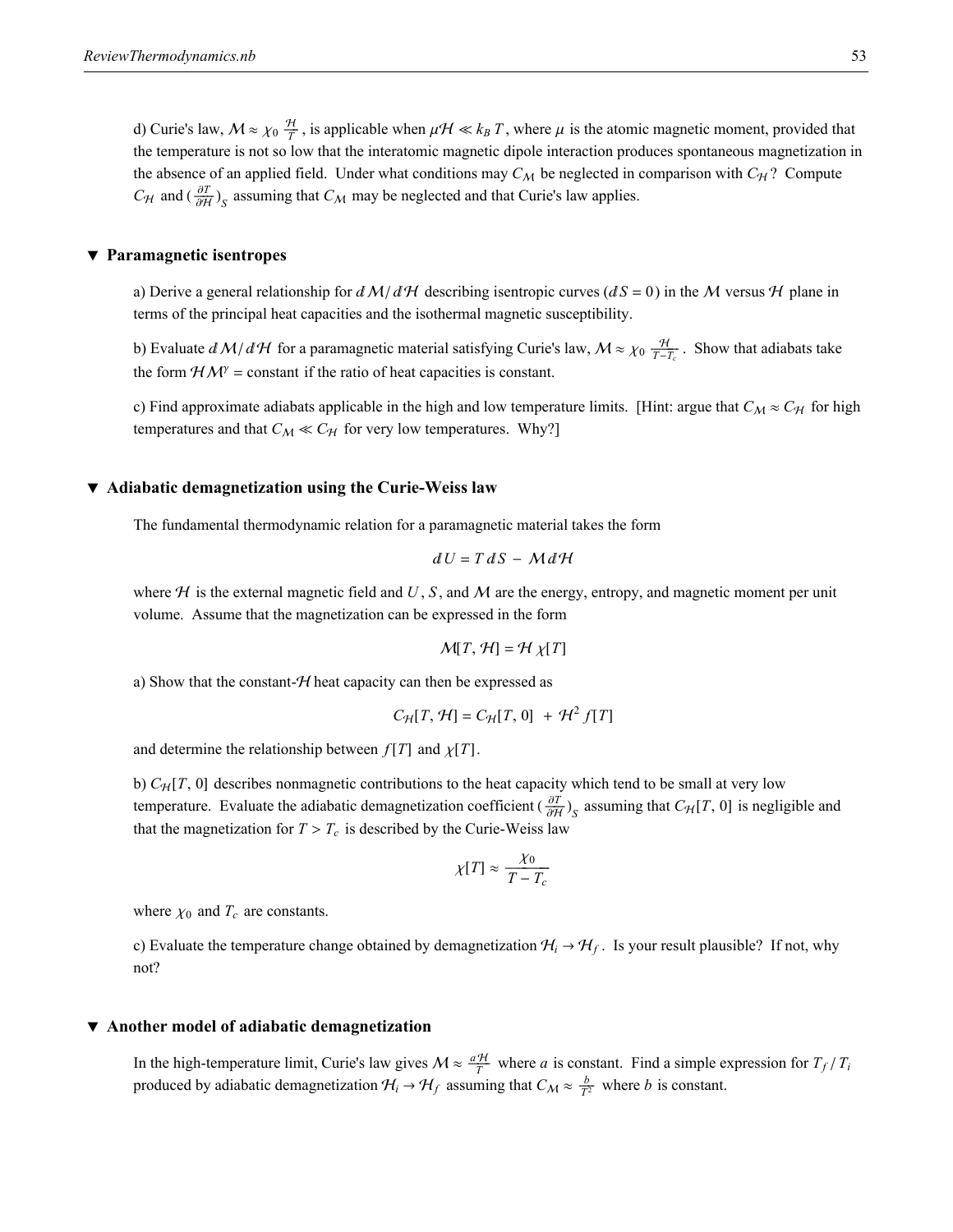d) Curie's law,  $M \approx \chi_0 \frac{H}{T}$ , is applicable when  $\mu H \ll k_B T$ , where  $\mu$  is the atomic magnetic moment, provided that the temperature is not so low that the interatomic magnetic dipole interaction produces spontaneous magnetization in the absence of an applied field. Under what conditions may  $C_M$  be neglected in comparison with  $C_H$ ? Compute *C*<sub>H</sub> and  $\left(\frac{\partial T}{\partial H}\right)_S$  assuming that *C*<sub>M</sub> may be neglected and that Curie's law applies.

### **ô Paramagnetic isentropes**

a) Derive a general relationship for  $dM/dH$  describing isentropic curves ( $dS = 0$ ) in the M versus H plane in terms of the principal heat capacities and the isothermal magnetic susceptibility.

b) Evaluate  $dM/dH$  for a paramagnetic material satisfying Curie's law,  $M \approx \chi_0 \frac{H}{T-T_c}$ . Show that adiabats take the form  $HM^{\gamma}$  = constant if the ratio of heat capacities is constant.

c) Find approximate adiabats applicable in the high and low temperature limits. [Hint: argue that  $C_M \approx C_H$  for high temperatures and that  $C_M \ll C_H$  for very low temperatures. Why?]

### **ô Adiabatic demagnetization using the Curie-Weiss law**

The fundamental thermodynamic relation for a paramagnetic material takes the form

$$
dU = T dS - M dH
$$

where  $H$  is the external magnetic field and U, S, and M are the energy, entropy, and magnetic moment per unit volume. Assume that the magnetization can be expressed in the form

$$
\mathcal{M}[T,\mathcal{H}] = \mathcal{H}\chi[T]
$$

a) Show that the constant- $H$  heat capacity can then be expressed as

$$
C_{\mathcal{H}}[T, \mathcal{H}] = C_{\mathcal{H}}[T, 0] + \mathcal{H}^2 f[T]
$$

and determine the relationship between  $f[T]$  and  $\chi[T]$ .

b)  $C_H[T, 0]$  describes nonmagnetic contributions to the heat capacity which tend to be small at very low temperature. Evaluate the adiabatic demagnetization coefficient  $(\frac{\partial T}{\partial H})_S$  assuming that  $C_H[T, 0]$  is negligible and that the magnetization for  $T > T_c$  is described by the Curie-Weiss law

$$
\chi[T] \approx \frac{\chi_0}{T - T_c}
$$

where  $\chi_0$  and  $T_c$  are constants.

c) Evaluate the temperature change obtained by demagnetization  $H_i \rightarrow H_f$ . Is your result plausible? If not, why not?

### **ô Another model of adiabatic demagnetization**

In the high-temperature limit, Curie's law gives  $M \approx \frac{aH}{T}$  where *a* is constant. Find a simple expression for  $T_f/T_i$ produced by adiabatic demagnetization  $H_i \rightarrow H_f$  assuming that  $C_M \approx \frac{b}{T^2}$  where *b* is constant.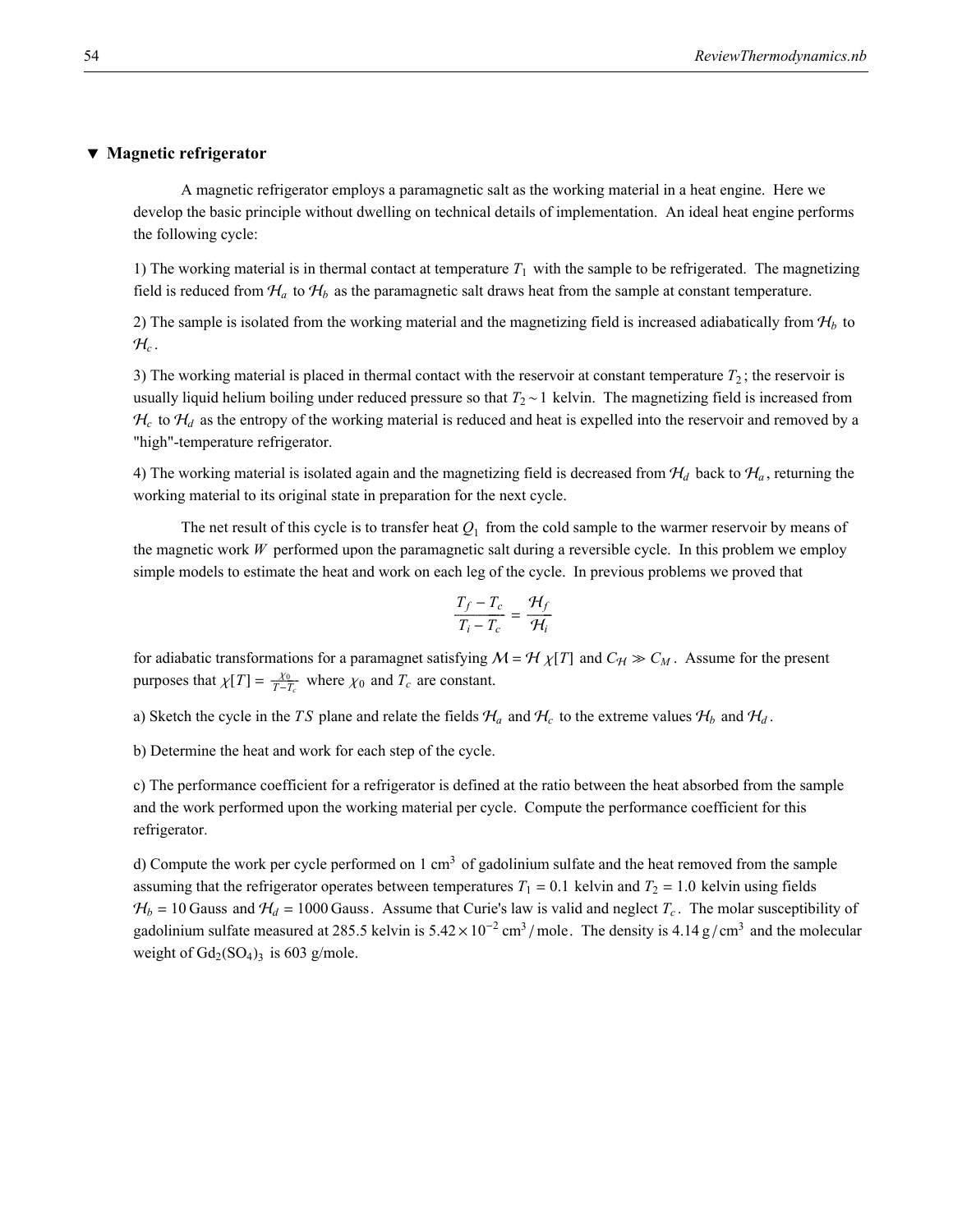### **ô Magnetic refrigerator**

A magnetic refrigerator employs a paramagnetic salt as the working material in a heat engine. Here we develop the basic principle without dwelling on technical details of implementation. An ideal heat engine performs the following cycle:

1) The working material is in thermal contact at temperature  $T_1$  with the sample to be refrigerated. The magnetizing field is reduced from  $H_a$  to  $H_b$  as the paramagnetic salt draws heat from the sample at constant temperature.

2) The sample is isolated from the working material and the magnetizing field is increased adiabatically from  $H_b$  to  $\mathcal{H}_c$ .

3) The working material is placed in thermal contact with the reservoir at constant temperature  $T_2$ ; the reservoir is usually liquid helium boiling under reduced pressure so that  $T_2 \sim 1$  kelvin. The magnetizing field is increased from  $H_c$  to  $H_d$  as the entropy of the working material is reduced and heat is expelled into the reservoir and removed by a "high"-temperature refrigerator.

4) The working material is isolated again and the magnetizing field is decreased from  $H_d$  back to  $H_a$ , returning the working material to its original state in preparation for the next cycle.

The net result of this cycle is to transfer heat  $Q_1$  from the cold sample to the warmer reservoir by means of the magnetic work *W* performed upon the paramagnetic salt during a reversible cycle. In this problem we employ simple models to estimate the heat and work on each leg of the cycle. In previous problems we proved that

$$
\frac{T_f - T_c}{T_i - T_c} = \frac{\mathcal{H}_f}{\mathcal{H}_i}
$$

for adiabatic transformations for a paramagnet satisfying  $M = H \chi[T]$  and  $C_H \gg C_M$ . Assume for the present purposes that  $\chi[T] = \frac{\chi_0}{T-T_c}$  where  $\chi_0$  and  $T_c$  are constant.

a) Sketch the cycle in the *TS* plane and relate the fields  $H_a$  and  $H_c$  to the extreme values  $H_b$  and  $H_d$ .

b) Determine the heat and work for each step of the cycle.

c) The performance coefficient for a refrigerator is defined at the ratio between the heat absorbed from the sample and the work performed upon the working material per cycle. Compute the performance coefficient for this refrigerator.

d) Compute the work per cycle performed on 1 cm<sup>3</sup> of gadolinium sulfate and the heat removed from the sample assuming that the refrigerator operates between temperatures  $T_1 = 0.1$  kelvin and  $T_2 = 1.0$  kelvin using fields  $H_b = 10$  Gauss and  $H_d = 1000$  Gauss. Assume that Curie's law is valid and neglect  $T_c$ . The molar susceptibility of gadolinium sulfate measured at 285.5 kelvin is  $5.42 \times 10^{-2}$  cm<sup>3</sup>/mole. The density is 4.14 g/cm<sup>3</sup> and the molecular weight of  $Gd_2(SO_4)$ <sub>3</sub> is 603 g/mole.